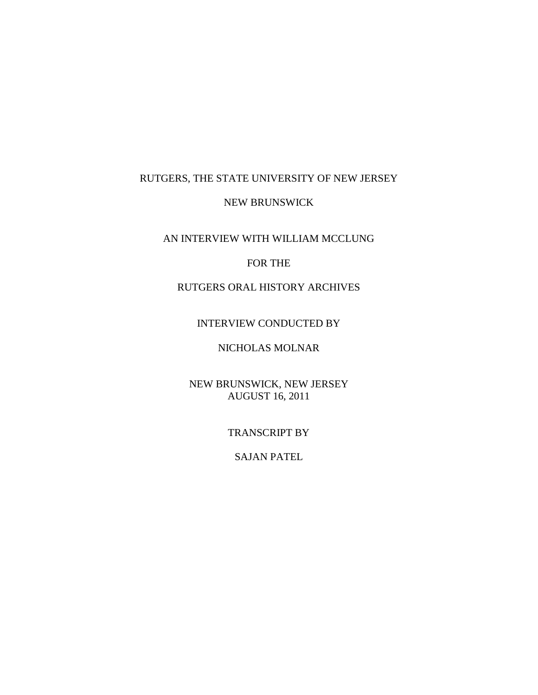# RUTGERS, THE STATE UNIVERSITY OF NEW JERSEY

#### NEW BRUNSWICK

### AN INTERVIEW WITH WILLIAM MCCLUNG

### FOR THE

# RUTGERS ORAL HISTORY ARCHIVES

### INTERVIEW CONDUCTED BY

# NICHOLAS MOLNAR

### NEW BRUNSWICK, NEW JERSEY AUGUST 16, 2011

#### TRANSCRIPT BY

### SAJAN PATEL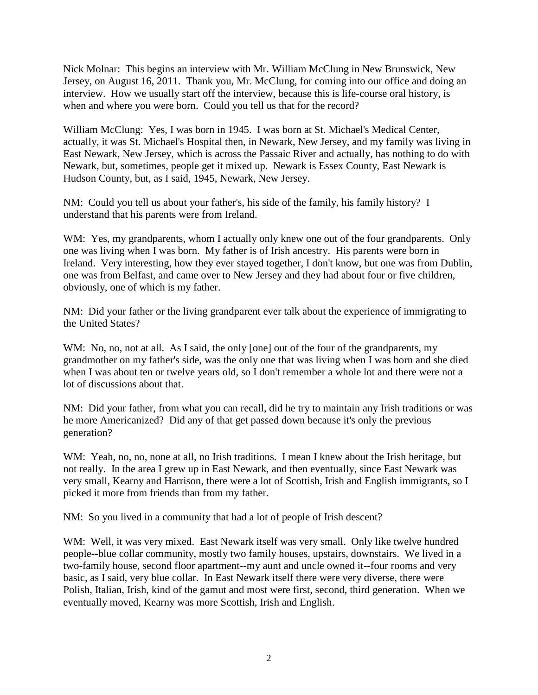Nick Molnar: This begins an interview with Mr. William McClung in New Brunswick, New Jersey, on August 16, 2011. Thank you, Mr. McClung, for coming into our office and doing an interview. How we usually start off the interview, because this is life-course oral history, is when and where you were born. Could you tell us that for the record?

William McClung: Yes, I was born in 1945. I was born at St. Michael's Medical Center, actually, it was St. Michael's Hospital then, in Newark, New Jersey, and my family was living in East Newark, New Jersey, which is across the Passaic River and actually, has nothing to do with Newark, but, sometimes, people get it mixed up. Newark is Essex County, East Newark is Hudson County, but, as I said, 1945, Newark, New Jersey.

NM: Could you tell us about your father's, his side of the family, his family history? I understand that his parents were from Ireland.

WM: Yes, my grandparents, whom I actually only knew one out of the four grandparents. Only one was living when I was born. My father is of Irish ancestry. His parents were born in Ireland. Very interesting, how they ever stayed together, I don't know, but one was from Dublin, one was from Belfast, and came over to New Jersey and they had about four or five children, obviously, one of which is my father.

NM: Did your father or the living grandparent ever talk about the experience of immigrating to the United States?

WM: No, no, not at all. As I said, the only [one] out of the four of the grandparents, my grandmother on my father's side, was the only one that was living when I was born and she died when I was about ten or twelve years old, so I don't remember a whole lot and there were not a lot of discussions about that.

NM: Did your father, from what you can recall, did he try to maintain any Irish traditions or was he more Americanized? Did any of that get passed down because it's only the previous generation?

WM: Yeah, no, no, none at all, no Irish traditions. I mean I knew about the Irish heritage, but not really. In the area I grew up in East Newark, and then eventually, since East Newark was very small, Kearny and Harrison, there were a lot of Scottish, Irish and English immigrants, so I picked it more from friends than from my father.

NM: So you lived in a community that had a lot of people of Irish descent?

WM: Well, it was very mixed. East Newark itself was very small. Only like twelve hundred people--blue collar community, mostly two family houses, upstairs, downstairs. We lived in a two-family house, second floor apartment--my aunt and uncle owned it--four rooms and very basic, as I said, very blue collar. In East Newark itself there were very diverse, there were Polish, Italian, Irish, kind of the gamut and most were first, second, third generation. When we eventually moved, Kearny was more Scottish, Irish and English.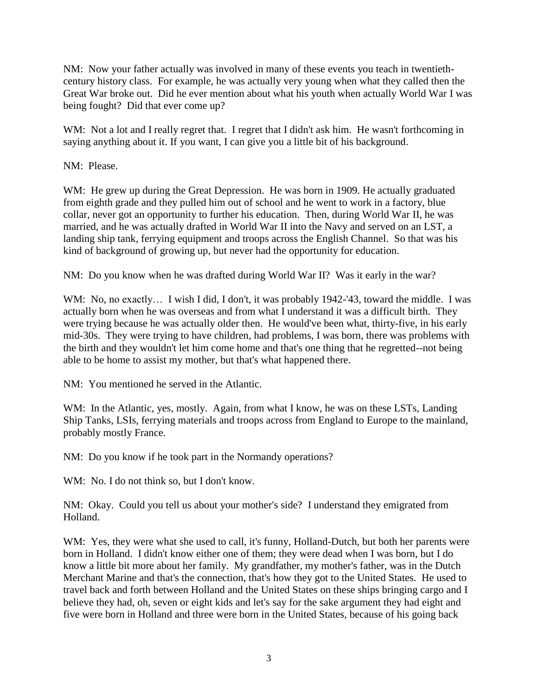NM: Now your father actually was involved in many of these events you teach in twentiethcentury history class. For example, he was actually very young when what they called then the Great War broke out. Did he ever mention about what his youth when actually World War I was being fought? Did that ever come up?

WM: Not a lot and I really regret that. I regret that I didn't ask him. He wasn't forthcoming in saying anything about it. If you want, I can give you a little bit of his background.

NM: Please.

WM: He grew up during the Great Depression. He was born in 1909. He actually graduated from eighth grade and they pulled him out of school and he went to work in a factory, blue collar, never got an opportunity to further his education. Then, during World War II, he was married, and he was actually drafted in World War II into the Navy and served on an LST, a landing ship tank, ferrying equipment and troops across the English Channel. So that was his kind of background of growing up, but never had the opportunity for education.

NM: Do you know when he was drafted during World War II? Was it early in the war?

WM: No, no exactly... I wish I did, I don't, it was probably 1942-'43, toward the middle. I was actually born when he was overseas and from what I understand it was a difficult birth. They were trying because he was actually older then. He would've been what, thirty-five, in his early mid-30s. They were trying to have children, had problems, I was born, there was problems with the birth and they wouldn't let him come home and that's one thing that he regretted--not being able to be home to assist my mother, but that's what happened there.

NM: You mentioned he served in the Atlantic.

WM: In the Atlantic, yes, mostly. Again, from what I know, he was on these LSTs, Landing Ship Tanks, LSIs, ferrying materials and troops across from England to Europe to the mainland, probably mostly France.

NM: Do you know if he took part in the Normandy operations?

WM: No. I do not think so, but I don't know.

NM: Okay. Could you tell us about your mother's side? I understand they emigrated from Holland.

WM: Yes, they were what she used to call, it's funny, Holland-Dutch, but both her parents were born in Holland. I didn't know either one of them; they were dead when I was born, but I do know a little bit more about her family. My grandfather, my mother's father, was in the Dutch Merchant Marine and that's the connection, that's how they got to the United States. He used to travel back and forth between Holland and the United States on these ships bringing cargo and I believe they had, oh, seven or eight kids and let's say for the sake argument they had eight and five were born in Holland and three were born in the United States, because of his going back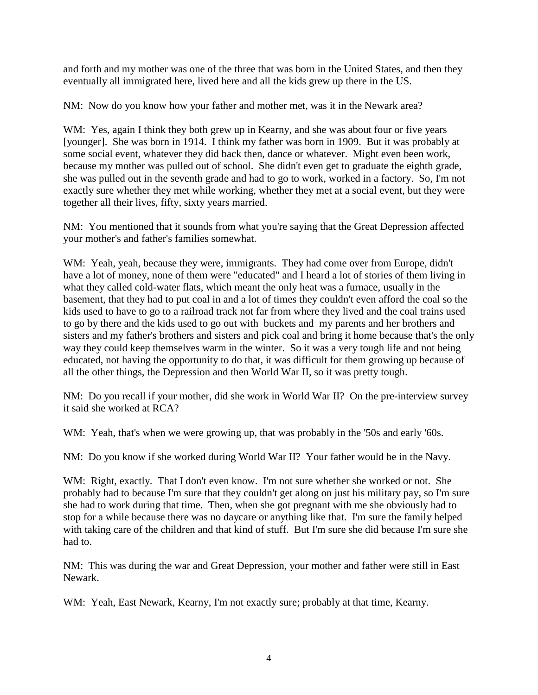and forth and my mother was one of the three that was born in the United States, and then they eventually all immigrated here, lived here and all the kids grew up there in the US.

NM: Now do you know how your father and mother met, was it in the Newark area?

WM: Yes, again I think they both grew up in Kearny, and she was about four or five years [younger]. She was born in 1914. I think my father was born in 1909. But it was probably at some social event, whatever they did back then, dance or whatever. Might even been work, because my mother was pulled out of school. She didn't even get to graduate the eighth grade, she was pulled out in the seventh grade and had to go to work, worked in a factory. So, I'm not exactly sure whether they met while working, whether they met at a social event, but they were together all their lives, fifty, sixty years married.

NM: You mentioned that it sounds from what you're saying that the Great Depression affected your mother's and father's families somewhat.

WM: Yeah, yeah, because they were, immigrants. They had come over from Europe, didn't have a lot of money, none of them were "educated" and I heard a lot of stories of them living in what they called cold-water flats, which meant the only heat was a furnace, usually in the basement, that they had to put coal in and a lot of times they couldn't even afford the coal so the kids used to have to go to a railroad track not far from where they lived and the coal trains used to go by there and the kids used to go out with buckets and my parents and her brothers and sisters and my father's brothers and sisters and pick coal and bring it home because that's the only way they could keep themselves warm in the winter. So it was a very tough life and not being educated, not having the opportunity to do that, it was difficult for them growing up because of all the other things, the Depression and then World War II, so it was pretty tough.

NM: Do you recall if your mother, did she work in World War II? On the pre-interview survey it said she worked at RCA?

WM: Yeah, that's when we were growing up, that was probably in the '50s and early '60s.

NM: Do you know if she worked during World War II? Your father would be in the Navy.

WM: Right, exactly. That I don't even know. I'm not sure whether she worked or not. She probably had to because I'm sure that they couldn't get along on just his military pay, so I'm sure she had to work during that time. Then, when she got pregnant with me she obviously had to stop for a while because there was no daycare or anything like that. I'm sure the family helped with taking care of the children and that kind of stuff. But I'm sure she did because I'm sure she had to.

NM: This was during the war and Great Depression, your mother and father were still in East Newark.

WM: Yeah, East Newark, Kearny, I'm not exactly sure; probably at that time, Kearny.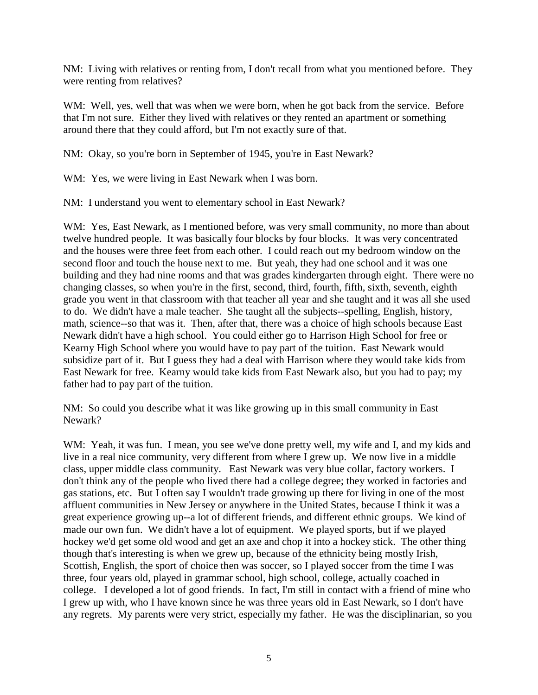NM: Living with relatives or renting from, I don't recall from what you mentioned before. They were renting from relatives?

WM: Well, yes, well that was when we were born, when he got back from the service. Before that I'm not sure. Either they lived with relatives or they rented an apartment or something around there that they could afford, but I'm not exactly sure of that.

NM: Okay, so you're born in September of 1945, you're in East Newark?

WM: Yes, we were living in East Newark when I was born.

NM: I understand you went to elementary school in East Newark?

WM: Yes, East Newark, as I mentioned before, was very small community, no more than about twelve hundred people. It was basically four blocks by four blocks. It was very concentrated and the houses were three feet from each other. I could reach out my bedroom window on the second floor and touch the house next to me. But yeah, they had one school and it was one building and they had nine rooms and that was grades kindergarten through eight. There were no changing classes, so when you're in the first, second, third, fourth, fifth, sixth, seventh, eighth grade you went in that classroom with that teacher all year and she taught and it was all she used to do. We didn't have a male teacher. She taught all the subjects--spelling, English, history, math, science--so that was it. Then, after that, there was a choice of high schools because East Newark didn't have a high school. You could either go to Harrison High School for free or Kearny High School where you would have to pay part of the tuition. East Newark would subsidize part of it. But I guess they had a deal with Harrison where they would take kids from East Newark for free. Kearny would take kids from East Newark also, but you had to pay; my father had to pay part of the tuition.

NM: So could you describe what it was like growing up in this small community in East Newark?

WM: Yeah, it was fun. I mean, you see we've done pretty well, my wife and I, and my kids and live in a real nice community, very different from where I grew up. We now live in a middle class, upper middle class community. East Newark was very blue collar, factory workers. I don't think any of the people who lived there had a college degree; they worked in factories and gas stations, etc. But I often say I wouldn't trade growing up there for living in one of the most affluent communities in New Jersey or anywhere in the United States, because I think it was a great experience growing up--a lot of different friends, and different ethnic groups. We kind of made our own fun. We didn't have a lot of equipment. We played sports, but if we played hockey we'd get some old wood and get an axe and chop it into a hockey stick. The other thing though that's interesting is when we grew up, because of the ethnicity being mostly Irish, Scottish, English, the sport of choice then was soccer, so I played soccer from the time I was three, four years old, played in grammar school, high school, college, actually coached in college. I developed a lot of good friends. In fact, I'm still in contact with a friend of mine who I grew up with, who I have known since he was three years old in East Newark, so I don't have any regrets. My parents were very strict, especially my father. He was the disciplinarian, so you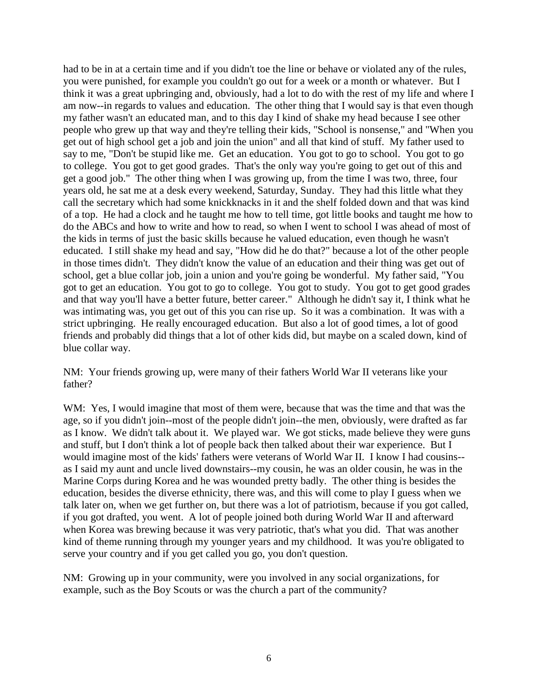had to be in at a certain time and if you didn't toe the line or behave or violated any of the rules, you were punished, for example you couldn't go out for a week or a month or whatever. But I think it was a great upbringing and, obviously, had a lot to do with the rest of my life and where I am now--in regards to values and education. The other thing that I would say is that even though my father wasn't an educated man, and to this day I kind of shake my head because I see other people who grew up that way and they're telling their kids, "School is nonsense," and "When you get out of high school get a job and join the union" and all that kind of stuff. My father used to say to me, "Don't be stupid like me. Get an education. You got to go to school. You got to go to college. You got to get good grades. That's the only way you're going to get out of this and get a good job." The other thing when I was growing up, from the time I was two, three, four years old, he sat me at a desk every weekend, Saturday, Sunday. They had this little what they call the secretary which had some knickknacks in it and the shelf folded down and that was kind of a top. He had a clock and he taught me how to tell time, got little books and taught me how to do the ABCs and how to write and how to read, so when I went to school I was ahead of most of the kids in terms of just the basic skills because he valued education, even though he wasn't educated. I still shake my head and say, "How did he do that?" because a lot of the other people in those times didn't. They didn't know the value of an education and their thing was get out of school, get a blue collar job, join a union and you're going be wonderful. My father said, "You got to get an education. You got to go to college. You got to study. You got to get good grades and that way you'll have a better future, better career." Although he didn't say it, I think what he was intimating was, you get out of this you can rise up. So it was a combination. It was with a strict upbringing. He really encouraged education. But also a lot of good times, a lot of good friends and probably did things that a lot of other kids did, but maybe on a scaled down, kind of blue collar way.

NM: Your friends growing up, were many of their fathers World War II veterans like your father?

WM: Yes, I would imagine that most of them were, because that was the time and that was the age, so if you didn't join--most of the people didn't join--the men, obviously, were drafted as far as I know. We didn't talk about it. We played war. We got sticks, made believe they were guns and stuff, but I don't think a lot of people back then talked about their war experience. But I would imagine most of the kids' fathers were veterans of World War II. I know I had cousins- as I said my aunt and uncle lived downstairs--my cousin, he was an older cousin, he was in the Marine Corps during Korea and he was wounded pretty badly. The other thing is besides the education, besides the diverse ethnicity, there was, and this will come to play I guess when we talk later on, when we get further on, but there was a lot of patriotism, because if you got called, if you got drafted, you went. A lot of people joined both during World War II and afterward when Korea was brewing because it was very patriotic, that's what you did. That was another kind of theme running through my younger years and my childhood. It was you're obligated to serve your country and if you get called you go, you don't question.

NM: Growing up in your community, were you involved in any social organizations, for example, such as the Boy Scouts or was the church a part of the community?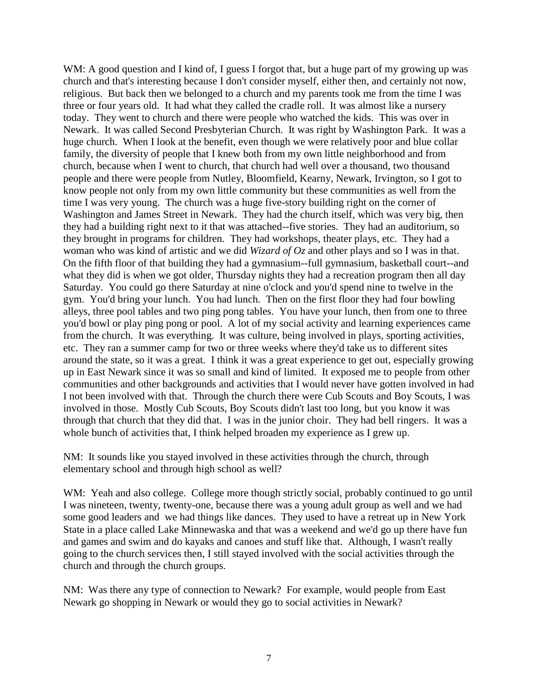WM: A good question and I kind of, I guess I forgot that, but a huge part of my growing up was church and that's interesting because I don't consider myself, either then, and certainly not now, religious. But back then we belonged to a church and my parents took me from the time I was three or four years old. It had what they called the cradle roll. It was almost like a nursery today. They went to church and there were people who watched the kids. This was over in Newark. It was called Second Presbyterian Church. It was right by Washington Park. It was a huge church. When I look at the benefit, even though we were relatively poor and blue collar family, the diversity of people that I knew both from my own little neighborhood and from church, because when I went to church, that church had well over a thousand, two thousand people and there were people from Nutley, Bloomfield, Kearny, Newark, Irvington, so I got to know people not only from my own little community but these communities as well from the time I was very young. The church was a huge five-story building right on the corner of Washington and James Street in Newark. They had the church itself, which was very big, then they had a building right next to it that was attached--five stories. They had an auditorium, so they brought in programs for children. They had workshops, theater plays, etc. They had a woman who was kind of artistic and we did *Wizard of Oz* and other plays and so I was in that. On the fifth floor of that building they had a gymnasium--full gymnasium, basketball court--and what they did is when we got older, Thursday nights they had a recreation program then all day Saturday. You could go there Saturday at nine o'clock and you'd spend nine to twelve in the gym. You'd bring your lunch. You had lunch. Then on the first floor they had four bowling alleys, three pool tables and two ping pong tables. You have your lunch, then from one to three you'd bowl or play ping pong or pool. A lot of my social activity and learning experiences came from the church. It was everything. It was culture, being involved in plays, sporting activities, etc. They ran a summer camp for two or three weeks where they'd take us to different sites around the state, so it was a great. I think it was a great experience to get out, especially growing up in East Newark since it was so small and kind of limited. It exposed me to people from other communities and other backgrounds and activities that I would never have gotten involved in had I not been involved with that. Through the church there were Cub Scouts and Boy Scouts, I was involved in those. Mostly Cub Scouts, Boy Scouts didn't last too long, but you know it was through that church that they did that. I was in the junior choir. They had bell ringers. It was a whole bunch of activities that, I think helped broaden my experience as I grew up.

NM: It sounds like you stayed involved in these activities through the church, through elementary school and through high school as well?

WM: Yeah and also college. College more though strictly social, probably continued to go until I was nineteen, twenty, twenty-one, because there was a young adult group as well and we had some good leaders and we had things like dances. They used to have a retreat up in New York State in a place called Lake Minnewaska and that was a weekend and we'd go up there have fun and games and swim and do kayaks and canoes and stuff like that. Although, I wasn't really going to the church services then, I still stayed involved with the social activities through the church and through the church groups.

NM: Was there any type of connection to Newark? For example, would people from East Newark go shopping in Newark or would they go to social activities in Newark?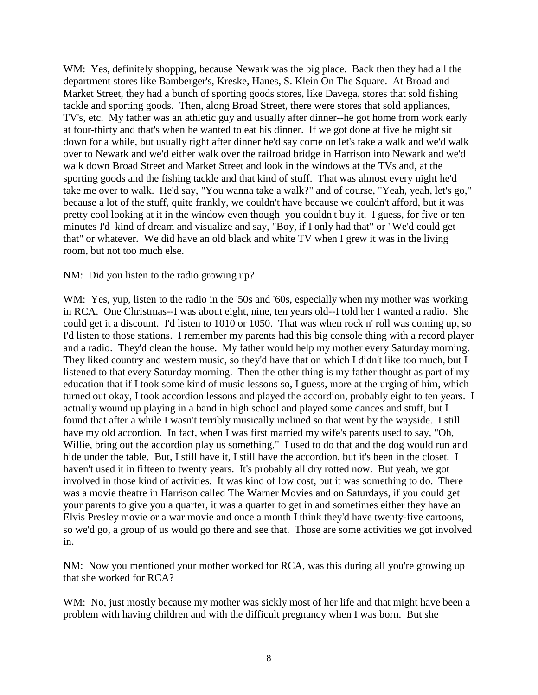WM: Yes, definitely shopping, because Newark was the big place. Back then they had all the department stores like Bamberger's, Kreske, Hanes, S. Klein On The Square. At Broad and Market Street, they had a bunch of sporting goods stores, like Davega, stores that sold fishing tackle and sporting goods. Then, along Broad Street, there were stores that sold appliances, TV's, etc. My father was an athletic guy and usually after dinner--he got home from work early at four-thirty and that's when he wanted to eat his dinner. If we got done at five he might sit down for a while, but usually right after dinner he'd say come on let's take a walk and we'd walk over to Newark and we'd either walk over the railroad bridge in Harrison into Newark and we'd walk down Broad Street and Market Street and look in the windows at the TVs and, at the sporting goods and the fishing tackle and that kind of stuff. That was almost every night he'd take me over to walk. He'd say, "You wanna take a walk?" and of course, "Yeah, yeah, let's go," because a lot of the stuff, quite frankly, we couldn't have because we couldn't afford, but it was pretty cool looking at it in the window even though you couldn't buy it. I guess, for five or ten minutes I'd kind of dream and visualize and say, "Boy, if I only had that" or "We'd could get that" or whatever. We did have an old black and white TV when I grew it was in the living room, but not too much else.

NM: Did you listen to the radio growing up?

WM: Yes, yup, listen to the radio in the '50s and '60s, especially when my mother was working in RCA. One Christmas--I was about eight, nine, ten years old--I told her I wanted a radio. She could get it a discount. I'd listen to 1010 or 1050. That was when rock n' roll was coming up, so I'd listen to those stations. I remember my parents had this big console thing with a record player and a radio. They'd clean the house. My father would help my mother every Saturday morning. They liked country and western music, so they'd have that on which I didn't like too much, but I listened to that every Saturday morning. Then the other thing is my father thought as part of my education that if I took some kind of music lessons so, I guess, more at the urging of him, which turned out okay, I took accordion lessons and played the accordion, probably eight to ten years. I actually wound up playing in a band in high school and played some dances and stuff, but I found that after a while I wasn't terribly musically inclined so that went by the wayside. I still have my old accordion. In fact, when I was first married my wife's parents used to say, "Oh, Willie, bring out the accordion play us something." I used to do that and the dog would run and hide under the table. But, I still have it, I still have the accordion, but it's been in the closet. I haven't used it in fifteen to twenty years. It's probably all dry rotted now. But yeah, we got involved in those kind of activities. It was kind of low cost, but it was something to do. There was a movie theatre in Harrison called The Warner Movies and on Saturdays, if you could get your parents to give you a quarter, it was a quarter to get in and sometimes either they have an Elvis Presley movie or a war movie and once a month I think they'd have twenty-five cartoons, so we'd go, a group of us would go there and see that. Those are some activities we got involved in.

NM: Now you mentioned your mother worked for RCA, was this during all you're growing up that she worked for RCA?

WM: No, just mostly because my mother was sickly most of her life and that might have been a problem with having children and with the difficult pregnancy when I was born. But she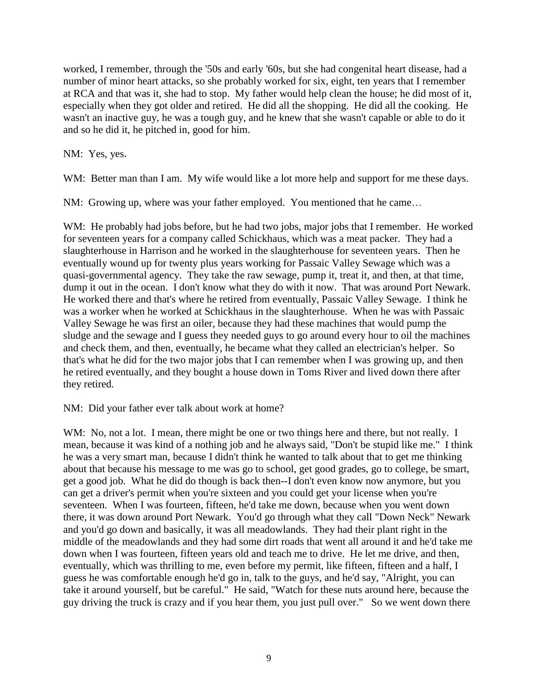worked, I remember, through the '50s and early '60s, but she had congenital heart disease, had a number of minor heart attacks, so she probably worked for six, eight, ten years that I remember at RCA and that was it, she had to stop. My father would help clean the house; he did most of it, especially when they got older and retired. He did all the shopping. He did all the cooking. He wasn't an inactive guy, he was a tough guy, and he knew that she wasn't capable or able to do it and so he did it, he pitched in, good for him.

NM: Yes, yes.

WM: Better man than I am. My wife would like a lot more help and support for me these days.

NM: Growing up, where was your father employed. You mentioned that he came…

WM: He probably had jobs before, but he had two jobs, major jobs that I remember. He worked for seventeen years for a company called Schickhaus, which was a meat packer. They had a slaughterhouse in Harrison and he worked in the slaughterhouse for seventeen years. Then he eventually wound up for twenty plus years working for Passaic Valley Sewage which was a quasi-governmental agency. They take the raw sewage, pump it, treat it, and then, at that time, dump it out in the ocean. I don't know what they do with it now. That was around Port Newark. He worked there and that's where he retired from eventually, Passaic Valley Sewage. I think he was a worker when he worked at Schickhaus in the slaughterhouse. When he was with Passaic Valley Sewage he was first an oiler, because they had these machines that would pump the sludge and the sewage and I guess they needed guys to go around every hour to oil the machines and check them, and then, eventually, he became what they called an electrician's helper. So that's what he did for the two major jobs that I can remember when I was growing up, and then he retired eventually, and they bought a house down in Toms River and lived down there after they retired.

NM: Did your father ever talk about work at home?

WM: No, not a lot. I mean, there might be one or two things here and there, but not really. I mean, because it was kind of a nothing job and he always said, "Don't be stupid like me." I think he was a very smart man, because I didn't think he wanted to talk about that to get me thinking about that because his message to me was go to school, get good grades, go to college, be smart, get a good job. What he did do though is back then--I don't even know now anymore, but you can get a driver's permit when you're sixteen and you could get your license when you're seventeen. When I was fourteen, fifteen, he'd take me down, because when you went down there, it was down around Port Newark. You'd go through what they call "Down Neck" Newark and you'd go down and basically, it was all meadowlands. They had their plant right in the middle of the meadowlands and they had some dirt roads that went all around it and he'd take me down when I was fourteen, fifteen years old and teach me to drive. He let me drive, and then, eventually, which was thrilling to me, even before my permit, like fifteen, fifteen and a half, I guess he was comfortable enough he'd go in, talk to the guys, and he'd say, "Alright, you can take it around yourself, but be careful." He said, "Watch for these nuts around here, because the guy driving the truck is crazy and if you hear them, you just pull over." So we went down there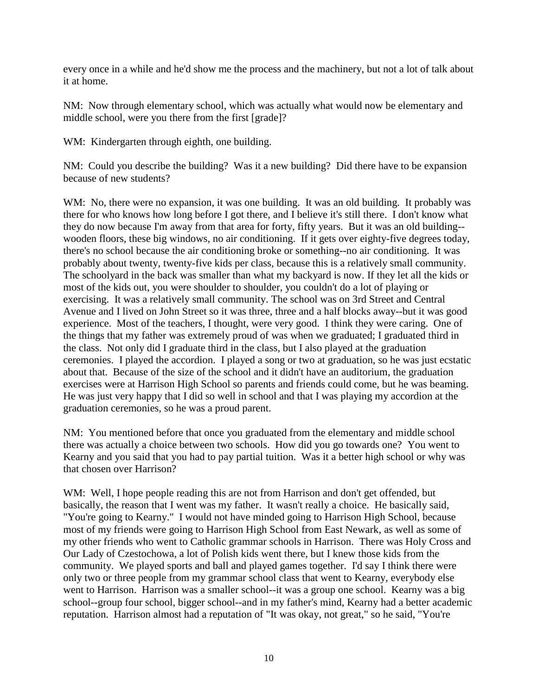every once in a while and he'd show me the process and the machinery, but not a lot of talk about it at home.

NM: Now through elementary school, which was actually what would now be elementary and middle school, were you there from the first [grade]?

WM: Kindergarten through eighth, one building.

NM: Could you describe the building? Was it a new building? Did there have to be expansion because of new students?

WM: No, there were no expansion, it was one building. It was an old building. It probably was there for who knows how long before I got there, and I believe it's still there. I don't know what they do now because I'm away from that area for forty, fifty years. But it was an old building- wooden floors, these big windows, no air conditioning. If it gets over eighty-five degrees today, there's no school because the air conditioning broke or something--no air conditioning. It was probably about twenty, twenty-five kids per class, because this is a relatively small community. The schoolyard in the back was smaller than what my backyard is now. If they let all the kids or most of the kids out, you were shoulder to shoulder, you couldn't do a lot of playing or exercising. It was a relatively small community. The school was on 3rd Street and Central Avenue and I lived on John Street so it was three, three and a half blocks away--but it was good experience. Most of the teachers, I thought, were very good. I think they were caring. One of the things that my father was extremely proud of was when we graduated; I graduated third in the class. Not only did I graduate third in the class, but I also played at the graduation ceremonies. I played the accordion. I played a song or two at graduation, so he was just ecstatic about that. Because of the size of the school and it didn't have an auditorium, the graduation exercises were at Harrison High School so parents and friends could come, but he was beaming. He was just very happy that I did so well in school and that I was playing my accordion at the graduation ceremonies, so he was a proud parent.

NM: You mentioned before that once you graduated from the elementary and middle school there was actually a choice between two schools. How did you go towards one? You went to Kearny and you said that you had to pay partial tuition. Was it a better high school or why was that chosen over Harrison?

WM: Well, I hope people reading this are not from Harrison and don't get offended, but basically, the reason that I went was my father. It wasn't really a choice. He basically said, "You're going to Kearny." I would not have minded going to Harrison High School, because most of my friends were going to Harrison High School from East Newark, as well as some of my other friends who went to Catholic grammar schools in Harrison. There was Holy Cross and Our Lady of Czestochowa, a lot of Polish kids went there, but I knew those kids from the community. We played sports and ball and played games together. I'd say I think there were only two or three people from my grammar school class that went to Kearny, everybody else went to Harrison. Harrison was a smaller school--it was a group one school. Kearny was a big school--group four school, bigger school--and in my father's mind, Kearny had a better academic reputation. Harrison almost had a reputation of "It was okay, not great," so he said, "You're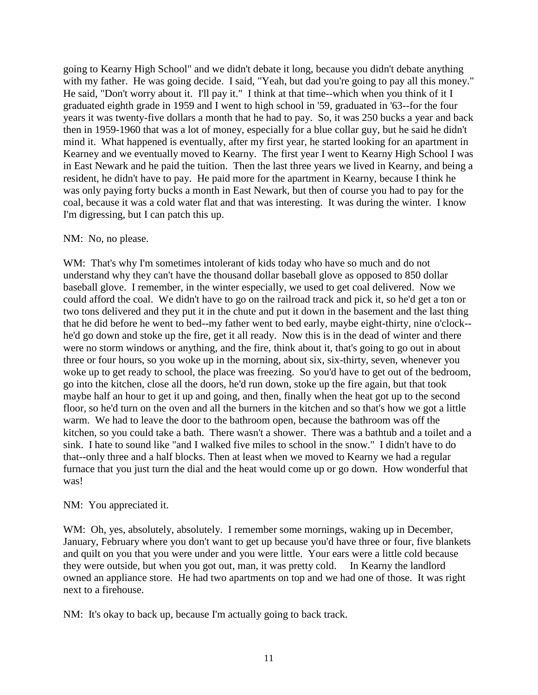going to Kearny High School" and we didn't debate it long, because you didn't debate anything with my father. He was going decide. I said, "Yeah, but dad you're going to pay all this money." He said, "Don't worry about it. I'll pay it." I think at that time--which when you think of it I graduated eighth grade in 1959 and I went to high school in '59, graduated in '63--for the four years it was twenty-five dollars a month that he had to pay. So, it was 250 bucks a year and back then in 1959-1960 that was a lot of money, especially for a blue collar guy, but he said he didn't mind it. What happened is eventually, after my first year, he started looking for an apartment in Kearney and we eventually moved to Kearny. The first year I went to Kearny High School I was in East Newark and he paid the tuition. Then the last three years we lived in Kearny, and being a resident, he didn't have to pay. He paid more for the apartment in Kearny, because I think he was only paying forty bucks a month in East Newark, but then of course you had to pay for the coal, because it was a cold water flat and that was interesting. It was during the winter. I know I'm digressing, but I can patch this up.

#### NM: No, no please.

WM: That's why I'm sometimes intolerant of kids today who have so much and do not understand why they can't have the thousand dollar baseball glove as opposed to 850 dollar baseball glove. I remember, in the winter especially, we used to get coal delivered. Now we could afford the coal. We didn't have to go on the railroad track and pick it, so he'd get a ton or two tons delivered and they put it in the chute and put it down in the basement and the last thing that he did before he went to bed--my father went to bed early, maybe eight-thirty, nine o'clock- he'd go down and stoke up the fire, get it all ready. Now this is in the dead of winter and there were no storm windows or anything, and the fire, think about it, that's going to go out in about three or four hours, so you woke up in the morning, about six, six-thirty, seven, whenever you woke up to get ready to school, the place was freezing. So you'd have to get out of the bedroom, go into the kitchen, close all the doors, he'd run down, stoke up the fire again, but that took maybe half an hour to get it up and going, and then, finally when the heat got up to the second floor, so he'd turn on the oven and all the burners in the kitchen and so that's how we got a little warm. We had to leave the door to the bathroom open, because the bathroom was off the kitchen, so you could take a bath. There wasn't a shower. There was a bathtub and a toilet and a sink. I hate to sound like "and I walked five miles to school in the snow." I didn't have to do that--only three and a half blocks. Then at least when we moved to Kearny we had a regular furnace that you just turn the dial and the heat would come up or go down. How wonderful that was!

#### NM: You appreciated it.

WM: Oh, yes, absolutely, absolutely. I remember some mornings, waking up in December, January, February where you don't want to get up because you'd have three or four, five blankets and quilt on you that you were under and you were little. Your ears were a little cold because they were outside, but when you got out, man, it was pretty cold. In Kearny the landlord owned an appliance store. He had two apartments on top and we had one of those. It was right next to a firehouse.

NM: It's okay to back up, because I'm actually going to back track.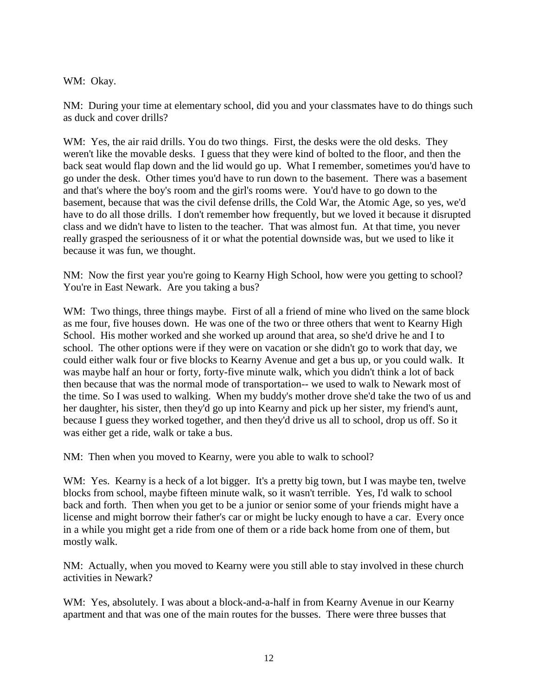WM: Okay.

NM: During your time at elementary school, did you and your classmates have to do things such as duck and cover drills?

WM: Yes, the air raid drills. You do two things. First, the desks were the old desks. They weren't like the movable desks. I guess that they were kind of bolted to the floor, and then the back seat would flap down and the lid would go up. What I remember, sometimes you'd have to go under the desk. Other times you'd have to run down to the basement. There was a basement and that's where the boy's room and the girl's rooms were. You'd have to go down to the basement, because that was the civil defense drills, the Cold War, the Atomic Age, so yes, we'd have to do all those drills. I don't remember how frequently, but we loved it because it disrupted class and we didn't have to listen to the teacher. That was almost fun. At that time, you never really grasped the seriousness of it or what the potential downside was, but we used to like it because it was fun, we thought.

NM: Now the first year you're going to Kearny High School, how were you getting to school? You're in East Newark. Are you taking a bus?

WM: Two things, three things maybe. First of all a friend of mine who lived on the same block as me four, five houses down. He was one of the two or three others that went to Kearny High School. His mother worked and she worked up around that area, so she'd drive he and I to school. The other options were if they were on vacation or she didn't go to work that day, we could either walk four or five blocks to Kearny Avenue and get a bus up, or you could walk. It was maybe half an hour or forty, forty-five minute walk, which you didn't think a lot of back then because that was the normal mode of transportation-- we used to walk to Newark most of the time. So I was used to walking. When my buddy's mother drove she'd take the two of us and her daughter, his sister, then they'd go up into Kearny and pick up her sister, my friend's aunt, because I guess they worked together, and then they'd drive us all to school, drop us off. So it was either get a ride, walk or take a bus.

NM: Then when you moved to Kearny, were you able to walk to school?

WM: Yes. Kearny is a heck of a lot bigger. It's a pretty big town, but I was maybe ten, twelve blocks from school, maybe fifteen minute walk, so it wasn't terrible. Yes, I'd walk to school back and forth. Then when you get to be a junior or senior some of your friends might have a license and might borrow their father's car or might be lucky enough to have a car. Every once in a while you might get a ride from one of them or a ride back home from one of them, but mostly walk.

NM: Actually, when you moved to Kearny were you still able to stay involved in these church activities in Newark?

WM: Yes, absolutely. I was about a block-and-a-half in from Kearny Avenue in our Kearny apartment and that was one of the main routes for the busses. There were three busses that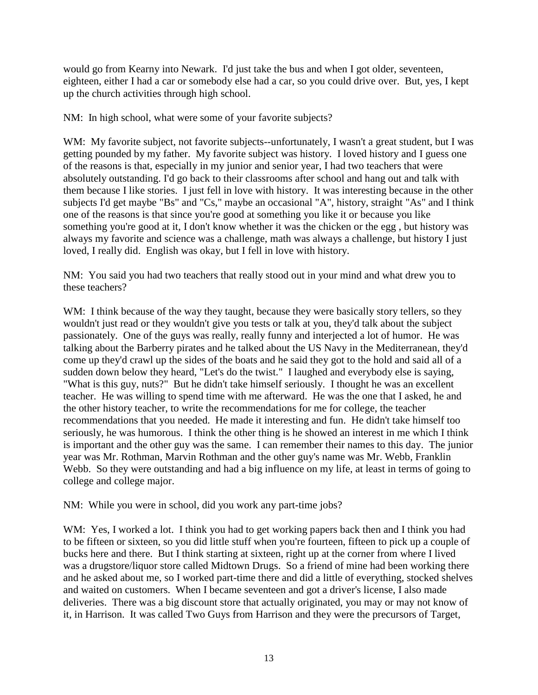would go from Kearny into Newark. I'd just take the bus and when I got older, seventeen, eighteen, either I had a car or somebody else had a car, so you could drive over. But, yes, I kept up the church activities through high school.

NM: In high school, what were some of your favorite subjects?

WM: My favorite subject, not favorite subjects--unfortunately, I wasn't a great student, but I was getting pounded by my father. My favorite subject was history. I loved history and I guess one of the reasons is that, especially in my junior and senior year, I had two teachers that were absolutely outstanding. I'd go back to their classrooms after school and hang out and talk with them because I like stories. I just fell in love with history. It was interesting because in the other subjects I'd get maybe "Bs" and "Cs," maybe an occasional "A", history, straight "As" and I think one of the reasons is that since you're good at something you like it or because you like something you're good at it, I don't know whether it was the chicken or the egg , but history was always my favorite and science was a challenge, math was always a challenge, but history I just loved, I really did. English was okay, but I fell in love with history.

NM: You said you had two teachers that really stood out in your mind and what drew you to these teachers?

WM: I think because of the way they taught, because they were basically story tellers, so they wouldn't just read or they wouldn't give you tests or talk at you, they'd talk about the subject passionately. One of the guys was really, really funny and interjected a lot of humor. He was talking about the Barberry pirates and he talked about the US Navy in the Mediterranean, they'd come up they'd crawl up the sides of the boats and he said they got to the hold and said all of a sudden down below they heard, "Let's do the twist." I laughed and everybody else is saying, "What is this guy, nuts?" But he didn't take himself seriously. I thought he was an excellent teacher. He was willing to spend time with me afterward. He was the one that I asked, he and the other history teacher, to write the recommendations for me for college, the teacher recommendations that you needed. He made it interesting and fun. He didn't take himself too seriously, he was humorous. I think the other thing is he showed an interest in me which I think is important and the other guy was the same. I can remember their names to this day. The junior year was Mr. Rothman, Marvin Rothman and the other guy's name was Mr. Webb, Franklin Webb. So they were outstanding and had a big influence on my life, at least in terms of going to college and college major.

NM: While you were in school, did you work any part-time jobs?

WM: Yes, I worked a lot. I think you had to get working papers back then and I think you had to be fifteen or sixteen, so you did little stuff when you're fourteen, fifteen to pick up a couple of bucks here and there. But I think starting at sixteen, right up at the corner from where I lived was a drugstore/liquor store called Midtown Drugs. So a friend of mine had been working there and he asked about me, so I worked part-time there and did a little of everything, stocked shelves and waited on customers. When I became seventeen and got a driver's license, I also made deliveries. There was a big discount store that actually originated, you may or may not know of it, in Harrison. It was called Two Guys from Harrison and they were the precursors of Target,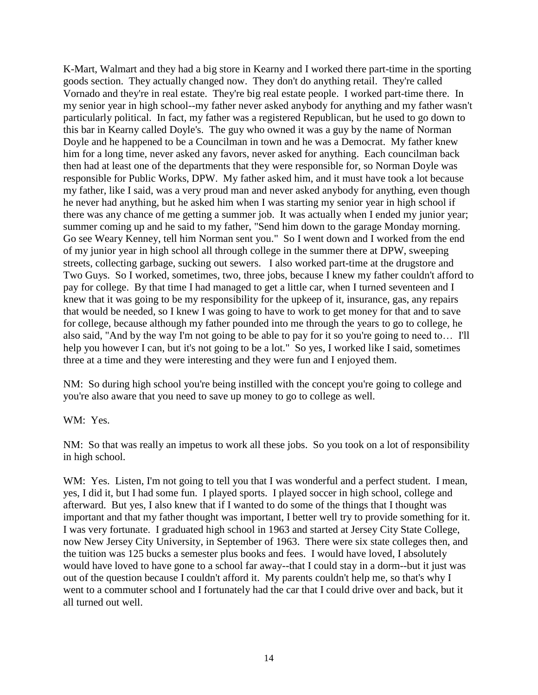K-Mart, Walmart and they had a big store in Kearny and I worked there part-time in the sporting goods section. They actually changed now. They don't do anything retail. They're called Vornado and they're in real estate. They're big real estate people. I worked part-time there. In my senior year in high school--my father never asked anybody for anything and my father wasn't particularly political. In fact, my father was a registered Republican, but he used to go down to this bar in Kearny called Doyle's. The guy who owned it was a guy by the name of Norman Doyle and he happened to be a Councilman in town and he was a Democrat. My father knew him for a long time, never asked any favors, never asked for anything. Each councilman back then had at least one of the departments that they were responsible for, so Norman Doyle was responsible for Public Works, DPW. My father asked him, and it must have took a lot because my father, like I said, was a very proud man and never asked anybody for anything, even though he never had anything, but he asked him when I was starting my senior year in high school if there was any chance of me getting a summer job. It was actually when I ended my junior year; summer coming up and he said to my father, "Send him down to the garage Monday morning. Go see Weary Kenney, tell him Norman sent you." So I went down and I worked from the end of my junior year in high school all through college in the summer there at DPW, sweeping streets, collecting garbage, sucking out sewers. I also worked part-time at the drugstore and Two Guys. So I worked, sometimes, two, three jobs, because I knew my father couldn't afford to pay for college. By that time I had managed to get a little car, when I turned seventeen and I knew that it was going to be my responsibility for the upkeep of it, insurance, gas, any repairs that would be needed, so I knew I was going to have to work to get money for that and to save for college, because although my father pounded into me through the years to go to college, he also said, "And by the way I'm not going to be able to pay for it so you're going to need to… I'll help you however I can, but it's not going to be a lot." So yes, I worked like I said, sometimes three at a time and they were interesting and they were fun and I enjoyed them.

NM: So during high school you're being instilled with the concept you're going to college and you're also aware that you need to save up money to go to college as well.

WM: Yes.

NM: So that was really an impetus to work all these jobs. So you took on a lot of responsibility in high school.

WM: Yes. Listen, I'm not going to tell you that I was wonderful and a perfect student. I mean, yes, I did it, but I had some fun. I played sports. I played soccer in high school, college and afterward. But yes, I also knew that if I wanted to do some of the things that I thought was important and that my father thought was important, I better well try to provide something for it. I was very fortunate. I graduated high school in 1963 and started at Jersey City State College, now New Jersey City University, in September of 1963. There were six state colleges then, and the tuition was 125 bucks a semester plus books and fees. I would have loved, I absolutely would have loved to have gone to a school far away--that I could stay in a dorm--but it just was out of the question because I couldn't afford it. My parents couldn't help me, so that's why I went to a commuter school and I fortunately had the car that I could drive over and back, but it all turned out well.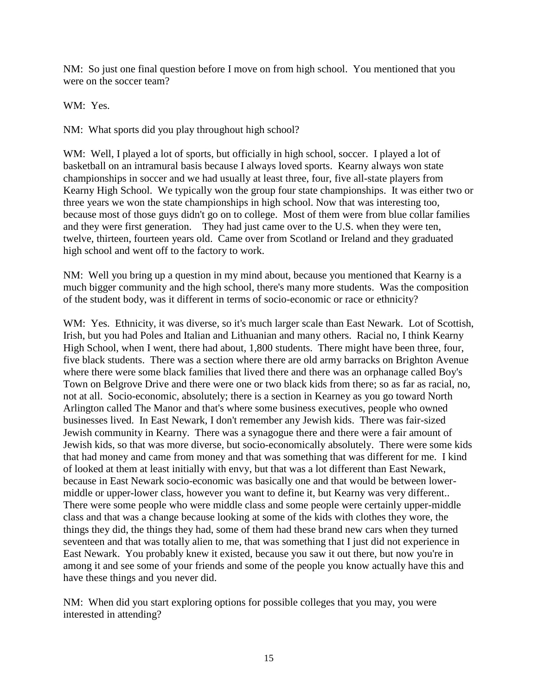NM: So just one final question before I move on from high school. You mentioned that you were on the soccer team?

WM: Yes.

NM: What sports did you play throughout high school?

WM: Well, I played a lot of sports, but officially in high school, soccer. I played a lot of basketball on an intramural basis because I always loved sports. Kearny always won state championships in soccer and we had usually at least three, four, five all-state players from Kearny High School. We typically won the group four state championships. It was either two or three years we won the state championships in high school. Now that was interesting too, because most of those guys didn't go on to college. Most of them were from blue collar families and they were first generation. They had just came over to the U.S. when they were ten, twelve, thirteen, fourteen years old. Came over from Scotland or Ireland and they graduated high school and went off to the factory to work.

NM: Well you bring up a question in my mind about, because you mentioned that Kearny is a much bigger community and the high school, there's many more students. Was the composition of the student body, was it different in terms of socio-economic or race or ethnicity?

WM: Yes. Ethnicity, it was diverse, so it's much larger scale than East Newark. Lot of Scottish, Irish, but you had Poles and Italian and Lithuanian and many others. Racial no, I think Kearny High School, when I went, there had about, 1,800 students. There might have been three, four, five black students. There was a section where there are old army barracks on Brighton Avenue where there were some black families that lived there and there was an orphanage called Boy's Town on Belgrove Drive and there were one or two black kids from there; so as far as racial, no, not at all. Socio-economic, absolutely; there is a section in Kearney as you go toward North Arlington called The Manor and that's where some business executives, people who owned businesses lived. In East Newark, I don't remember any Jewish kids. There was fair-sized Jewish community in Kearny. There was a synagogue there and there were a fair amount of Jewish kids, so that was more diverse, but socio-economically absolutely. There were some kids that had money and came from money and that was something that was different for me. I kind of looked at them at least initially with envy, but that was a lot different than East Newark, because in East Newark socio-economic was basically one and that would be between lowermiddle or upper-lower class, however you want to define it, but Kearny was very different.. There were some people who were middle class and some people were certainly upper-middle class and that was a change because looking at some of the kids with clothes they wore, the things they did, the things they had, some of them had these brand new cars when they turned seventeen and that was totally alien to me, that was something that I just did not experience in East Newark. You probably knew it existed, because you saw it out there, but now you're in among it and see some of your friends and some of the people you know actually have this and have these things and you never did.

NM: When did you start exploring options for possible colleges that you may, you were interested in attending?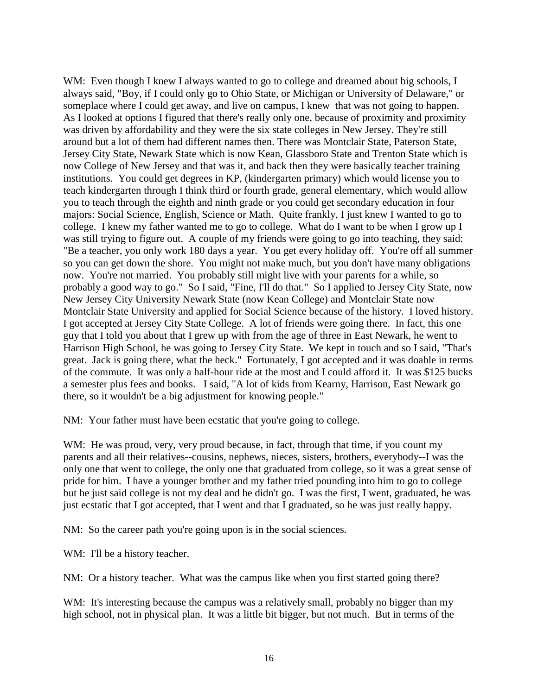WM: Even though I knew I always wanted to go to college and dreamed about big schools, I always said, "Boy, if I could only go to Ohio State, or Michigan or University of Delaware," or someplace where I could get away, and live on campus, I knew that was not going to happen. As I looked at options I figured that there's really only one, because of proximity and proximity was driven by affordability and they were the six state colleges in New Jersey. They're still around but a lot of them had different names then. There was Montclair State, Paterson State, Jersey City State, Newark State which is now Kean, Glassboro State and Trenton State which is now College of New Jersey and that was it, and back then they were basically teacher training institutions. You could get degrees in KP, (kindergarten primary) which would license you to teach kindergarten through I think third or fourth grade, general elementary, which would allow you to teach through the eighth and ninth grade or you could get secondary education in four majors: Social Science, English, Science or Math. Quite frankly, I just knew I wanted to go to college. I knew my father wanted me to go to college. What do I want to be when I grow up I was still trying to figure out. A couple of my friends were going to go into teaching, they said: "Be a teacher, you only work 180 days a year. You get every holiday off. You're off all summer so you can get down the shore. You might not make much, but you don't have many obligations now. You're not married. You probably still might live with your parents for a while, so probably a good way to go." So I said, "Fine, I'll do that." So I applied to Jersey City State, now New Jersey City University Newark State (now Kean College) and Montclair State now Montclair State University and applied for Social Science because of the history. I loved history. I got accepted at Jersey City State College. A lot of friends were going there. In fact, this one guy that I told you about that I grew up with from the age of three in East Newark, he went to Harrison High School, he was going to Jersey City State. We kept in touch and so I said, "That's great. Jack is going there, what the heck." Fortunately, I got accepted and it was doable in terms of the commute. It was only a half-hour ride at the most and I could afford it. It was \$125 bucks a semester plus fees and books. I said, "A lot of kids from Kearny, Harrison, East Newark go there, so it wouldn't be a big adjustment for knowing people."

NM: Your father must have been ecstatic that you're going to college.

WM: He was proud, very, very proud because, in fact, through that time, if you count my parents and all their relatives--cousins, nephews, nieces, sisters, brothers, everybody--I was the only one that went to college, the only one that graduated from college, so it was a great sense of pride for him. I have a younger brother and my father tried pounding into him to go to college but he just said college is not my deal and he didn't go. I was the first, I went, graduated, he was just ecstatic that I got accepted, that I went and that I graduated, so he was just really happy.

NM: So the career path you're going upon is in the social sciences.

WM: I'll be a history teacher.

NM: Or a history teacher. What was the campus like when you first started going there?

WM: It's interesting because the campus was a relatively small, probably no bigger than my high school, not in physical plan. It was a little bit bigger, but not much. But in terms of the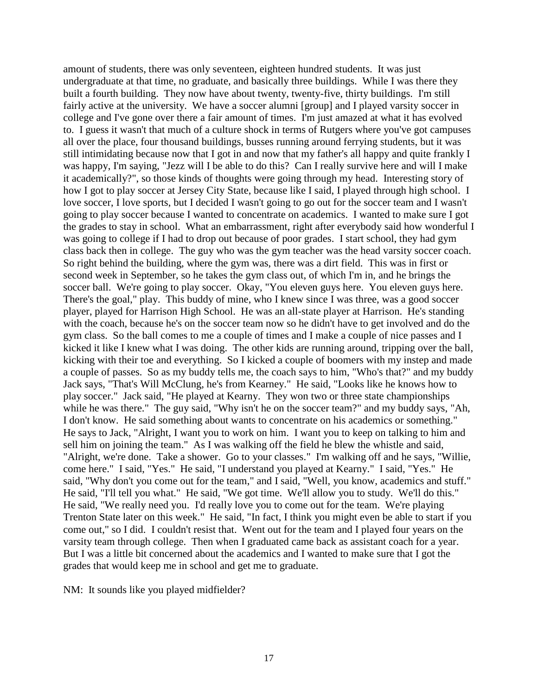amount of students, there was only seventeen, eighteen hundred students. It was just undergraduate at that time, no graduate, and basically three buildings. While I was there they built a fourth building. They now have about twenty, twenty-five, thirty buildings. I'm still fairly active at the university. We have a soccer alumni [group] and I played varsity soccer in college and I've gone over there a fair amount of times. I'm just amazed at what it has evolved to. I guess it wasn't that much of a culture shock in terms of Rutgers where you've got campuses all over the place, four thousand buildings, busses running around ferrying students, but it was still intimidating because now that I got in and now that my father's all happy and quite frankly I was happy, I'm saying, "Jezz will I be able to do this? Can I really survive here and will I make it academically?", so those kinds of thoughts were going through my head. Interesting story of how I got to play soccer at Jersey City State, because like I said, I played through high school. I love soccer, I love sports, but I decided I wasn't going to go out for the soccer team and I wasn't going to play soccer because I wanted to concentrate on academics. I wanted to make sure I got the grades to stay in school. What an embarrassment, right after everybody said how wonderful I was going to college if I had to drop out because of poor grades. I start school, they had gym class back then in college. The guy who was the gym teacher was the head varsity soccer coach. So right behind the building, where the gym was, there was a dirt field. This was in first or second week in September, so he takes the gym class out, of which I'm in, and he brings the soccer ball. We're going to play soccer. Okay, "You eleven guys here. You eleven guys here. There's the goal," play. This buddy of mine, who I knew since I was three, was a good soccer player, played for Harrison High School. He was an all-state player at Harrison. He's standing with the coach, because he's on the soccer team now so he didn't have to get involved and do the gym class. So the ball comes to me a couple of times and I make a couple of nice passes and I kicked it like I knew what I was doing. The other kids are running around, tripping over the ball, kicking with their toe and everything. So I kicked a couple of boomers with my instep and made a couple of passes. So as my buddy tells me, the coach says to him, "Who's that?" and my buddy Jack says, "That's Will McClung, he's from Kearney." He said, "Looks like he knows how to play soccer." Jack said, "He played at Kearny. They won two or three state championships while he was there." The guy said, "Why isn't he on the soccer team?" and my buddy says, "Ah, I don't know. He said something about wants to concentrate on his academics or something." He says to Jack, "Alright, I want you to work on him. I want you to keep on talking to him and sell him on joining the team." As I was walking off the field he blew the whistle and said, "Alright, we're done. Take a shower. Go to your classes." I'm walking off and he says, "Willie, come here." I said, "Yes." He said, "I understand you played at Kearny." I said, "Yes." He said, "Why don't you come out for the team," and I said, "Well, you know, academics and stuff." He said, "I'll tell you what." He said, "We got time. We'll allow you to study. We'll do this." He said, "We really need you. I'd really love you to come out for the team. We're playing Trenton State later on this week." He said, "In fact, I think you might even be able to start if you come out," so I did. I couldn't resist that. Went out for the team and I played four years on the varsity team through college. Then when I graduated came back as assistant coach for a year. But I was a little bit concerned about the academics and I wanted to make sure that I got the grades that would keep me in school and get me to graduate.

NM: It sounds like you played midfielder?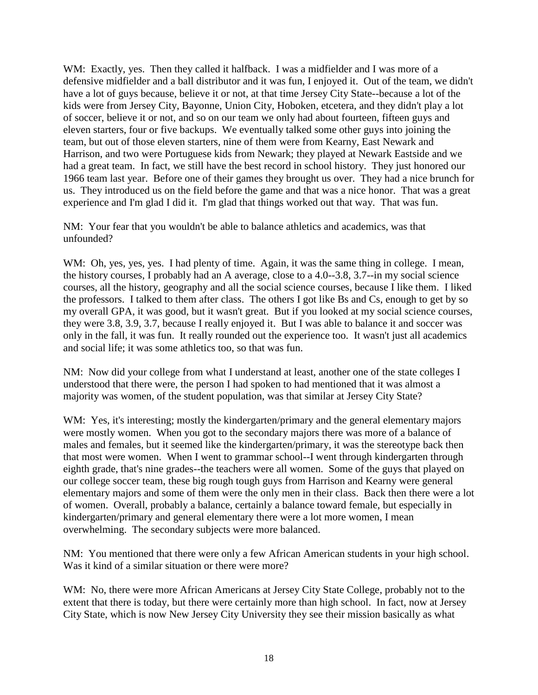WM: Exactly, yes. Then they called it halfback. I was a midfielder and I was more of a defensive midfielder and a ball distributor and it was fun, I enjoyed it. Out of the team, we didn't have a lot of guys because, believe it or not, at that time Jersey City State--because a lot of the kids were from Jersey City, Bayonne, Union City, Hoboken, etcetera, and they didn't play a lot of soccer, believe it or not, and so on our team we only had about fourteen, fifteen guys and eleven starters, four or five backups. We eventually talked some other guys into joining the team, but out of those eleven starters, nine of them were from Kearny, East Newark and Harrison, and two were Portuguese kids from Newark; they played at Newark Eastside and we had a great team. In fact, we still have the best record in school history. They just honored our 1966 team last year. Before one of their games they brought us over. They had a nice brunch for us. They introduced us on the field before the game and that was a nice honor. That was a great experience and I'm glad I did it. I'm glad that things worked out that way. That was fun.

NM: Your fear that you wouldn't be able to balance athletics and academics, was that unfounded?

WM: Oh, yes, yes, yes. I had plenty of time. Again, it was the same thing in college. I mean, the history courses, I probably had an A average, close to a 4.0--3.8, 3.7--in my social science courses, all the history, geography and all the social science courses, because I like them. I liked the professors. I talked to them after class. The others I got like Bs and Cs, enough to get by so my overall GPA, it was good, but it wasn't great. But if you looked at my social science courses, they were 3.8, 3.9, 3.7, because I really enjoyed it. But I was able to balance it and soccer was only in the fall, it was fun. It really rounded out the experience too. It wasn't just all academics and social life; it was some athletics too, so that was fun.

NM: Now did your college from what I understand at least, another one of the state colleges I understood that there were, the person I had spoken to had mentioned that it was almost a majority was women, of the student population, was that similar at Jersey City State?

WM: Yes, it's interesting; mostly the kindergarten/primary and the general elementary majors were mostly women. When you got to the secondary majors there was more of a balance of males and females, but it seemed like the kindergarten/primary, it was the stereotype back then that most were women. When I went to grammar school--I went through kindergarten through eighth grade, that's nine grades--the teachers were all women. Some of the guys that played on our college soccer team, these big rough tough guys from Harrison and Kearny were general elementary majors and some of them were the only men in their class. Back then there were a lot of women. Overall, probably a balance, certainly a balance toward female, but especially in kindergarten/primary and general elementary there were a lot more women, I mean overwhelming. The secondary subjects were more balanced.

NM: You mentioned that there were only a few African American students in your high school. Was it kind of a similar situation or there were more?

WM: No, there were more African Americans at Jersey City State College, probably not to the extent that there is today, but there were certainly more than high school. In fact, now at Jersey City State, which is now New Jersey City University they see their mission basically as what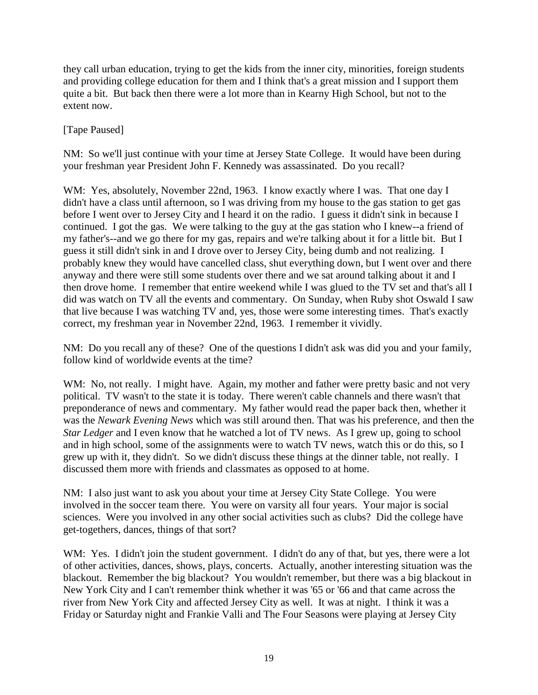they call urban education, trying to get the kids from the inner city, minorities, foreign students and providing college education for them and I think that's a great mission and I support them quite a bit. But back then there were a lot more than in Kearny High School, but not to the extent now.

## [Tape Paused]

NM: So we'll just continue with your time at Jersey State College. It would have been during your freshman year President John F. Kennedy was assassinated. Do you recall?

WM: Yes, absolutely, November 22nd, 1963. I know exactly where I was. That one day I didn't have a class until afternoon, so I was driving from my house to the gas station to get gas before I went over to Jersey City and I heard it on the radio. I guess it didn't sink in because I continued. I got the gas. We were talking to the guy at the gas station who I knew--a friend of my father's--and we go there for my gas, repairs and we're talking about it for a little bit. But I guess it still didn't sink in and I drove over to Jersey City, being dumb and not realizing. I probably knew they would have cancelled class, shut everything down, but I went over and there anyway and there were still some students over there and we sat around talking about it and I then drove home. I remember that entire weekend while I was glued to the TV set and that's all I did was watch on TV all the events and commentary. On Sunday, when Ruby shot Oswald I saw that live because I was watching TV and, yes, those were some interesting times. That's exactly correct, my freshman year in November 22nd, 1963. I remember it vividly.

NM: Do you recall any of these? One of the questions I didn't ask was did you and your family, follow kind of worldwide events at the time?

WM: No, not really. I might have. Again, my mother and father were pretty basic and not very political. TV wasn't to the state it is today. There weren't cable channels and there wasn't that preponderance of news and commentary. My father would read the paper back then, whether it was the *Newark Evening News* which was still around then. That was his preference, and then the *Star Ledger* and I even know that he watched a lot of TV news. As I grew up, going to school and in high school, some of the assignments were to watch TV news, watch this or do this, so I grew up with it, they didn't. So we didn't discuss these things at the dinner table, not really. I discussed them more with friends and classmates as opposed to at home.

NM: I also just want to ask you about your time at Jersey City State College. You were involved in the soccer team there. You were on varsity all four years. Your major is social sciences. Were you involved in any other social activities such as clubs? Did the college have get-togethers, dances, things of that sort?

WM: Yes. I didn't join the student government. I didn't do any of that, but yes, there were a lot of other activities, dances, shows, plays, concerts. Actually, another interesting situation was the blackout. Remember the big blackout? You wouldn't remember, but there was a big blackout in New York City and I can't remember think whether it was '65 or '66 and that came across the river from New York City and affected Jersey City as well. It was at night. I think it was a Friday or Saturday night and Frankie Valli and The Four Seasons were playing at Jersey City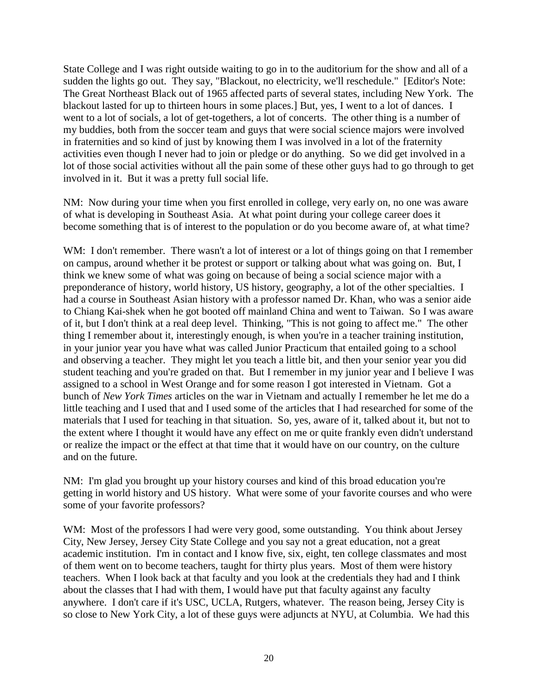State College and I was right outside waiting to go in to the auditorium for the show and all of a sudden the lights go out. They say, "Blackout, no electricity, we'll reschedule." [Editor's Note: The Great Northeast Black out of 1965 affected parts of several states, including New York. The blackout lasted for up to thirteen hours in some places.] But, yes, I went to a lot of dances. I went to a lot of socials, a lot of get-togethers, a lot of concerts. The other thing is a number of my buddies, both from the soccer team and guys that were social science majors were involved in fraternities and so kind of just by knowing them I was involved in a lot of the fraternity activities even though I never had to join or pledge or do anything. So we did get involved in a lot of those social activities without all the pain some of these other guys had to go through to get involved in it. But it was a pretty full social life.

NM: Now during your time when you first enrolled in college, very early on, no one was aware of what is developing in Southeast Asia. At what point during your college career does it become something that is of interest to the population or do you become aware of, at what time?

WM: I don't remember. There wasn't a lot of interest or a lot of things going on that I remember on campus, around whether it be protest or support or talking about what was going on. But, I think we knew some of what was going on because of being a social science major with a preponderance of history, world history, US history, geography, a lot of the other specialties. I had a course in Southeast Asian history with a professor named Dr. Khan, who was a senior aide to Chiang Kai-shek when he got booted off mainland China and went to Taiwan. So I was aware of it, but I don't think at a real deep level. Thinking, "This is not going to affect me." The other thing I remember about it, interestingly enough, is when you're in a teacher training institution, in your junior year you have what was called Junior Practicum that entailed going to a school and observing a teacher. They might let you teach a little bit, and then your senior year you did student teaching and you're graded on that. But I remember in my junior year and I believe I was assigned to a school in West Orange and for some reason I got interested in Vietnam. Got a bunch of *New York Times* articles on the war in Vietnam and actually I remember he let me do a little teaching and I used that and I used some of the articles that I had researched for some of the materials that I used for teaching in that situation. So, yes, aware of it, talked about it, but not to the extent where I thought it would have any effect on me or quite frankly even didn't understand or realize the impact or the effect at that time that it would have on our country, on the culture and on the future.

NM: I'm glad you brought up your history courses and kind of this broad education you're getting in world history and US history. What were some of your favorite courses and who were some of your favorite professors?

WM: Most of the professors I had were very good, some outstanding. You think about Jersey City, New Jersey, Jersey City State College and you say not a great education, not a great academic institution. I'm in contact and I know five, six, eight, ten college classmates and most of them went on to become teachers, taught for thirty plus years. Most of them were history teachers. When I look back at that faculty and you look at the credentials they had and I think about the classes that I had with them, I would have put that faculty against any faculty anywhere. I don't care if it's USC, UCLA, Rutgers, whatever. The reason being, Jersey City is so close to New York City, a lot of these guys were adjuncts at NYU, at Columbia. We had this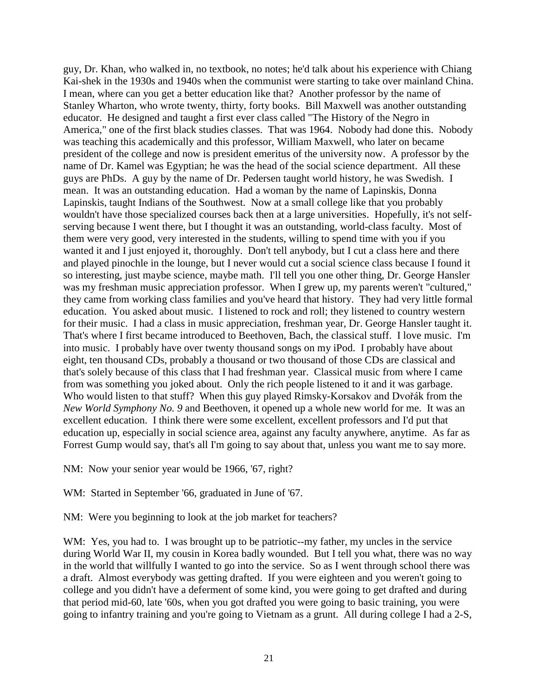guy, Dr. Khan, who walked in, no textbook, no notes; he'd talk about his experience with Chiang Kai-shek in the 1930s and 1940s when the communist were starting to take over mainland China. I mean, where can you get a better education like that? Another professor by the name of Stanley Wharton, who wrote twenty, thirty, forty books. Bill Maxwell was another outstanding educator. He designed and taught a first ever class called "The History of the Negro in America," one of the first black studies classes. That was 1964. Nobody had done this. Nobody was teaching this academically and this professor, William Maxwell, who later on became president of the college and now is president emeritus of the university now. A professor by the name of Dr. Kamel was Egyptian; he was the head of the social science department. All these guys are PhDs. A guy by the name of Dr. Pedersen taught world history, he was Swedish. I mean. It was an outstanding education. Had a woman by the name of Lapinskis, Donna Lapinskis, taught Indians of the Southwest. Now at a small college like that you probably wouldn't have those specialized courses back then at a large universities. Hopefully, it's not selfserving because I went there, but I thought it was an outstanding, world-class faculty. Most of them were very good, very interested in the students, willing to spend time with you if you wanted it and I just enjoyed it, thoroughly. Don't tell anybody, but I cut a class here and there and played pinochle in the lounge, but I never would cut a social science class because I found it so interesting, just maybe science, maybe math. I'll tell you one other thing, Dr. George Hansler was my freshman music appreciation professor. When I grew up, my parents weren't "cultured," they came from working class families and you've heard that history. They had very little formal education. You asked about music. I listened to rock and roll; they listened to country western for their music. I had a class in music appreciation, freshman year, Dr. George Hansler taught it. That's where I first became introduced to Beethoven, Bach, the classical stuff. I love music. I'm into music. I probably have over twenty thousand songs on my iPod. I probably have about eight, ten thousand CDs, probably a thousand or two thousand of those CDs are classical and that's solely because of this class that I had freshman year. Classical music from where I came from was something you joked about. Only the rich people listened to it and it was garbage. Who would listen to that stuff? When this guy played Rimsky-Korsakov and Dvořák from the *New World Symphony No. 9* and Beethoven, it opened up a whole new world for me. It was an excellent education. I think there were some excellent, excellent professors and I'd put that education up, especially in social science area, against any faculty anywhere, anytime. As far as Forrest Gump would say, that's all I'm going to say about that, unless you want me to say more.

NM: Now your senior year would be 1966, '67, right?

WM: Started in September '66, graduated in June of '67.

NM: Were you beginning to look at the job market for teachers?

WM: Yes, you had to. I was brought up to be patriotic--my father, my uncles in the service during World War II, my cousin in Korea badly wounded. But I tell you what, there was no way in the world that willfully I wanted to go into the service. So as I went through school there was a draft. Almost everybody was getting drafted. If you were eighteen and you weren't going to college and you didn't have a deferment of some kind, you were going to get drafted and during that period mid-60, late '60s, when you got drafted you were going to basic training, you were going to infantry training and you're going to Vietnam as a grunt. All during college I had a 2-S,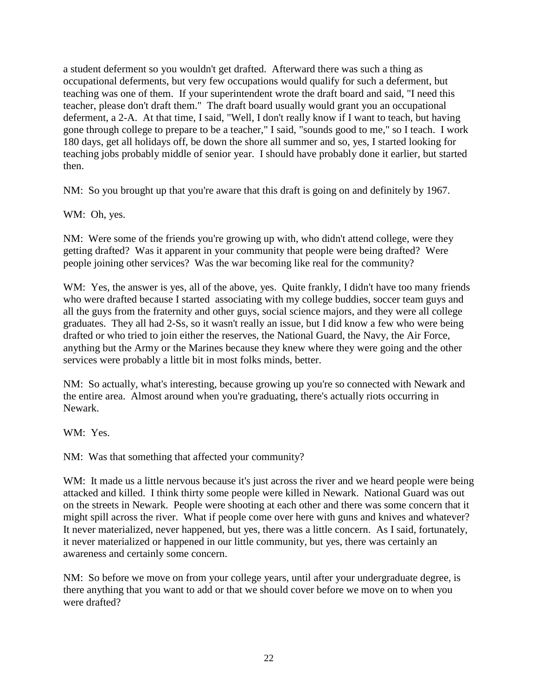a student deferment so you wouldn't get drafted. Afterward there was such a thing as occupational deferments, but very few occupations would qualify for such a deferment, but teaching was one of them. If your superintendent wrote the draft board and said, "I need this teacher, please don't draft them." The draft board usually would grant you an occupational deferment, a 2-A. At that time, I said, "Well, I don't really know if I want to teach, but having gone through college to prepare to be a teacher," I said, "sounds good to me," so I teach. I work 180 days, get all holidays off, be down the shore all summer and so, yes, I started looking for teaching jobs probably middle of senior year. I should have probably done it earlier, but started then.

NM: So you brought up that you're aware that this draft is going on and definitely by 1967.

WM: Oh, yes.

NM: Were some of the friends you're growing up with, who didn't attend college, were they getting drafted? Was it apparent in your community that people were being drafted? Were people joining other services? Was the war becoming like real for the community?

WM: Yes, the answer is yes, all of the above, yes. Quite frankly, I didn't have too many friends who were drafted because I started associating with my college buddies, soccer team guys and all the guys from the fraternity and other guys, social science majors, and they were all college graduates. They all had 2-Ss, so it wasn't really an issue, but I did know a few who were being drafted or who tried to join either the reserves, the National Guard, the Navy, the Air Force, anything but the Army or the Marines because they knew where they were going and the other services were probably a little bit in most folks minds, better.

NM: So actually, what's interesting, because growing up you're so connected with Newark and the entire area. Almost around when you're graduating, there's actually riots occurring in Newark.

WM: Yes.

NM: Was that something that affected your community?

WM: It made us a little nervous because it's just across the river and we heard people were being attacked and killed. I think thirty some people were killed in Newark. National Guard was out on the streets in Newark. People were shooting at each other and there was some concern that it might spill across the river. What if people come over here with guns and knives and whatever? It never materialized, never happened, but yes, there was a little concern. As I said, fortunately, it never materialized or happened in our little community, but yes, there was certainly an awareness and certainly some concern.

NM: So before we move on from your college years, until after your undergraduate degree, is there anything that you want to add or that we should cover before we move on to when you were drafted?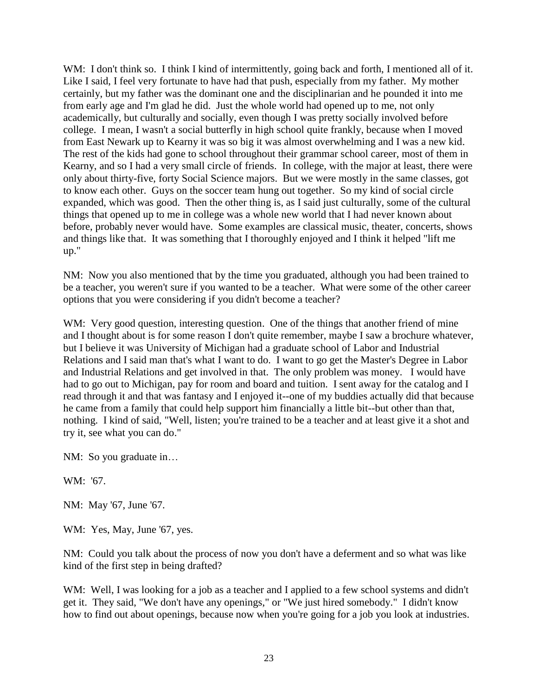WM: I don't think so. I think I kind of intermittently, going back and forth, I mentioned all of it. Like I said, I feel very fortunate to have had that push, especially from my father. My mother certainly, but my father was the dominant one and the disciplinarian and he pounded it into me from early age and I'm glad he did. Just the whole world had opened up to me, not only academically, but culturally and socially, even though I was pretty socially involved before college. I mean, I wasn't a social butterfly in high school quite frankly, because when I moved from East Newark up to Kearny it was so big it was almost overwhelming and I was a new kid. The rest of the kids had gone to school throughout their grammar school career, most of them in Kearny, and so I had a very small circle of friends. In college, with the major at least, there were only about thirty-five, forty Social Science majors. But we were mostly in the same classes, got to know each other. Guys on the soccer team hung out together. So my kind of social circle expanded, which was good. Then the other thing is, as I said just culturally, some of the cultural things that opened up to me in college was a whole new world that I had never known about before, probably never would have. Some examples are classical music, theater, concerts, shows and things like that. It was something that I thoroughly enjoyed and I think it helped "lift me up."

NM: Now you also mentioned that by the time you graduated, although you had been trained to be a teacher, you weren't sure if you wanted to be a teacher. What were some of the other career options that you were considering if you didn't become a teacher?

WM: Very good question, interesting question. One of the things that another friend of mine and I thought about is for some reason I don't quite remember, maybe I saw a brochure whatever, but I believe it was University of Michigan had a graduate school of Labor and Industrial Relations and I said man that's what I want to do. I want to go get the Master's Degree in Labor and Industrial Relations and get involved in that. The only problem was money. I would have had to go out to Michigan, pay for room and board and tuition. I sent away for the catalog and I read through it and that was fantasy and I enjoyed it--one of my buddies actually did that because he came from a family that could help support him financially a little bit--but other than that, nothing. I kind of said, "Well, listen; you're trained to be a teacher and at least give it a shot and try it, see what you can do."

NM: So you graduate in…

WM: '67.

NM: May '67, June '67.

WM: Yes, May, June '67, yes.

NM: Could you talk about the process of now you don't have a deferment and so what was like kind of the first step in being drafted?

WM: Well, I was looking for a job as a teacher and I applied to a few school systems and didn't get it. They said, "We don't have any openings," or "We just hired somebody." I didn't know how to find out about openings, because now when you're going for a job you look at industries.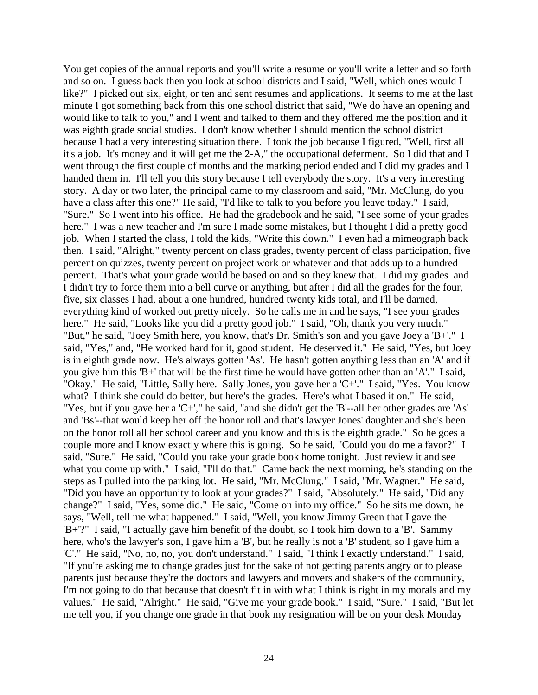You get copies of the annual reports and you'll write a resume or you'll write a letter and so forth and so on. I guess back then you look at school districts and I said, "Well, which ones would I like?" I picked out six, eight, or ten and sent resumes and applications. It seems to me at the last minute I got something back from this one school district that said, "We do have an opening and would like to talk to you," and I went and talked to them and they offered me the position and it was eighth grade social studies. I don't know whether I should mention the school district because I had a very interesting situation there. I took the job because I figured, "Well, first all it's a job. It's money and it will get me the 2-A," the occupational deferment. So I did that and I went through the first couple of months and the marking period ended and I did my grades and I handed them in. I'll tell you this story because I tell everybody the story. It's a very interesting story. A day or two later, the principal came to my classroom and said, "Mr. McClung, do you have a class after this one?" He said, "I'd like to talk to you before you leave today." I said, "Sure." So I went into his office. He had the gradebook and he said, "I see some of your grades here." I was a new teacher and I'm sure I made some mistakes, but I thought I did a pretty good job. When I started the class, I told the kids, "Write this down." I even had a mimeograph back then. I said, "Alright," twenty percent on class grades, twenty percent of class participation, five percent on quizzes, twenty percent on project work or whatever and that adds up to a hundred percent. That's what your grade would be based on and so they knew that. I did my grades and I didn't try to force them into a bell curve or anything, but after I did all the grades for the four, five, six classes I had, about a one hundred, hundred twenty kids total, and I'll be darned, everything kind of worked out pretty nicely. So he calls me in and he says, "I see your grades here." He said, "Looks like you did a pretty good job." I said, "Oh, thank you very much." "But," he said, "Joey Smith here, you know, that's Dr. Smith's son and you gave Joey a 'B+'." I said, "Yes," and, "He worked hard for it, good student. He deserved it." He said, "Yes, but Joey is in eighth grade now. He's always gotten 'As'. He hasn't gotten anything less than an 'A' and if you give him this 'B+' that will be the first time he would have gotten other than an 'A'." I said, "Okay." He said, "Little, Sally here. Sally Jones, you gave her a 'C+'." I said, "Yes. You know what? I think she could do better, but here's the grades. Here's what I based it on." He said, "Yes, but if you gave her a 'C+'," he said, "and she didn't get the 'B'--all her other grades are 'As' and 'Bs'--that would keep her off the honor roll and that's lawyer Jones' daughter and she's been on the honor roll all her school career and you know and this is the eighth grade." So he goes a couple more and I know exactly where this is going. So he said, "Could you do me a favor?" I said, "Sure." He said, "Could you take your grade book home tonight. Just review it and see what you come up with." I said, "I'll do that." Came back the next morning, he's standing on the steps as I pulled into the parking lot. He said, "Mr. McClung." I said, "Mr. Wagner." He said, "Did you have an opportunity to look at your grades?" I said, "Absolutely." He said, "Did any change?" I said, "Yes, some did." He said, "Come on into my office." So he sits me down, he says, "Well, tell me what happened." I said, "Well, you know Jimmy Green that I gave the 'B+'?" I said, "I actually gave him benefit of the doubt, so I took him down to a 'B'. Sammy here, who's the lawyer's son, I gave him a 'B', but he really is not a 'B' student, so I gave him a 'C'." He said, "No, no, no, you don't understand." I said, "I think I exactly understand." I said, "If you're asking me to change grades just for the sake of not getting parents angry or to please parents just because they're the doctors and lawyers and movers and shakers of the community, I'm not going to do that because that doesn't fit in with what I think is right in my morals and my values." He said, "Alright." He said, "Give me your grade book." I said, "Sure." I said, "But let me tell you, if you change one grade in that book my resignation will be on your desk Monday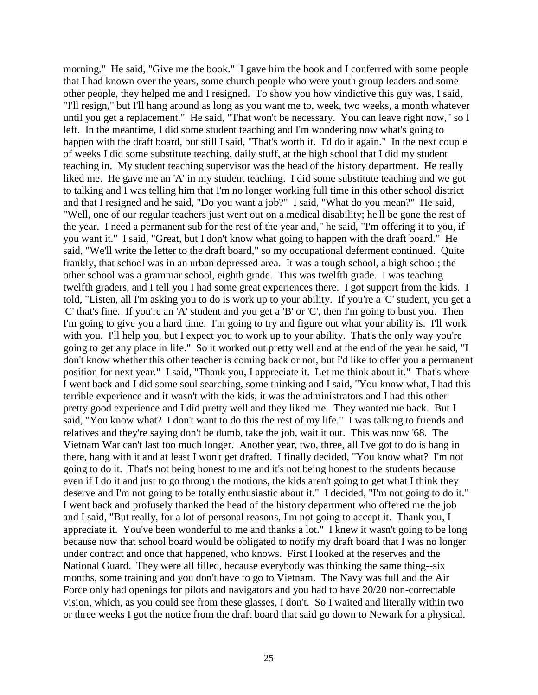morning." He said, "Give me the book." I gave him the book and I conferred with some people that I had known over the years, some church people who were youth group leaders and some other people, they helped me and I resigned. To show you how vindictive this guy was, I said, "I'll resign," but I'll hang around as long as you want me to, week, two weeks, a month whatever until you get a replacement." He said, "That won't be necessary. You can leave right now," so I left. In the meantime, I did some student teaching and I'm wondering now what's going to happen with the draft board, but still I said, "That's worth it. I'd do it again." In the next couple of weeks I did some substitute teaching, daily stuff, at the high school that I did my student teaching in. My student teaching supervisor was the head of the history department. He really liked me. He gave me an 'A' in my student teaching. I did some substitute teaching and we got to talking and I was telling him that I'm no longer working full time in this other school district and that I resigned and he said, "Do you want a job?" I said, "What do you mean?" He said, "Well, one of our regular teachers just went out on a medical disability; he'll be gone the rest of the year. I need a permanent sub for the rest of the year and," he said, "I'm offering it to you, if you want it." I said, "Great, but I don't know what going to happen with the draft board." He said, "We'll write the letter to the draft board," so my occupational deferment continued. Quite frankly, that school was in an urban depressed area. It was a tough school, a high school; the other school was a grammar school, eighth grade. This was twelfth grade. I was teaching twelfth graders, and I tell you I had some great experiences there. I got support from the kids. I told, "Listen, all I'm asking you to do is work up to your ability. If you're a 'C' student, you get a 'C' that's fine. If you're an 'A' student and you get a 'B' or 'C', then I'm going to bust you. Then I'm going to give you a hard time. I'm going to try and figure out what your ability is. I'll work with you. I'll help you, but I expect you to work up to your ability. That's the only way you're going to get any place in life." So it worked out pretty well and at the end of the year he said, "I don't know whether this other teacher is coming back or not, but I'd like to offer you a permanent position for next year." I said, "Thank you, I appreciate it. Let me think about it." That's where I went back and I did some soul searching, some thinking and I said, "You know what, I had this terrible experience and it wasn't with the kids, it was the administrators and I had this other pretty good experience and I did pretty well and they liked me. They wanted me back. But I said, "You know what? I don't want to do this the rest of my life." I was talking to friends and relatives and they're saying don't be dumb, take the job, wait it out. This was now '68. The Vietnam War can't last too much longer. Another year, two, three, all I've got to do is hang in there, hang with it and at least I won't get drafted. I finally decided, "You know what? I'm not going to do it. That's not being honest to me and it's not being honest to the students because even if I do it and just to go through the motions, the kids aren't going to get what I think they deserve and I'm not going to be totally enthusiastic about it." I decided, "I'm not going to do it." I went back and profusely thanked the head of the history department who offered me the job and I said, "But really, for a lot of personal reasons, I'm not going to accept it. Thank you, I appreciate it. You've been wonderful to me and thanks a lot." I knew it wasn't going to be long because now that school board would be obligated to notify my draft board that I was no longer under contract and once that happened, who knows. First I looked at the reserves and the National Guard. They were all filled, because everybody was thinking the same thing--six months, some training and you don't have to go to Vietnam. The Navy was full and the Air Force only had openings for pilots and navigators and you had to have 20/20 non-correctable vision, which, as you could see from these glasses, I don't. So I waited and literally within two or three weeks I got the notice from the draft board that said go down to Newark for a physical.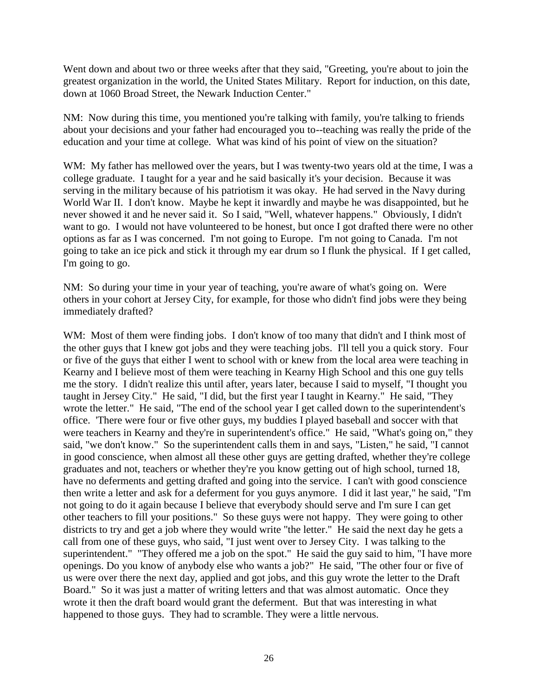Went down and about two or three weeks after that they said, "Greeting, you're about to join the greatest organization in the world, the United States Military. Report for induction, on this date, down at 1060 Broad Street, the Newark Induction Center."

NM: Now during this time, you mentioned you're talking with family, you're talking to friends about your decisions and your father had encouraged you to--teaching was really the pride of the education and your time at college. What was kind of his point of view on the situation?

WM: My father has mellowed over the years, but I was twenty-two years old at the time, I was a college graduate. I taught for a year and he said basically it's your decision. Because it was serving in the military because of his patriotism it was okay. He had served in the Navy during World War II. I don't know. Maybe he kept it inwardly and maybe he was disappointed, but he never showed it and he never said it. So I said, "Well, whatever happens." Obviously, I didn't want to go. I would not have volunteered to be honest, but once I got drafted there were no other options as far as I was concerned. I'm not going to Europe. I'm not going to Canada. I'm not going to take an ice pick and stick it through my ear drum so I flunk the physical. If I get called, I'm going to go.

NM: So during your time in your year of teaching, you're aware of what's going on. Were others in your cohort at Jersey City, for example, for those who didn't find jobs were they being immediately drafted?

WM: Most of them were finding jobs. I don't know of too many that didn't and I think most of the other guys that I knew got jobs and they were teaching jobs. I'll tell you a quick story. Four or five of the guys that either I went to school with or knew from the local area were teaching in Kearny and I believe most of them were teaching in Kearny High School and this one guy tells me the story. I didn't realize this until after, years later, because I said to myself, "I thought you taught in Jersey City." He said, "I did, but the first year I taught in Kearny." He said, "They wrote the letter." He said, "The end of the school year I get called down to the superintendent's office. 'There were four or five other guys, my buddies I played baseball and soccer with that were teachers in Kearny and they're in superintendent's office." He said, "What's going on," they said, "we don't know." So the superintendent calls them in and says, "Listen," he said, "I cannot in good conscience, when almost all these other guys are getting drafted, whether they're college graduates and not, teachers or whether they're you know getting out of high school, turned 18, have no deferments and getting drafted and going into the service. I can't with good conscience then write a letter and ask for a deferment for you guys anymore. I did it last year," he said, "I'm not going to do it again because I believe that everybody should serve and I'm sure I can get other teachers to fill your positions." So these guys were not happy. They were going to other districts to try and get a job where they would write "the letter." He said the next day he gets a call from one of these guys, who said, "I just went over to Jersey City. I was talking to the superintendent." "They offered me a job on the spot." He said the guy said to him, "I have more openings. Do you know of anybody else who wants a job?" He said, "The other four or five of us were over there the next day, applied and got jobs, and this guy wrote the letter to the Draft Board." So it was just a matter of writing letters and that was almost automatic. Once they wrote it then the draft board would grant the deferment. But that was interesting in what happened to those guys. They had to scramble. They were a little nervous.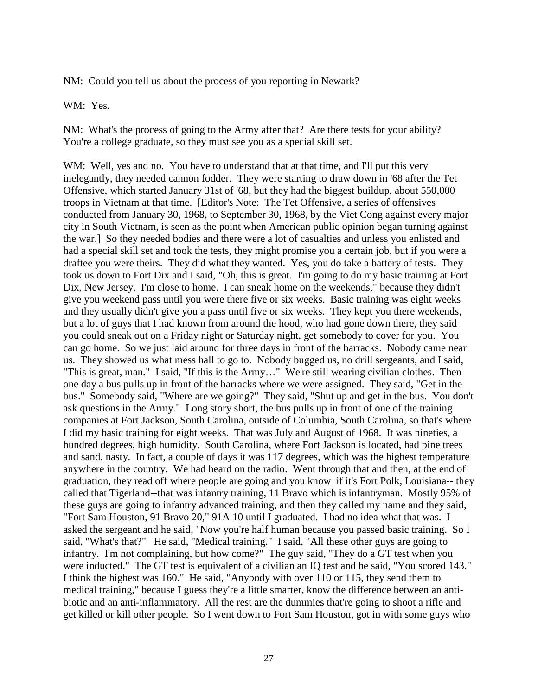NM: Could you tell us about the process of you reporting in Newark?

WM: Yes.

NM: What's the process of going to the Army after that? Are there tests for your ability? You're a college graduate, so they must see you as a special skill set.

WM: Well, yes and no. You have to understand that at that time, and I'll put this very inelegantly, they needed cannon fodder. They were starting to draw down in '68 after the Tet Offensive, which started January 31st of '68, but they had the biggest buildup, about 550,000 troops in Vietnam at that time. [Editor's Note: The Tet Offensive, a series of offensives conducted from January 30, 1968, to September 30, 1968, by the Viet Cong against every major city in South Vietnam, is seen as the point when American public opinion began turning against the war.] So they needed bodies and there were a lot of casualties and unless you enlisted and had a special skill set and took the tests, they might promise you a certain job, but if you were a draftee you were theirs. They did what they wanted. Yes, you do take a battery of tests. They took us down to Fort Dix and I said, "Oh, this is great. I'm going to do my basic training at Fort Dix, New Jersey. I'm close to home. I can sneak home on the weekends," because they didn't give you weekend pass until you were there five or six weeks. Basic training was eight weeks and they usually didn't give you a pass until five or six weeks. They kept you there weekends, but a lot of guys that I had known from around the hood, who had gone down there, they said you could sneak out on a Friday night or Saturday night, get somebody to cover for you. You can go home. So we just laid around for three days in front of the barracks. Nobody came near us. They showed us what mess hall to go to. Nobody bugged us, no drill sergeants, and I said, "This is great, man." I said, "If this is the Army…" We're still wearing civilian clothes. Then one day a bus pulls up in front of the barracks where we were assigned. They said, "Get in the bus." Somebody said, "Where are we going?" They said, "Shut up and get in the bus. You don't ask questions in the Army." Long story short, the bus pulls up in front of one of the training companies at Fort Jackson, South Carolina, outside of Columbia, South Carolina, so that's where I did my basic training for eight weeks. That was July and August of 1968. It was nineties, a hundred degrees, high humidity. South Carolina, where Fort Jackson is located, had pine trees and sand, nasty. In fact, a couple of days it was 117 degrees, which was the highest temperature anywhere in the country. We had heard on the radio. Went through that and then, at the end of graduation, they read off where people are going and you know if it's Fort Polk, Louisiana-- they called that Tigerland--that was infantry training, 11 Bravo which is infantryman. Mostly 95% of these guys are going to infantry advanced training, and then they called my name and they said, "Fort Sam Houston, 91 Bravo 20," 91A 10 until I graduated. I had no idea what that was. I asked the sergeant and he said, "Now you're half human because you passed basic training. So I said, "What's that?" He said, "Medical training." I said, "All these other guys are going to infantry. I'm not complaining, but how come?" The guy said, "They do a GT test when you were inducted." The GT test is equivalent of a civilian an IQ test and he said, "You scored 143." I think the highest was 160." He said, "Anybody with over 110 or 115, they send them to medical training," because I guess they're a little smarter, know the difference between an antibiotic and an anti-inflammatory. All the rest are the dummies that're going to shoot a rifle and get killed or kill other people. So I went down to Fort Sam Houston, got in with some guys who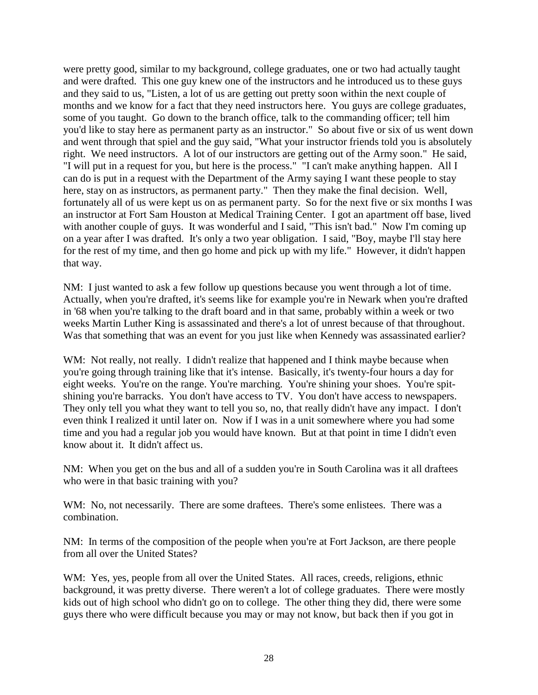were pretty good, similar to my background, college graduates, one or two had actually taught and were drafted. This one guy knew one of the instructors and he introduced us to these guys and they said to us, "Listen, a lot of us are getting out pretty soon within the next couple of months and we know for a fact that they need instructors here. You guys are college graduates, some of you taught. Go down to the branch office, talk to the commanding officer; tell him you'd like to stay here as permanent party as an instructor." So about five or six of us went down and went through that spiel and the guy said, "What your instructor friends told you is absolutely right. We need instructors. A lot of our instructors are getting out of the Army soon." He said, "I will put in a request for you, but here is the process." "I can't make anything happen. All I can do is put in a request with the Department of the Army saying I want these people to stay here, stay on as instructors, as permanent party." Then they make the final decision. Well, fortunately all of us were kept us on as permanent party. So for the next five or six months I was an instructor at Fort Sam Houston at Medical Training Center. I got an apartment off base, lived with another couple of guys. It was wonderful and I said, "This isn't bad." Now I'm coming up on a year after I was drafted. It's only a two year obligation. I said, "Boy, maybe I'll stay here for the rest of my time, and then go home and pick up with my life." However, it didn't happen that way.

NM: I just wanted to ask a few follow up questions because you went through a lot of time. Actually, when you're drafted, it's seems like for example you're in Newark when you're drafted in '68 when you're talking to the draft board and in that same, probably within a week or two weeks Martin Luther King is assassinated and there's a lot of unrest because of that throughout. Was that something that was an event for you just like when Kennedy was assassinated earlier?

WM: Not really, not really. I didn't realize that happened and I think maybe because when you're going through training like that it's intense. Basically, it's twenty-four hours a day for eight weeks. You're on the range. You're marching. You're shining your shoes. You're spitshining you're barracks. You don't have access to TV. You don't have access to newspapers. They only tell you what they want to tell you so, no, that really didn't have any impact. I don't even think I realized it until later on. Now if I was in a unit somewhere where you had some time and you had a regular job you would have known. But at that point in time I didn't even know about it. It didn't affect us.

NM: When you get on the bus and all of a sudden you're in South Carolina was it all draftees who were in that basic training with you?

WM: No, not necessarily. There are some draftees. There's some enlistees. There was a combination.

NM: In terms of the composition of the people when you're at Fort Jackson, are there people from all over the United States?

WM: Yes, yes, people from all over the United States. All races, creeds, religions, ethnic background, it was pretty diverse. There weren't a lot of college graduates. There were mostly kids out of high school who didn't go on to college. The other thing they did, there were some guys there who were difficult because you may or may not know, but back then if you got in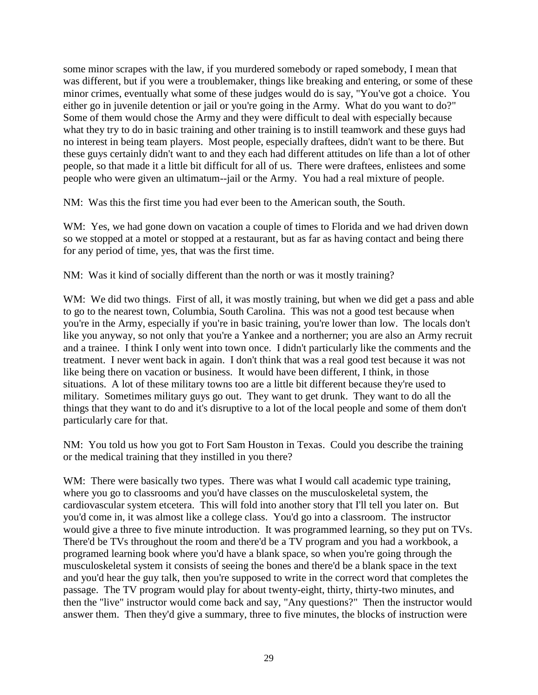some minor scrapes with the law, if you murdered somebody or raped somebody, I mean that was different, but if you were a troublemaker, things like breaking and entering, or some of these minor crimes, eventually what some of these judges would do is say, "You've got a choice. You either go in juvenile detention or jail or you're going in the Army. What do you want to do?" Some of them would chose the Army and they were difficult to deal with especially because what they try to do in basic training and other training is to instill teamwork and these guys had no interest in being team players. Most people, especially draftees, didn't want to be there. But these guys certainly didn't want to and they each had different attitudes on life than a lot of other people, so that made it a little bit difficult for all of us. There were draftees, enlistees and some people who were given an ultimatum--jail or the Army. You had a real mixture of people.

NM: Was this the first time you had ever been to the American south, the South.

WM: Yes, we had gone down on vacation a couple of times to Florida and we had driven down so we stopped at a motel or stopped at a restaurant, but as far as having contact and being there for any period of time, yes, that was the first time.

NM: Was it kind of socially different than the north or was it mostly training?

WM: We did two things. First of all, it was mostly training, but when we did get a pass and able to go to the nearest town, Columbia, South Carolina. This was not a good test because when you're in the Army, especially if you're in basic training, you're lower than low. The locals don't like you anyway, so not only that you're a Yankee and a northerner; you are also an Army recruit and a trainee. I think I only went into town once. I didn't particularly like the comments and the treatment. I never went back in again. I don't think that was a real good test because it was not like being there on vacation or business. It would have been different, I think, in those situations. A lot of these military towns too are a little bit different because they're used to military. Sometimes military guys go out. They want to get drunk. They want to do all the things that they want to do and it's disruptive to a lot of the local people and some of them don't particularly care for that.

NM: You told us how you got to Fort Sam Houston in Texas. Could you describe the training or the medical training that they instilled in you there?

WM: There were basically two types. There was what I would call academic type training, where you go to classrooms and you'd have classes on the musculoskeletal system, the cardiovascular system etcetera. This will fold into another story that I'll tell you later on. But you'd come in, it was almost like a college class. You'd go into a classroom. The instructor would give a three to five minute introduction. It was programmed learning, so they put on TVs. There'd be TVs throughout the room and there'd be a TV program and you had a workbook, a programed learning book where you'd have a blank space, so when you're going through the musculoskeletal system it consists of seeing the bones and there'd be a blank space in the text and you'd hear the guy talk, then you're supposed to write in the correct word that completes the passage. The TV program would play for about twenty-eight, thirty, thirty-two minutes, and then the "live" instructor would come back and say, "Any questions?" Then the instructor would answer them. Then they'd give a summary, three to five minutes, the blocks of instruction were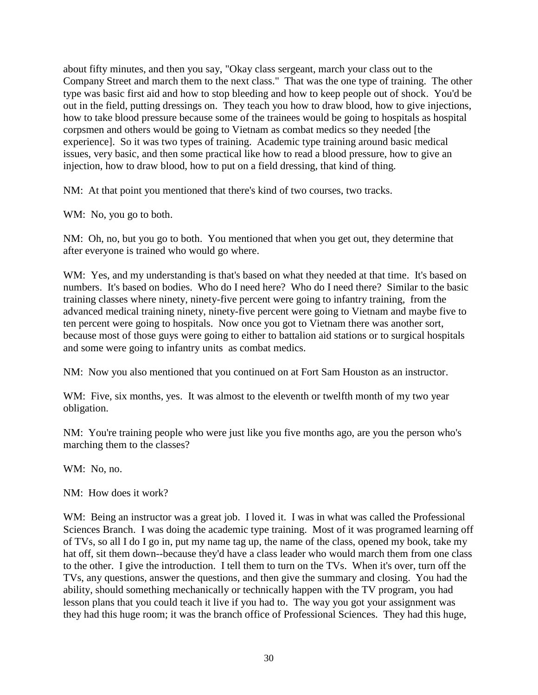about fifty minutes, and then you say, "Okay class sergeant, march your class out to the Company Street and march them to the next class." That was the one type of training. The other type was basic first aid and how to stop bleeding and how to keep people out of shock. You'd be out in the field, putting dressings on. They teach you how to draw blood, how to give injections, how to take blood pressure because some of the trainees would be going to hospitals as hospital corpsmen and others would be going to Vietnam as combat medics so they needed [the experience]. So it was two types of training. Academic type training around basic medical issues, very basic, and then some practical like how to read a blood pressure, how to give an injection, how to draw blood, how to put on a field dressing, that kind of thing.

NM: At that point you mentioned that there's kind of two courses, two tracks.

WM: No, you go to both.

NM: Oh, no, but you go to both. You mentioned that when you get out, they determine that after everyone is trained who would go where.

WM: Yes, and my understanding is that's based on what they needed at that time. It's based on numbers. It's based on bodies. Who do I need here? Who do I need there? Similar to the basic training classes where ninety, ninety-five percent were going to infantry training, from the advanced medical training ninety, ninety-five percent were going to Vietnam and maybe five to ten percent were going to hospitals. Now once you got to Vietnam there was another sort, because most of those guys were going to either to battalion aid stations or to surgical hospitals and some were going to infantry units as combat medics.

NM: Now you also mentioned that you continued on at Fort Sam Houston as an instructor.

WM: Five, six months, yes. It was almost to the eleventh or twelfth month of my two year obligation.

NM: You're training people who were just like you five months ago, are you the person who's marching them to the classes?

WM: No, no.

NM: How does it work?

WM: Being an instructor was a great job. I loved it. I was in what was called the Professional Sciences Branch. I was doing the academic type training. Most of it was programed learning off of TVs, so all I do I go in, put my name tag up, the name of the class, opened my book, take my hat off, sit them down--because they'd have a class leader who would march them from one class to the other. I give the introduction. I tell them to turn on the TVs. When it's over, turn off the TVs, any questions, answer the questions, and then give the summary and closing. You had the ability, should something mechanically or technically happen with the TV program, you had lesson plans that you could teach it live if you had to. The way you got your assignment was they had this huge room; it was the branch office of Professional Sciences. They had this huge,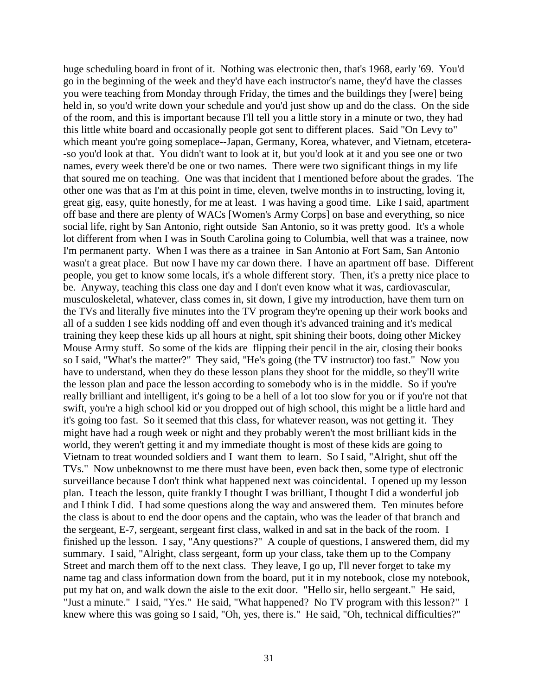huge scheduling board in front of it. Nothing was electronic then, that's 1968, early '69. You'd go in the beginning of the week and they'd have each instructor's name, they'd have the classes you were teaching from Monday through Friday, the times and the buildings they [were] being held in, so you'd write down your schedule and you'd just show up and do the class. On the side of the room, and this is important because I'll tell you a little story in a minute or two, they had this little white board and occasionally people got sent to different places. Said "On Levy to" which meant you're going someplace--Japan, Germany, Korea, whatever, and Vietnam, etcetera--so you'd look at that. You didn't want to look at it, but you'd look at it and you see one or two names, every week there'd be one or two names. There were two significant things in my life that soured me on teaching. One was that incident that I mentioned before about the grades. The other one was that as I'm at this point in time, eleven, twelve months in to instructing, loving it, great gig, easy, quite honestly, for me at least. I was having a good time. Like I said, apartment off base and there are plenty of WACs [Women's Army Corps] on base and everything, so nice social life, right by San Antonio, right outside San Antonio, so it was pretty good. It's a whole lot different from when I was in South Carolina going to Columbia, well that was a trainee, now I'm permanent party. When I was there as a trainee in San Antonio at Fort Sam, San Antonio wasn't a great place. But now I have my car down there. I have an apartment off base. Different people, you get to know some locals, it's a whole different story. Then, it's a pretty nice place to be. Anyway, teaching this class one day and I don't even know what it was, cardiovascular, musculoskeletal, whatever, class comes in, sit down, I give my introduction, have them turn on the TVs and literally five minutes into the TV program they're opening up their work books and all of a sudden I see kids nodding off and even though it's advanced training and it's medical training they keep these kids up all hours at night, spit shining their boots, doing other Mickey Mouse Army stuff. So some of the kids are flipping their pencil in the air, closing their books so I said, "What's the matter?" They said, "He's going (the TV instructor) too fast." Now you have to understand, when they do these lesson plans they shoot for the middle, so they'll write the lesson plan and pace the lesson according to somebody who is in the middle. So if you're really brilliant and intelligent, it's going to be a hell of a lot too slow for you or if you're not that swift, you're a high school kid or you dropped out of high school, this might be a little hard and it's going too fast. So it seemed that this class, for whatever reason, was not getting it. They might have had a rough week or night and they probably weren't the most brilliant kids in the world, they weren't getting it and my immediate thought is most of these kids are going to Vietnam to treat wounded soldiers and I want them to learn. So I said, "Alright, shut off the TVs." Now unbeknownst to me there must have been, even back then, some type of electronic surveillance because I don't think what happened next was coincidental. I opened up my lesson plan. I teach the lesson, quite frankly I thought I was brilliant, I thought I did a wonderful job and I think I did. I had some questions along the way and answered them. Ten minutes before the class is about to end the door opens and the captain, who was the leader of that branch and the sergeant, E-7, sergeant, sergeant first class, walked in and sat in the back of the room. I finished up the lesson. I say, "Any questions?" A couple of questions, I answered them, did my summary. I said, "Alright, class sergeant, form up your class, take them up to the Company Street and march them off to the next class. They leave, I go up, I'll never forget to take my name tag and class information down from the board, put it in my notebook, close my notebook, put my hat on, and walk down the aisle to the exit door. "Hello sir, hello sergeant." He said, "Just a minute." I said, "Yes." He said, "What happened? No TV program with this lesson?" I knew where this was going so I said, "Oh, yes, there is." He said, "Oh, technical difficulties?"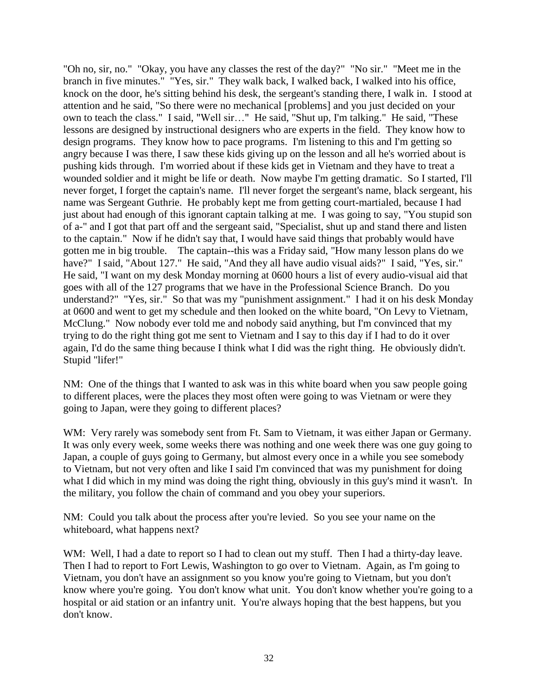"Oh no, sir, no." "Okay, you have any classes the rest of the day?" "No sir." "Meet me in the branch in five minutes." "Yes, sir." They walk back, I walked back, I walked into his office, knock on the door, he's sitting behind his desk, the sergeant's standing there, I walk in. I stood at attention and he said, "So there were no mechanical [problems] and you just decided on your own to teach the class." I said, "Well sir…" He said, "Shut up, I'm talking." He said, "These lessons are designed by instructional designers who are experts in the field. They know how to design programs. They know how to pace programs. I'm listening to this and I'm getting so angry because I was there, I saw these kids giving up on the lesson and all he's worried about is pushing kids through. I'm worried about if these kids get in Vietnam and they have to treat a wounded soldier and it might be life or death. Now maybe I'm getting dramatic. So I started, I'll never forget, I forget the captain's name. I'll never forget the sergeant's name, black sergeant, his name was Sergeant Guthrie. He probably kept me from getting court-martialed, because I had just about had enough of this ignorant captain talking at me. I was going to say, "You stupid son of a-" and I got that part off and the sergeant said, "Specialist, shut up and stand there and listen to the captain." Now if he didn't say that, I would have said things that probably would have gotten me in big trouble. The captain--this was a Friday said, "How many lesson plans do we have?" I said, "About 127." He said, "And they all have audio visual aids?" I said, "Yes, sir." He said, "I want on my desk Monday morning at 0600 hours a list of every audio-visual aid that goes with all of the 127 programs that we have in the Professional Science Branch. Do you understand?" "Yes, sir." So that was my "punishment assignment." I had it on his desk Monday at 0600 and went to get my schedule and then looked on the white board, "On Levy to Vietnam, McClung." Now nobody ever told me and nobody said anything, but I'm convinced that my trying to do the right thing got me sent to Vietnam and I say to this day if I had to do it over again, I'd do the same thing because I think what I did was the right thing. He obviously didn't. Stupid "lifer!"

NM: One of the things that I wanted to ask was in this white board when you saw people going to different places, were the places they most often were going to was Vietnam or were they going to Japan, were they going to different places?

WM: Very rarely was somebody sent from Ft. Sam to Vietnam, it was either Japan or Germany. It was only every week, some weeks there was nothing and one week there was one guy going to Japan, a couple of guys going to Germany, but almost every once in a while you see somebody to Vietnam, but not very often and like I said I'm convinced that was my punishment for doing what I did which in my mind was doing the right thing, obviously in this guy's mind it wasn't. In the military, you follow the chain of command and you obey your superiors.

NM: Could you talk about the process after you're levied. So you see your name on the whiteboard, what happens next?

WM: Well, I had a date to report so I had to clean out my stuff. Then I had a thirty-day leave. Then I had to report to Fort Lewis, Washington to go over to Vietnam. Again, as I'm going to Vietnam, you don't have an assignment so you know you're going to Vietnam, but you don't know where you're going. You don't know what unit. You don't know whether you're going to a hospital or aid station or an infantry unit. You're always hoping that the best happens, but you don't know.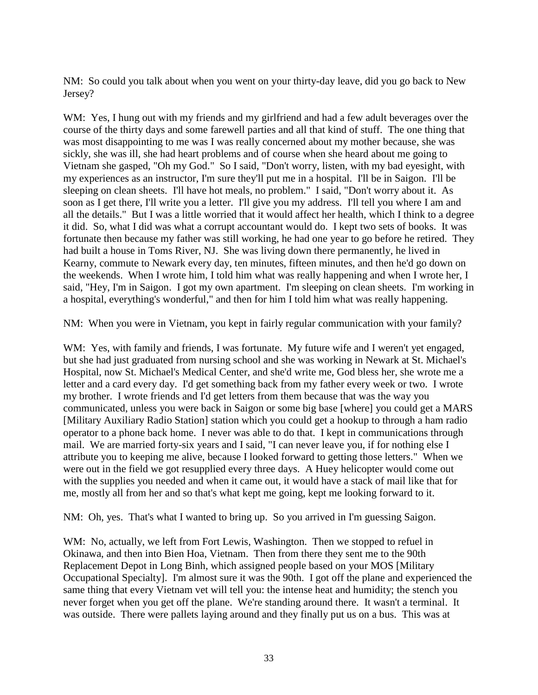NM: So could you talk about when you went on your thirty-day leave, did you go back to New Jersey?

WM: Yes, I hung out with my friends and my girlfriend and had a few adult beverages over the course of the thirty days and some farewell parties and all that kind of stuff. The one thing that was most disappointing to me was I was really concerned about my mother because, she was sickly, she was ill, she had heart problems and of course when she heard about me going to Vietnam she gasped, "Oh my God." So I said, "Don't worry, listen, with my bad eyesight, with my experiences as an instructor, I'm sure they'll put me in a hospital. I'll be in Saigon. I'll be sleeping on clean sheets. I'll have hot meals, no problem." I said, "Don't worry about it. As soon as I get there, I'll write you a letter. I'll give you my address. I'll tell you where I am and all the details." But I was a little worried that it would affect her health, which I think to a degree it did. So, what I did was what a corrupt accountant would do. I kept two sets of books. It was fortunate then because my father was still working, he had one year to go before he retired. They had built a house in Toms River, NJ. She was living down there permanently, he lived in Kearny, commute to Newark every day, ten minutes, fifteen minutes, and then he'd go down on the weekends. When I wrote him, I told him what was really happening and when I wrote her, I said, "Hey, I'm in Saigon. I got my own apartment. I'm sleeping on clean sheets. I'm working in a hospital, everything's wonderful," and then for him I told him what was really happening.

NM: When you were in Vietnam, you kept in fairly regular communication with your family?

WM: Yes, with family and friends, I was fortunate. My future wife and I weren't yet engaged, but she had just graduated from nursing school and she was working in Newark at St. Michael's Hospital, now St. Michael's Medical Center, and she'd write me, God bless her, she wrote me a letter and a card every day. I'd get something back from my father every week or two. I wrote my brother. I wrote friends and I'd get letters from them because that was the way you communicated, unless you were back in Saigon or some big base [where] you could get a MARS [Military Auxiliary Radio Station] station which you could get a hookup to through a ham radio operator to a phone back home. I never was able to do that. I kept in communications through mail. We are married forty-six years and I said, "I can never leave you, if for nothing else I attribute you to keeping me alive, because I looked forward to getting those letters." When we were out in the field we got resupplied every three days. A Huey helicopter would come out with the supplies you needed and when it came out, it would have a stack of mail like that for me, mostly all from her and so that's what kept me going, kept me looking forward to it.

NM: Oh, yes. That's what I wanted to bring up. So you arrived in I'm guessing Saigon.

WM: No, actually, we left from Fort Lewis, Washington. Then we stopped to refuel in Okinawa, and then into Bien Hoa, Vietnam. Then from there they sent me to the 90th Replacement Depot in Long Binh, which assigned people based on your MOS [Military Occupational Specialty]. I'm almost sure it was the 90th. I got off the plane and experienced the same thing that every Vietnam vet will tell you: the intense heat and humidity; the stench you never forget when you get off the plane. We're standing around there. It wasn't a terminal. It was outside. There were pallets laying around and they finally put us on a bus. This was at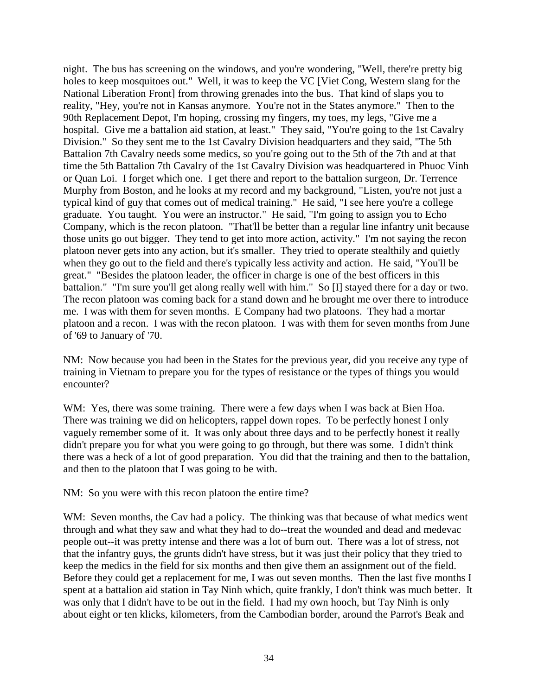night. The bus has screening on the windows, and you're wondering, "Well, there're pretty big holes to keep mosquitoes out." Well, it was to keep the VC [Viet Cong, Western slang for the National Liberation Front] from throwing grenades into the bus. That kind of slaps you to reality, "Hey, you're not in Kansas anymore. You're not in the States anymore." Then to the 90th Replacement Depot, I'm hoping, crossing my fingers, my toes, my legs, "Give me a hospital. Give me a battalion aid station, at least." They said, "You're going to the 1st Cavalry Division." So they sent me to the 1st Cavalry Division headquarters and they said, "The 5th Battalion 7th Cavalry needs some medics, so you're going out to the 5th of the 7th and at that time the 5th Battalion 7th Cavalry of the 1st Cavalry Division was headquartered in Phuoc Vinh or Quan Loi. I forget which one. I get there and report to the battalion surgeon, Dr. Terrence Murphy from Boston, and he looks at my record and my background, "Listen, you're not just a typical kind of guy that comes out of medical training." He said, "I see here you're a college graduate. You taught. You were an instructor." He said, "I'm going to assign you to Echo Company, which is the recon platoon. "That'll be better than a regular line infantry unit because those units go out bigger. They tend to get into more action, activity." I'm not saying the recon platoon never gets into any action, but it's smaller. They tried to operate stealthily and quietly when they go out to the field and there's typically less activity and action. He said, "You'll be great." "Besides the platoon leader, the officer in charge is one of the best officers in this battalion." "I'm sure you'll get along really well with him." So [I] stayed there for a day or two. The recon platoon was coming back for a stand down and he brought me over there to introduce me. I was with them for seven months. E Company had two platoons. They had a mortar platoon and a recon. I was with the recon platoon. I was with them for seven months from June of '69 to January of '70.

NM: Now because you had been in the States for the previous year, did you receive any type of training in Vietnam to prepare you for the types of resistance or the types of things you would encounter?

WM: Yes, there was some training. There were a few days when I was back at Bien Hoa. There was training we did on helicopters, rappel down ropes. To be perfectly honest I only vaguely remember some of it. It was only about three days and to be perfectly honest it really didn't prepare you for what you were going to go through, but there was some. I didn't think there was a heck of a lot of good preparation. You did that the training and then to the battalion, and then to the platoon that I was going to be with.

NM: So you were with this recon platoon the entire time?

WM: Seven months, the Cav had a policy. The thinking was that because of what medics went through and what they saw and what they had to do--treat the wounded and dead and medevac people out--it was pretty intense and there was a lot of burn out. There was a lot of stress, not that the infantry guys, the grunts didn't have stress, but it was just their policy that they tried to keep the medics in the field for six months and then give them an assignment out of the field. Before they could get a replacement for me, I was out seven months. Then the last five months I spent at a battalion aid station in Tay Ninh which, quite frankly, I don't think was much better. It was only that I didn't have to be out in the field. I had my own hooch, but Tay Ninh is only about eight or ten klicks, kilometers, from the Cambodian border, around the Parrot's Beak and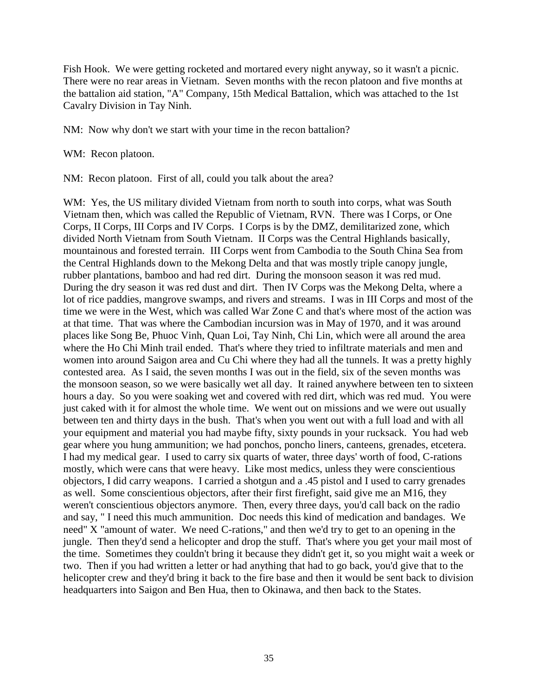Fish Hook. We were getting rocketed and mortared every night anyway, so it wasn't a picnic. There were no rear areas in Vietnam. Seven months with the recon platoon and five months at the battalion aid station, "A" Company, 15th Medical Battalion, which was attached to the 1st Cavalry Division in Tay Ninh.

NM: Now why don't we start with your time in the recon battalion?

WM: Recon platoon.

NM: Recon platoon. First of all, could you talk about the area?

WM: Yes, the US military divided Vietnam from north to south into corps, what was South Vietnam then, which was called the Republic of Vietnam, RVN. There was I Corps, or One Corps, II Corps, III Corps and IV Corps. I Corps is by the DMZ, demilitarized zone, which divided North Vietnam from South Vietnam. II Corps was the Central Highlands basically, mountainous and forested terrain. III Corps went from Cambodia to the South China Sea from the Central Highlands down to the Mekong Delta and that was mostly triple canopy jungle, rubber plantations, bamboo and had red dirt. During the monsoon season it was red mud. During the dry season it was red dust and dirt. Then IV Corps was the Mekong Delta, where a lot of rice paddies, mangrove swamps, and rivers and streams. I was in III Corps and most of the time we were in the West, which was called War Zone C and that's where most of the action was at that time. That was where the Cambodian incursion was in May of 1970, and it was around places like Song Be, Phuoc Vinh, Quan Loi, Tay Ninh, Chi Lin, which were all around the area where the Ho Chi Minh trail ended. That's where they tried to infiltrate materials and men and women into around Saigon area and Cu Chi where they had all the tunnels. It was a pretty highly contested area. As I said, the seven months I was out in the field, six of the seven months was the monsoon season, so we were basically wet all day. It rained anywhere between ten to sixteen hours a day. So you were soaking wet and covered with red dirt, which was red mud. You were just caked with it for almost the whole time. We went out on missions and we were out usually between ten and thirty days in the bush. That's when you went out with a full load and with all your equipment and material you had maybe fifty, sixty pounds in your rucksack. You had web gear where you hung ammunition; we had ponchos, poncho liners, canteens, grenades, etcetera. I had my medical gear. I used to carry six quarts of water, three days' worth of food, C-rations mostly, which were cans that were heavy. Like most medics, unless they were conscientious objectors, I did carry weapons. I carried a shotgun and a .45 pistol and I used to carry grenades as well. Some conscientious objectors, after their first firefight, said give me an M16, they weren't conscientious objectors anymore. Then, every three days, you'd call back on the radio and say, " I need this much ammunition. Doc needs this kind of medication and bandages. We need" X "amount of water. We need C-rations," and then we'd try to get to an opening in the jungle. Then they'd send a helicopter and drop the stuff. That's where you get your mail most of the time. Sometimes they couldn't bring it because they didn't get it, so you might wait a week or two. Then if you had written a letter or had anything that had to go back, you'd give that to the helicopter crew and they'd bring it back to the fire base and then it would be sent back to division headquarters into Saigon and Ben Hua, then to Okinawa, and then back to the States.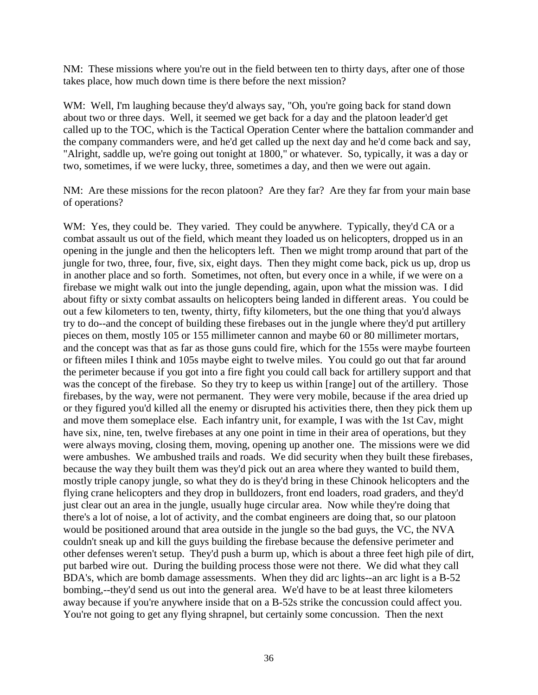NM: These missions where you're out in the field between ten to thirty days, after one of those takes place, how much down time is there before the next mission?

WM: Well, I'm laughing because they'd always say, "Oh, you're going back for stand down about two or three days. Well, it seemed we get back for a day and the platoon leader'd get called up to the TOC, which is the Tactical Operation Center where the battalion commander and the company commanders were, and he'd get called up the next day and he'd come back and say, "Alright, saddle up, we're going out tonight at 1800," or whatever. So, typically, it was a day or two, sometimes, if we were lucky, three, sometimes a day, and then we were out again.

NM: Are these missions for the recon platoon? Are they far? Are they far from your main base of operations?

WM: Yes, they could be. They varied. They could be anywhere. Typically, they'd CA or a combat assault us out of the field, which meant they loaded us on helicopters, dropped us in an opening in the jungle and then the helicopters left. Then we might tromp around that part of the jungle for two, three, four, five, six, eight days. Then they might come back, pick us up, drop us in another place and so forth. Sometimes, not often, but every once in a while, if we were on a firebase we might walk out into the jungle depending, again, upon what the mission was. I did about fifty or sixty combat assaults on helicopters being landed in different areas. You could be out a few kilometers to ten, twenty, thirty, fifty kilometers, but the one thing that you'd always try to do--and the concept of building these firebases out in the jungle where they'd put artillery pieces on them, mostly 105 or 155 millimeter cannon and maybe 60 or 80 millimeter mortars, and the concept was that as far as those guns could fire, which for the 155s were maybe fourteen or fifteen miles I think and 105s maybe eight to twelve miles. You could go out that far around the perimeter because if you got into a fire fight you could call back for artillery support and that was the concept of the firebase. So they try to keep us within [range] out of the artillery. Those firebases, by the way, were not permanent. They were very mobile, because if the area dried up or they figured you'd killed all the enemy or disrupted his activities there, then they pick them up and move them someplace else. Each infantry unit, for example, I was with the 1st Cav, might have six, nine, ten, twelve firebases at any one point in time in their area of operations, but they were always moving, closing them, moving, opening up another one. The missions were we did were ambushes. We ambushed trails and roads. We did security when they built these firebases, because the way they built them was they'd pick out an area where they wanted to build them, mostly triple canopy jungle, so what they do is they'd bring in these Chinook helicopters and the flying crane helicopters and they drop in bulldozers, front end loaders, road graders, and they'd just clear out an area in the jungle, usually huge circular area. Now while they're doing that there's a lot of noise, a lot of activity, and the combat engineers are doing that, so our platoon would be positioned around that area outside in the jungle so the bad guys, the VC, the NVA couldn't sneak up and kill the guys building the firebase because the defensive perimeter and other defenses weren't setup. They'd push a burm up, which is about a three feet high pile of dirt, put barbed wire out. During the building process those were not there. We did what they call BDA's, which are bomb damage assessments. When they did arc lights--an arc light is a B-52 bombing,--they'd send us out into the general area. We'd have to be at least three kilometers away because if you're anywhere inside that on a B-52s strike the concussion could affect you. You're not going to get any flying shrapnel, but certainly some concussion. Then the next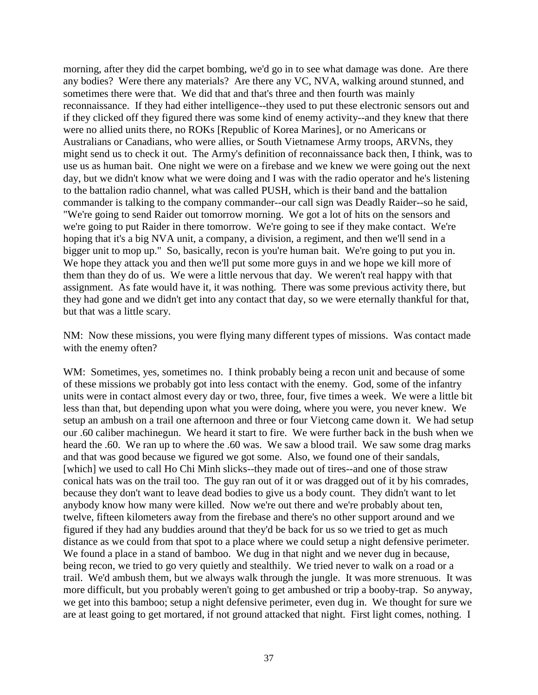morning, after they did the carpet bombing, we'd go in to see what damage was done. Are there any bodies? Were there any materials? Are there any VC, NVA, walking around stunned, and sometimes there were that. We did that and that's three and then fourth was mainly reconnaissance. If they had either intelligence--they used to put these electronic sensors out and if they clicked off they figured there was some kind of enemy activity--and they knew that there were no allied units there, no ROKs [Republic of Korea Marines], or no Americans or Australians or Canadians, who were allies, or South Vietnamese Army troops, ARVNs, they might send us to check it out. The Army's definition of reconnaissance back then, I think, was to use us as human bait. One night we were on a firebase and we knew we were going out the next day, but we didn't know what we were doing and I was with the radio operator and he's listening to the battalion radio channel, what was called PUSH, which is their band and the battalion commander is talking to the company commander--our call sign was Deadly Raider--so he said, "We're going to send Raider out tomorrow morning. We got a lot of hits on the sensors and we're going to put Raider in there tomorrow. We're going to see if they make contact. We're hoping that it's a big NVA unit, a company, a division, a regiment, and then we'll send in a bigger unit to mop up." So, basically, recon is you're human bait. We're going to put you in. We hope they attack you and then we'll put some more guys in and we hope we kill more of them than they do of us. We were a little nervous that day. We weren't real happy with that assignment. As fate would have it, it was nothing. There was some previous activity there, but they had gone and we didn't get into any contact that day, so we were eternally thankful for that, but that was a little scary.

NM: Now these missions, you were flying many different types of missions. Was contact made with the enemy often?

WM: Sometimes, yes, sometimes no. I think probably being a recon unit and because of some of these missions we probably got into less contact with the enemy. God, some of the infantry units were in contact almost every day or two, three, four, five times a week. We were a little bit less than that, but depending upon what you were doing, where you were, you never knew. We setup an ambush on a trail one afternoon and three or four Vietcong came down it. We had setup our .60 caliber machinegun. We heard it start to fire. We were further back in the bush when we heard the .60. We ran up to where the .60 was. We saw a blood trail. We saw some drag marks and that was good because we figured we got some. Also, we found one of their sandals, [which] we used to call Ho Chi Minh slicks--they made out of tires--and one of those straw conical hats was on the trail too. The guy ran out of it or was dragged out of it by his comrades, because they don't want to leave dead bodies to give us a body count. They didn't want to let anybody know how many were killed. Now we're out there and we're probably about ten, twelve, fifteen kilometers away from the firebase and there's no other support around and we figured if they had any buddies around that they'd be back for us so we tried to get as much distance as we could from that spot to a place where we could setup a night defensive perimeter. We found a place in a stand of bamboo. We dug in that night and we never dug in because, being recon, we tried to go very quietly and stealthily. We tried never to walk on a road or a trail. We'd ambush them, but we always walk through the jungle. It was more strenuous. It was more difficult, but you probably weren't going to get ambushed or trip a booby-trap. So anyway, we get into this bamboo; setup a night defensive perimeter, even dug in. We thought for sure we are at least going to get mortared, if not ground attacked that night. First light comes, nothing. I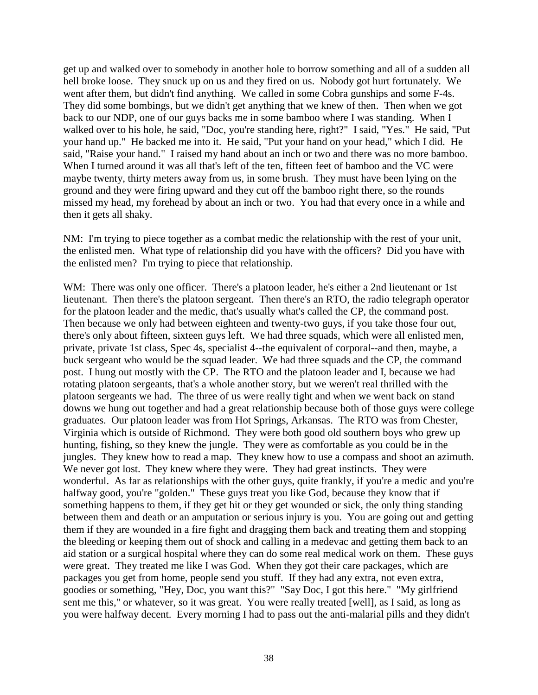get up and walked over to somebody in another hole to borrow something and all of a sudden all hell broke loose. They snuck up on us and they fired on us. Nobody got hurt fortunately. We went after them, but didn't find anything. We called in some Cobra gunships and some F-4s. They did some bombings, but we didn't get anything that we knew of then. Then when we got back to our NDP, one of our guys backs me in some bamboo where I was standing. When I walked over to his hole, he said, "Doc, you're standing here, right?" I said, "Yes." He said, "Put your hand up." He backed me into it. He said, "Put your hand on your head," which I did. He said, "Raise your hand." I raised my hand about an inch or two and there was no more bamboo. When I turned around it was all that's left of the ten, fifteen feet of bamboo and the VC were maybe twenty, thirty meters away from us, in some brush. They must have been lying on the ground and they were firing upward and they cut off the bamboo right there, so the rounds missed my head, my forehead by about an inch or two. You had that every once in a while and then it gets all shaky.

NM: I'm trying to piece together as a combat medic the relationship with the rest of your unit, the enlisted men. What type of relationship did you have with the officers? Did you have with the enlisted men? I'm trying to piece that relationship.

WM: There was only one officer. There's a platoon leader, he's either a 2nd lieutenant or 1st lieutenant. Then there's the platoon sergeant. Then there's an RTO, the radio telegraph operator for the platoon leader and the medic, that's usually what's called the CP, the command post. Then because we only had between eighteen and twenty-two guys, if you take those four out, there's only about fifteen, sixteen guys left. We had three squads, which were all enlisted men, private, private 1st class, Spec 4s, specialist 4--the equivalent of corporal--and then, maybe, a buck sergeant who would be the squad leader. We had three squads and the CP, the command post. I hung out mostly with the CP. The RTO and the platoon leader and I, because we had rotating platoon sergeants, that's a whole another story, but we weren't real thrilled with the platoon sergeants we had. The three of us were really tight and when we went back on stand downs we hung out together and had a great relationship because both of those guys were college graduates. Our platoon leader was from Hot Springs, Arkansas. The RTO was from Chester, Virginia which is outside of Richmond. They were both good old southern boys who grew up hunting, fishing, so they knew the jungle. They were as comfortable as you could be in the jungles. They knew how to read a map. They knew how to use a compass and shoot an azimuth. We never got lost. They knew where they were. They had great instincts. They were wonderful. As far as relationships with the other guys, quite frankly, if you're a medic and you're halfway good, you're "golden." These guys treat you like God, because they know that if something happens to them, if they get hit or they get wounded or sick, the only thing standing between them and death or an amputation or serious injury is you. You are going out and getting them if they are wounded in a fire fight and dragging them back and treating them and stopping the bleeding or keeping them out of shock and calling in a medevac and getting them back to an aid station or a surgical hospital where they can do some real medical work on them. These guys were great. They treated me like I was God. When they got their care packages, which are packages you get from home, people send you stuff. If they had any extra, not even extra, goodies or something, "Hey, Doc, you want this?" "Say Doc, I got this here." "My girlfriend sent me this," or whatever, so it was great. You were really treated [well], as I said, as long as you were halfway decent. Every morning I had to pass out the anti-malarial pills and they didn't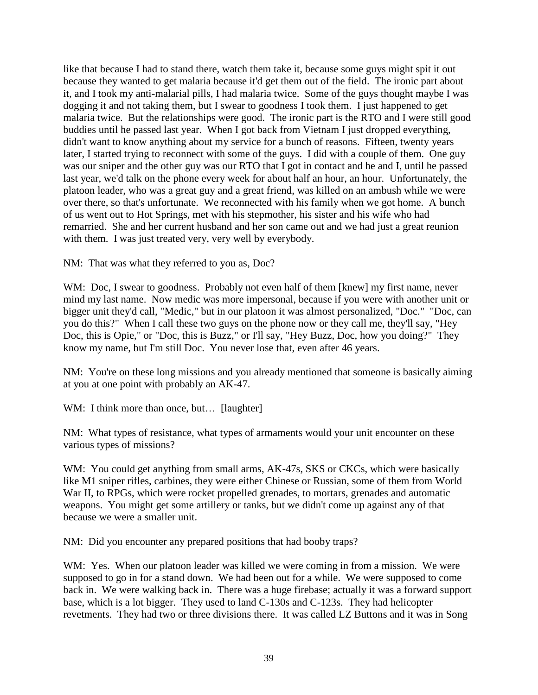like that because I had to stand there, watch them take it, because some guys might spit it out because they wanted to get malaria because it'd get them out of the field. The ironic part about it, and I took my anti-malarial pills, I had malaria twice. Some of the guys thought maybe I was dogging it and not taking them, but I swear to goodness I took them. I just happened to get malaria twice. But the relationships were good. The ironic part is the RTO and I were still good buddies until he passed last year. When I got back from Vietnam I just dropped everything, didn't want to know anything about my service for a bunch of reasons. Fifteen, twenty years later, I started trying to reconnect with some of the guys. I did with a couple of them. One guy was our sniper and the other guy was our RTO that I got in contact and he and I, until he passed last year, we'd talk on the phone every week for about half an hour, an hour. Unfortunately, the platoon leader, who was a great guy and a great friend, was killed on an ambush while we were over there, so that's unfortunate. We reconnected with his family when we got home. A bunch of us went out to Hot Springs, met with his stepmother, his sister and his wife who had remarried. She and her current husband and her son came out and we had just a great reunion with them. I was just treated very, very well by everybody.

NM: That was what they referred to you as, Doc?

WM: Doc, I swear to goodness. Probably not even half of them [knew] my first name, never mind my last name. Now medic was more impersonal, because if you were with another unit or bigger unit they'd call, "Medic," but in our platoon it was almost personalized, "Doc." "Doc, can you do this?" When I call these two guys on the phone now or they call me, they'll say, "Hey Doc, this is Opie," or "Doc, this is Buzz," or I'll say, "Hey Buzz, Doc, how you doing?" They know my name, but I'm still Doc. You never lose that, even after 46 years.

NM: You're on these long missions and you already mentioned that someone is basically aiming at you at one point with probably an AK-47.

WM: I think more than once, but... [laughter]

NM: What types of resistance, what types of armaments would your unit encounter on these various types of missions?

WM: You could get anything from small arms, AK-47s, SKS or CKCs, which were basically like M1 sniper rifles, carbines, they were either Chinese or Russian, some of them from World War II, to RPGs, which were rocket propelled grenades, to mortars, grenades and automatic weapons. You might get some artillery or tanks, but we didn't come up against any of that because we were a smaller unit.

NM: Did you encounter any prepared positions that had booby traps?

WM: Yes. When our platoon leader was killed we were coming in from a mission. We were supposed to go in for a stand down. We had been out for a while. We were supposed to come back in. We were walking back in. There was a huge firebase; actually it was a forward support base, which is a lot bigger. They used to land C-130s and C-123s. They had helicopter revetments. They had two or three divisions there. It was called LZ Buttons and it was in Song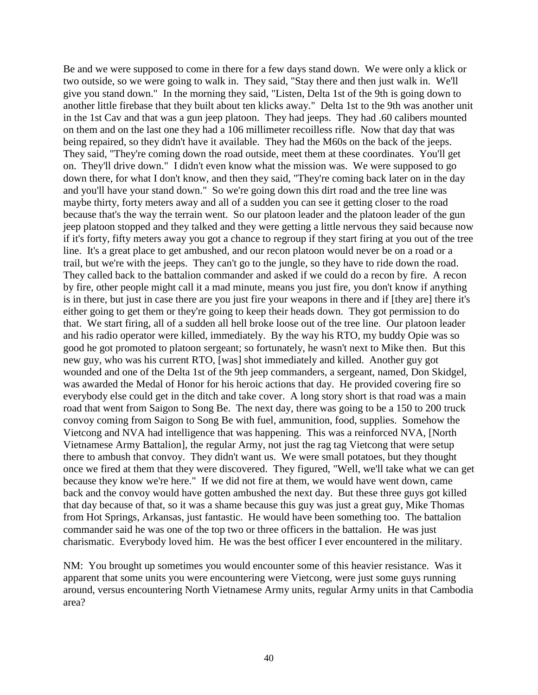Be and we were supposed to come in there for a few days stand down. We were only a klick or two outside, so we were going to walk in. They said, "Stay there and then just walk in. We'll give you stand down." In the morning they said, "Listen, Delta 1st of the 9th is going down to another little firebase that they built about ten klicks away." Delta 1st to the 9th was another unit in the 1st Cav and that was a gun jeep platoon. They had jeeps. They had .60 calibers mounted on them and on the last one they had a 106 millimeter recoilless rifle. Now that day that was being repaired, so they didn't have it available. They had the M60s on the back of the jeeps. They said, "They're coming down the road outside, meet them at these coordinates. You'll get on. They'll drive down." I didn't even know what the mission was. We were supposed to go down there, for what I don't know, and then they said, "They're coming back later on in the day and you'll have your stand down." So we're going down this dirt road and the tree line was maybe thirty, forty meters away and all of a sudden you can see it getting closer to the road because that's the way the terrain went. So our platoon leader and the platoon leader of the gun jeep platoon stopped and they talked and they were getting a little nervous they said because now if it's forty, fifty meters away you got a chance to regroup if they start firing at you out of the tree line. It's a great place to get ambushed, and our recon platoon would never be on a road or a trail, but we're with the jeeps. They can't go to the jungle, so they have to ride down the road. They called back to the battalion commander and asked if we could do a recon by fire. A recon by fire, other people might call it a mad minute, means you just fire, you don't know if anything is in there, but just in case there are you just fire your weapons in there and if [they are] there it's either going to get them or they're going to keep their heads down. They got permission to do that. We start firing, all of a sudden all hell broke loose out of the tree line. Our platoon leader and his radio operator were killed, immediately. By the way his RTO, my buddy Opie was so good he got promoted to platoon sergeant; so fortunately, he wasn't next to Mike then. But this new guy, who was his current RTO, [was] shot immediately and killed. Another guy got wounded and one of the Delta 1st of the 9th jeep commanders, a sergeant, named, Don Skidgel, was awarded the Medal of Honor for his heroic actions that day. He provided covering fire so everybody else could get in the ditch and take cover. A long story short is that road was a main road that went from Saigon to Song Be. The next day, there was going to be a 150 to 200 truck convoy coming from Saigon to Song Be with fuel, ammunition, food, supplies. Somehow the Vietcong and NVA had intelligence that was happening. This was a reinforced NVA, [North Vietnamese Army Battalion], the regular Army, not just the rag tag Vietcong that were setup there to ambush that convoy. They didn't want us. We were small potatoes, but they thought once we fired at them that they were discovered. They figured, "Well, we'll take what we can get because they know we're here." If we did not fire at them, we would have went down, came back and the convoy would have gotten ambushed the next day. But these three guys got killed that day because of that, so it was a shame because this guy was just a great guy, Mike Thomas from Hot Springs, Arkansas, just fantastic. He would have been something too. The battalion commander said he was one of the top two or three officers in the battalion. He was just charismatic. Everybody loved him. He was the best officer I ever encountered in the military.

NM: You brought up sometimes you would encounter some of this heavier resistance. Was it apparent that some units you were encountering were Vietcong, were just some guys running around, versus encountering North Vietnamese Army units, regular Army units in that Cambodia area?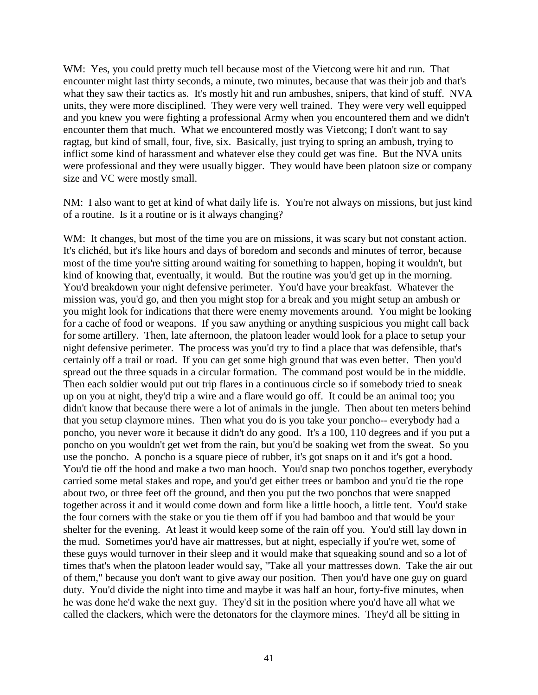WM: Yes, you could pretty much tell because most of the Vietcong were hit and run. That encounter might last thirty seconds, a minute, two minutes, because that was their job and that's what they saw their tactics as. It's mostly hit and run ambushes, snipers, that kind of stuff. NVA units, they were more disciplined. They were very well trained. They were very well equipped and you knew you were fighting a professional Army when you encountered them and we didn't encounter them that much. What we encountered mostly was Vietcong; I don't want to say ragtag, but kind of small, four, five, six. Basically, just trying to spring an ambush, trying to inflict some kind of harassment and whatever else they could get was fine. But the NVA units were professional and they were usually bigger. They would have been platoon size or company size and VC were mostly small.

NM: I also want to get at kind of what daily life is. You're not always on missions, but just kind of a routine. Is it a routine or is it always changing?

WM: It changes, but most of the time you are on missions, it was scary but not constant action. It's clichéd, but it's like hours and days of boredom and seconds and minutes of terror, because most of the time you're sitting around waiting for something to happen, hoping it wouldn't, but kind of knowing that, eventually, it would. But the routine was you'd get up in the morning. You'd breakdown your night defensive perimeter. You'd have your breakfast. Whatever the mission was, you'd go, and then you might stop for a break and you might setup an ambush or you might look for indications that there were enemy movements around. You might be looking for a cache of food or weapons. If you saw anything or anything suspicious you might call back for some artillery. Then, late afternoon, the platoon leader would look for a place to setup your night defensive perimeter. The process was you'd try to find a place that was defensible, that's certainly off a trail or road. If you can get some high ground that was even better. Then you'd spread out the three squads in a circular formation. The command post would be in the middle. Then each soldier would put out trip flares in a continuous circle so if somebody tried to sneak up on you at night, they'd trip a wire and a flare would go off. It could be an animal too; you didn't know that because there were a lot of animals in the jungle. Then about ten meters behind that you setup claymore mines. Then what you do is you take your poncho-- everybody had a poncho, you never wore it because it didn't do any good. It's a 100, 110 degrees and if you put a poncho on you wouldn't get wet from the rain, but you'd be soaking wet from the sweat. So you use the poncho. A poncho is a square piece of rubber, it's got snaps on it and it's got a hood. You'd tie off the hood and make a two man hooch. You'd snap two ponchos together, everybody carried some metal stakes and rope, and you'd get either trees or bamboo and you'd tie the rope about two, or three feet off the ground, and then you put the two ponchos that were snapped together across it and it would come down and form like a little hooch, a little tent. You'd stake the four corners with the stake or you tie them off if you had bamboo and that would be your shelter for the evening. At least it would keep some of the rain off you. You'd still lay down in the mud. Sometimes you'd have air mattresses, but at night, especially if you're wet, some of these guys would turnover in their sleep and it would make that squeaking sound and so a lot of times that's when the platoon leader would say, "Take all your mattresses down. Take the air out of them," because you don't want to give away our position. Then you'd have one guy on guard duty. You'd divide the night into time and maybe it was half an hour, forty-five minutes, when he was done he'd wake the next guy. They'd sit in the position where you'd have all what we called the clackers, which were the detonators for the claymore mines. They'd all be sitting in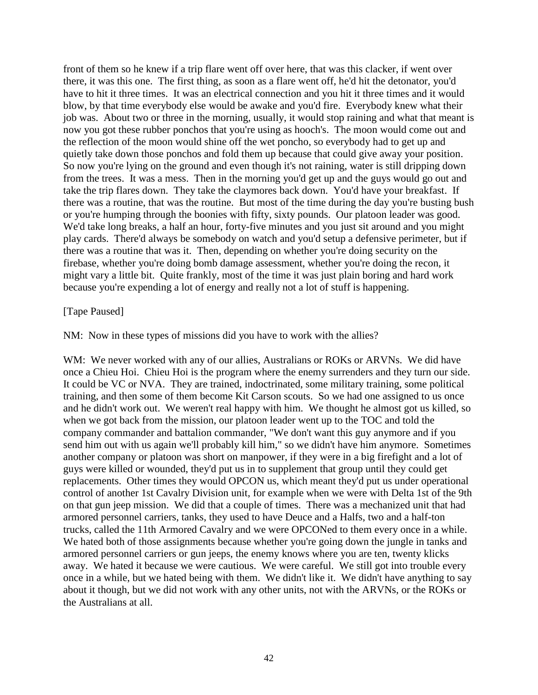front of them so he knew if a trip flare went off over here, that was this clacker, if went over there, it was this one. The first thing, as soon as a flare went off, he'd hit the detonator, you'd have to hit it three times. It was an electrical connection and you hit it three times and it would blow, by that time everybody else would be awake and you'd fire. Everybody knew what their job was. About two or three in the morning, usually, it would stop raining and what that meant is now you got these rubber ponchos that you're using as hooch's. The moon would come out and the reflection of the moon would shine off the wet poncho, so everybody had to get up and quietly take down those ponchos and fold them up because that could give away your position. So now you're lying on the ground and even though it's not raining, water is still dripping down from the trees. It was a mess. Then in the morning you'd get up and the guys would go out and take the trip flares down. They take the claymores back down. You'd have your breakfast. If there was a routine, that was the routine. But most of the time during the day you're busting bush or you're humping through the boonies with fifty, sixty pounds. Our platoon leader was good. We'd take long breaks, a half an hour, forty-five minutes and you just sit around and you might play cards. There'd always be somebody on watch and you'd setup a defensive perimeter, but if there was a routine that was it. Then, depending on whether you're doing security on the firebase, whether you're doing bomb damage assessment, whether you're doing the recon, it might vary a little bit. Quite frankly, most of the time it was just plain boring and hard work because you're expending a lot of energy and really not a lot of stuff is happening.

#### [Tape Paused]

NM: Now in these types of missions did you have to work with the allies?

WM: We never worked with any of our allies, Australians or ROKs or ARVNs. We did have once a Chieu Hoi. Chieu Hoi is the program where the enemy surrenders and they turn our side. It could be VC or NVA. They are trained, indoctrinated, some military training, some political training, and then some of them become Kit Carson scouts. So we had one assigned to us once and he didn't work out. We weren't real happy with him. We thought he almost got us killed, so when we got back from the mission, our platoon leader went up to the TOC and told the company commander and battalion commander, "We don't want this guy anymore and if you send him out with us again we'll probably kill him," so we didn't have him anymore. Sometimes another company or platoon was short on manpower, if they were in a big firefight and a lot of guys were killed or wounded, they'd put us in to supplement that group until they could get replacements. Other times they would OPCON us, which meant they'd put us under operational control of another 1st Cavalry Division unit, for example when we were with Delta 1st of the 9th on that gun jeep mission. We did that a couple of times. There was a mechanized unit that had armored personnel carriers, tanks, they used to have Deuce and a Halfs, two and a half-ton trucks, called the 11th Armored Cavalry and we were OPCONed to them every once in a while. We hated both of those assignments because whether you're going down the jungle in tanks and armored personnel carriers or gun jeeps, the enemy knows where you are ten, twenty klicks away. We hated it because we were cautious. We were careful. We still got into trouble every once in a while, but we hated being with them. We didn't like it. We didn't have anything to say about it though, but we did not work with any other units, not with the ARVNs, or the ROKs or the Australians at all.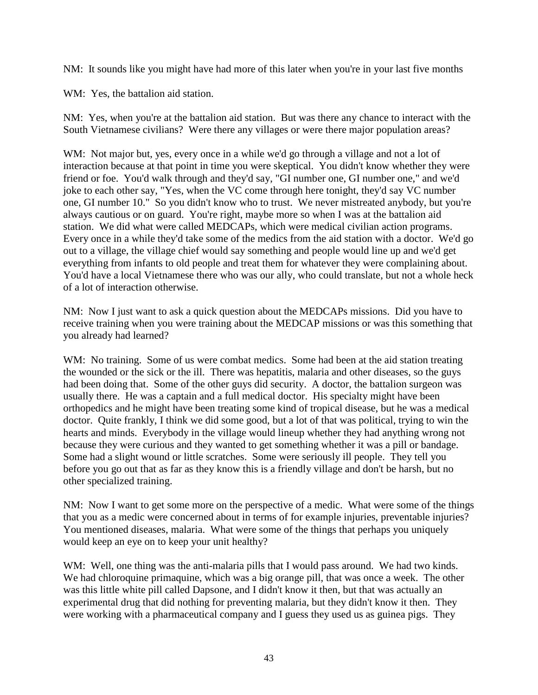NM: It sounds like you might have had more of this later when you're in your last five months

WM: Yes, the battalion aid station.

NM: Yes, when you're at the battalion aid station. But was there any chance to interact with the South Vietnamese civilians? Were there any villages or were there major population areas?

WM: Not major but, yes, every once in a while we'd go through a village and not a lot of interaction because at that point in time you were skeptical. You didn't know whether they were friend or foe. You'd walk through and they'd say, "GI number one, GI number one," and we'd joke to each other say, "Yes, when the VC come through here tonight, they'd say VC number one, GI number 10." So you didn't know who to trust. We never mistreated anybody, but you're always cautious or on guard. You're right, maybe more so when I was at the battalion aid station. We did what were called MEDCAPs, which were medical civilian action programs. Every once in a while they'd take some of the medics from the aid station with a doctor. We'd go out to a village, the village chief would say something and people would line up and we'd get everything from infants to old people and treat them for whatever they were complaining about. You'd have a local Vietnamese there who was our ally, who could translate, but not a whole heck of a lot of interaction otherwise.

NM: Now I just want to ask a quick question about the MEDCAPs missions. Did you have to receive training when you were training about the MEDCAP missions or was this something that you already had learned?

WM: No training. Some of us were combat medics. Some had been at the aid station treating the wounded or the sick or the ill. There was hepatitis, malaria and other diseases, so the guys had been doing that. Some of the other guys did security. A doctor, the battalion surgeon was usually there. He was a captain and a full medical doctor. His specialty might have been orthopedics and he might have been treating some kind of tropical disease, but he was a medical doctor. Quite frankly, I think we did some good, but a lot of that was political, trying to win the hearts and minds. Everybody in the village would lineup whether they had anything wrong not because they were curious and they wanted to get something whether it was a pill or bandage. Some had a slight wound or little scratches. Some were seriously ill people. They tell you before you go out that as far as they know this is a friendly village and don't be harsh, but no other specialized training.

NM: Now I want to get some more on the perspective of a medic. What were some of the things that you as a medic were concerned about in terms of for example injuries, preventable injuries? You mentioned diseases, malaria. What were some of the things that perhaps you uniquely would keep an eye on to keep your unit healthy?

WM: Well, one thing was the anti-malaria pills that I would pass around. We had two kinds. We had chloroquine primaquine, which was a big orange pill, that was once a week. The other was this little white pill called Dapsone, and I didn't know it then, but that was actually an experimental drug that did nothing for preventing malaria, but they didn't know it then. They were working with a pharmaceutical company and I guess they used us as guinea pigs. They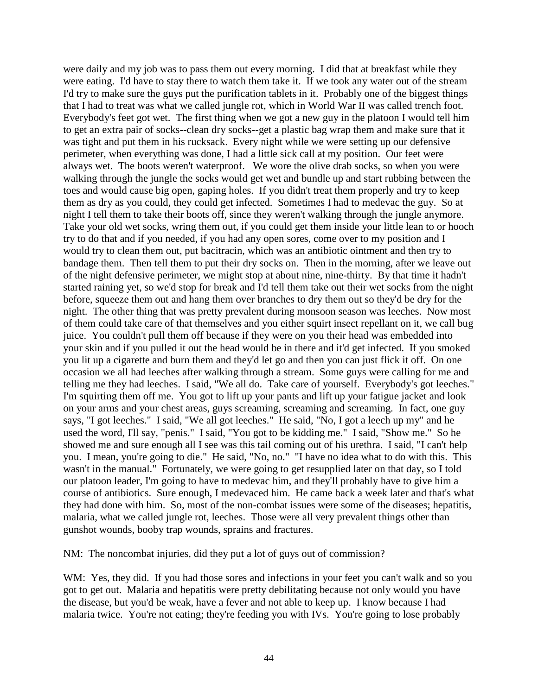were daily and my job was to pass them out every morning. I did that at breakfast while they were eating. I'd have to stay there to watch them take it. If we took any water out of the stream I'd try to make sure the guys put the purification tablets in it. Probably one of the biggest things that I had to treat was what we called jungle rot, which in World War II was called trench foot. Everybody's feet got wet. The first thing when we got a new guy in the platoon I would tell him to get an extra pair of socks--clean dry socks--get a plastic bag wrap them and make sure that it was tight and put them in his rucksack. Every night while we were setting up our defensive perimeter, when everything was done, I had a little sick call at my position. Our feet were always wet. The boots weren't waterproof. We wore the olive drab socks, so when you were walking through the jungle the socks would get wet and bundle up and start rubbing between the toes and would cause big open, gaping holes. If you didn't treat them properly and try to keep them as dry as you could, they could get infected. Sometimes I had to medevac the guy. So at night I tell them to take their boots off, since they weren't walking through the jungle anymore. Take your old wet socks, wring them out, if you could get them inside your little lean to or hooch try to do that and if you needed, if you had any open sores, come over to my position and I would try to clean them out, put bacitracin, which was an antibiotic ointment and then try to bandage them. Then tell them to put their dry socks on. Then in the morning, after we leave out of the night defensive perimeter, we might stop at about nine, nine-thirty. By that time it hadn't started raining yet, so we'd stop for break and I'd tell them take out their wet socks from the night before, squeeze them out and hang them over branches to dry them out so they'd be dry for the night. The other thing that was pretty prevalent during monsoon season was leeches. Now most of them could take care of that themselves and you either squirt insect repellant on it, we call bug juice. You couldn't pull them off because if they were on you their head was embedded into your skin and if you pulled it out the head would be in there and it'd get infected. If you smoked you lit up a cigarette and burn them and they'd let go and then you can just flick it off. On one occasion we all had leeches after walking through a stream. Some guys were calling for me and telling me they had leeches. I said, "We all do. Take care of yourself. Everybody's got leeches." I'm squirting them off me. You got to lift up your pants and lift up your fatigue jacket and look on your arms and your chest areas, guys screaming, screaming and screaming. In fact, one guy says, "I got leeches." I said, "We all got leeches." He said, "No, I got a leech up my" and he used the word, I'll say, "penis." I said, "You got to be kidding me." I said, "Show me." So he showed me and sure enough all I see was this tail coming out of his urethra. I said, "I can't help you. I mean, you're going to die." He said, "No, no." "I have no idea what to do with this. This wasn't in the manual." Fortunately, we were going to get resupplied later on that day, so I told our platoon leader, I'm going to have to medevac him, and they'll probably have to give him a course of antibiotics. Sure enough, I medevaced him. He came back a week later and that's what they had done with him. So, most of the non-combat issues were some of the diseases; hepatitis, malaria, what we called jungle rot, leeches. Those were all very prevalent things other than gunshot wounds, booby trap wounds, sprains and fractures.

NM: The noncombat injuries, did they put a lot of guys out of commission?

WM: Yes, they did. If you had those sores and infections in your feet you can't walk and so you got to get out. Malaria and hepatitis were pretty debilitating because not only would you have the disease, but you'd be weak, have a fever and not able to keep up. I know because I had malaria twice. You're not eating; they're feeding you with IVs. You're going to lose probably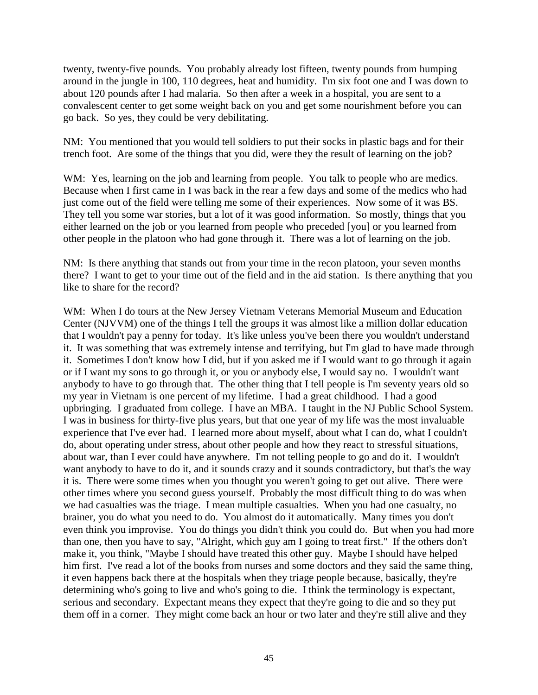twenty, twenty-five pounds. You probably already lost fifteen, twenty pounds from humping around in the jungle in 100, 110 degrees, heat and humidity. I'm six foot one and I was down to about 120 pounds after I had malaria. So then after a week in a hospital, you are sent to a convalescent center to get some weight back on you and get some nourishment before you can go back. So yes, they could be very debilitating.

NM: You mentioned that you would tell soldiers to put their socks in plastic bags and for their trench foot. Are some of the things that you did, were they the result of learning on the job?

WM: Yes, learning on the job and learning from people. You talk to people who are medics. Because when I first came in I was back in the rear a few days and some of the medics who had just come out of the field were telling me some of their experiences. Now some of it was BS. They tell you some war stories, but a lot of it was good information. So mostly, things that you either learned on the job or you learned from people who preceded [you] or you learned from other people in the platoon who had gone through it. There was a lot of learning on the job.

NM: Is there anything that stands out from your time in the recon platoon, your seven months there? I want to get to your time out of the field and in the aid station. Is there anything that you like to share for the record?

WM: When I do tours at the New Jersey Vietnam Veterans Memorial Museum and Education Center (NJVVM) one of the things I tell the groups it was almost like a million dollar education that I wouldn't pay a penny for today. It's like unless you've been there you wouldn't understand it. It was something that was extremely intense and terrifying, but I'm glad to have made through it. Sometimes I don't know how I did, but if you asked me if I would want to go through it again or if I want my sons to go through it, or you or anybody else, I would say no. I wouldn't want anybody to have to go through that. The other thing that I tell people is I'm seventy years old so my year in Vietnam is one percent of my lifetime. I had a great childhood. I had a good upbringing. I graduated from college. I have an MBA. I taught in the NJ Public School System. I was in business for thirty-five plus years, but that one year of my life was the most invaluable experience that I've ever had. I learned more about myself, about what I can do, what I couldn't do, about operating under stress, about other people and how they react to stressful situations, about war, than I ever could have anywhere. I'm not telling people to go and do it. I wouldn't want anybody to have to do it, and it sounds crazy and it sounds contradictory, but that's the way it is. There were some times when you thought you weren't going to get out alive. There were other times where you second guess yourself. Probably the most difficult thing to do was when we had casualties was the triage. I mean multiple casualties. When you had one casualty, no brainer, you do what you need to do. You almost do it automatically. Many times you don't even think you improvise. You do things you didn't think you could do. But when you had more than one, then you have to say, "Alright, which guy am I going to treat first." If the others don't make it, you think, "Maybe I should have treated this other guy. Maybe I should have helped him first. I've read a lot of the books from nurses and some doctors and they said the same thing, it even happens back there at the hospitals when they triage people because, basically, they're determining who's going to live and who's going to die. I think the terminology is expectant, serious and secondary. Expectant means they expect that they're going to die and so they put them off in a corner. They might come back an hour or two later and they're still alive and they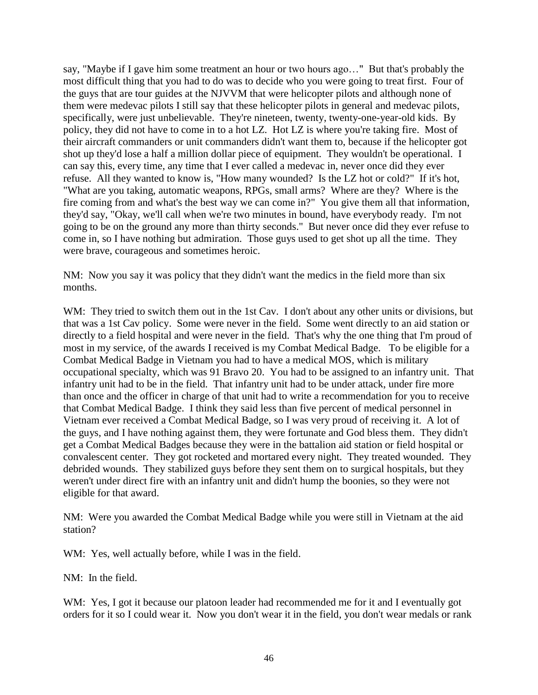say, "Maybe if I gave him some treatment an hour or two hours ago…" But that's probably the most difficult thing that you had to do was to decide who you were going to treat first. Four of the guys that are tour guides at the NJVVM that were helicopter pilots and although none of them were medevac pilots I still say that these helicopter pilots in general and medevac pilots, specifically, were just unbelievable. They're nineteen, twenty, twenty-one-year-old kids. By policy, they did not have to come in to a hot LZ. Hot LZ is where you're taking fire. Most of their aircraft commanders or unit commanders didn't want them to, because if the helicopter got shot up they'd lose a half a million dollar piece of equipment. They wouldn't be operational. I can say this, every time, any time that I ever called a medevac in, never once did they ever refuse. All they wanted to know is, "How many wounded? Is the LZ hot or cold?" If it's hot, "What are you taking, automatic weapons, RPGs, small arms? Where are they? Where is the fire coming from and what's the best way we can come in?" You give them all that information, they'd say, "Okay, we'll call when we're two minutes in bound, have everybody ready. I'm not going to be on the ground any more than thirty seconds." But never once did they ever refuse to come in, so I have nothing but admiration. Those guys used to get shot up all the time. They were brave, courageous and sometimes heroic.

NM: Now you say it was policy that they didn't want the medics in the field more than six months.

WM: They tried to switch them out in the 1st Cav. I don't about any other units or divisions, but that was a 1st Cav policy. Some were never in the field. Some went directly to an aid station or directly to a field hospital and were never in the field. That's why the one thing that I'm proud of most in my service, of the awards I received is my Combat Medical Badge. To be eligible for a Combat Medical Badge in Vietnam you had to have a medical MOS, which is military occupational specialty, which was 91 Bravo 20. You had to be assigned to an infantry unit. That infantry unit had to be in the field. That infantry unit had to be under attack, under fire more than once and the officer in charge of that unit had to write a recommendation for you to receive that Combat Medical Badge. I think they said less than five percent of medical personnel in Vietnam ever received a Combat Medical Badge, so I was very proud of receiving it. A lot of the guys, and I have nothing against them, they were fortunate and God bless them. They didn't get a Combat Medical Badges because they were in the battalion aid station or field hospital or convalescent center. They got rocketed and mortared every night. They treated wounded. They debrided wounds. They stabilized guys before they sent them on to surgical hospitals, but they weren't under direct fire with an infantry unit and didn't hump the boonies, so they were not eligible for that award.

NM: Were you awarded the Combat Medical Badge while you were still in Vietnam at the aid station?

WM: Yes, well actually before, while I was in the field.

NM: In the field.

WM: Yes, I got it because our platoon leader had recommended me for it and I eventually got orders for it so I could wear it. Now you don't wear it in the field, you don't wear medals or rank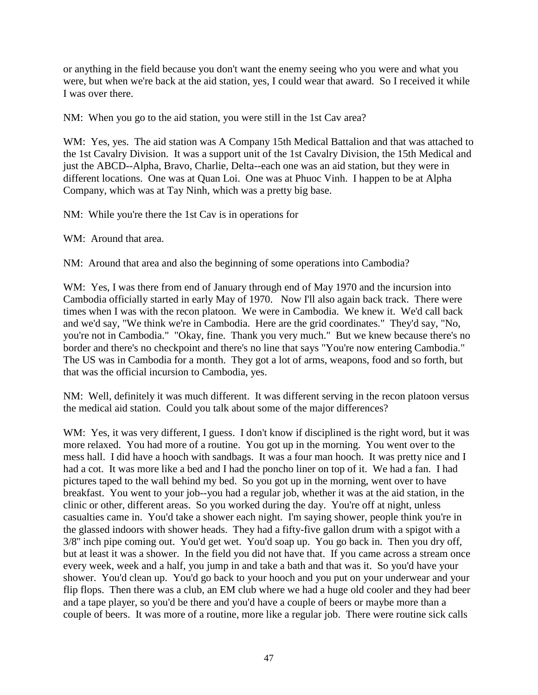or anything in the field because you don't want the enemy seeing who you were and what you were, but when we're back at the aid station, yes, I could wear that award. So I received it while I was over there.

NM: When you go to the aid station, you were still in the 1st Cav area?

WM: Yes, yes. The aid station was A Company 15th Medical Battalion and that was attached to the 1st Cavalry Division. It was a support unit of the 1st Cavalry Division, the 15th Medical and just the ABCD--Alpha, Bravo, Charlie, Delta--each one was an aid station, but they were in different locations. One was at Quan Loi. One was at Phuoc Vinh. I happen to be at Alpha Company, which was at Tay Ninh, which was a pretty big base.

NM: While you're there the 1st Cav is in operations for

WM: Around that area.

NM: Around that area and also the beginning of some operations into Cambodia?

WM: Yes, I was there from end of January through end of May 1970 and the incursion into Cambodia officially started in early May of 1970. Now I'll also again back track. There were times when I was with the recon platoon. We were in Cambodia. We knew it. We'd call back and we'd say, "We think we're in Cambodia. Here are the grid coordinates." They'd say, "No, you're not in Cambodia." "Okay, fine. Thank you very much." But we knew because there's no border and there's no checkpoint and there's no line that says "You're now entering Cambodia." The US was in Cambodia for a month. They got a lot of arms, weapons, food and so forth, but that was the official incursion to Cambodia, yes.

NM: Well, definitely it was much different. It was different serving in the recon platoon versus the medical aid station. Could you talk about some of the major differences?

WM: Yes, it was very different, I guess. I don't know if disciplined is the right word, but it was more relaxed. You had more of a routine. You got up in the morning. You went over to the mess hall. I did have a hooch with sandbags. It was a four man hooch. It was pretty nice and I had a cot. It was more like a bed and I had the poncho liner on top of it. We had a fan. I had pictures taped to the wall behind my bed. So you got up in the morning, went over to have breakfast. You went to your job--you had a regular job, whether it was at the aid station, in the clinic or other, different areas. So you worked during the day. You're off at night, unless casualties came in. You'd take a shower each night. I'm saying shower, people think you're in the glassed indoors with shower heads. They had a fifty-five gallon drum with a spigot with a 3/8'' inch pipe coming out. You'd get wet. You'd soap up. You go back in. Then you dry off, but at least it was a shower. In the field you did not have that. If you came across a stream once every week, week and a half, you jump in and take a bath and that was it. So you'd have your shower. You'd clean up. You'd go back to your hooch and you put on your underwear and your flip flops. Then there was a club, an EM club where we had a huge old cooler and they had beer and a tape player, so you'd be there and you'd have a couple of beers or maybe more than a couple of beers. It was more of a routine, more like a regular job. There were routine sick calls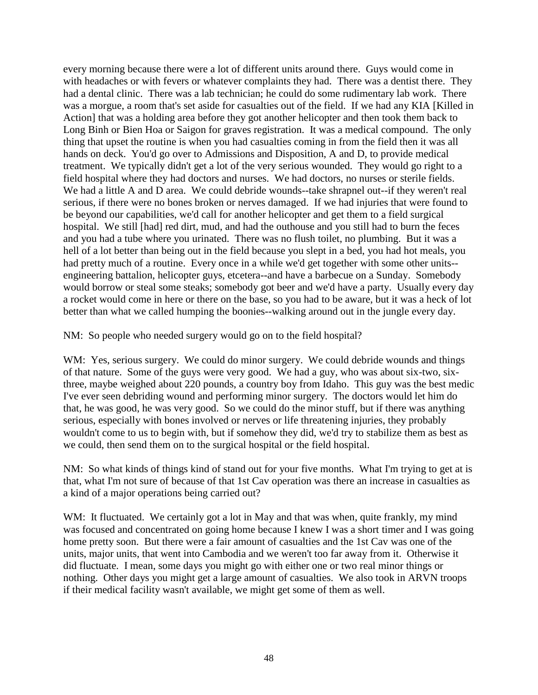every morning because there were a lot of different units around there. Guys would come in with headaches or with fevers or whatever complaints they had. There was a dentist there. They had a dental clinic. There was a lab technician; he could do some rudimentary lab work. There was a morgue, a room that's set aside for casualties out of the field. If we had any KIA [Killed in Action] that was a holding area before they got another helicopter and then took them back to Long Binh or Bien Hoa or Saigon for graves registration. It was a medical compound. The only thing that upset the routine is when you had casualties coming in from the field then it was all hands on deck. You'd go over to Admissions and Disposition, A and D, to provide medical treatment. We typically didn't get a lot of the very serious wounded. They would go right to a field hospital where they had doctors and nurses. We had doctors, no nurses or sterile fields. We had a little A and D area. We could debride wounds--take shrapnel out--if they weren't real serious, if there were no bones broken or nerves damaged. If we had injuries that were found to be beyond our capabilities, we'd call for another helicopter and get them to a field surgical hospital. We still [had] red dirt, mud, and had the outhouse and you still had to burn the feces and you had a tube where you urinated. There was no flush toilet, no plumbing. But it was a hell of a lot better than being out in the field because you slept in a bed, you had hot meals, you had pretty much of a routine. Every once in a while we'd get together with some other units- engineering battalion, helicopter guys, etcetera--and have a barbecue on a Sunday. Somebody would borrow or steal some steaks; somebody got beer and we'd have a party. Usually every day a rocket would come in here or there on the base, so you had to be aware, but it was a heck of lot better than what we called humping the boonies--walking around out in the jungle every day.

NM: So people who needed surgery would go on to the field hospital?

WM: Yes, serious surgery. We could do minor surgery. We could debride wounds and things of that nature. Some of the guys were very good. We had a guy, who was about six-two, sixthree, maybe weighed about 220 pounds, a country boy from Idaho. This guy was the best medic I've ever seen debriding wound and performing minor surgery. The doctors would let him do that, he was good, he was very good. So we could do the minor stuff, but if there was anything serious, especially with bones involved or nerves or life threatening injuries, they probably wouldn't come to us to begin with, but if somehow they did, we'd try to stabilize them as best as we could, then send them on to the surgical hospital or the field hospital.

NM: So what kinds of things kind of stand out for your five months. What I'm trying to get at is that, what I'm not sure of because of that 1st Cav operation was there an increase in casualties as a kind of a major operations being carried out?

WM: It fluctuated. We certainly got a lot in May and that was when, quite frankly, my mind was focused and concentrated on going home because I knew I was a short timer and I was going home pretty soon. But there were a fair amount of casualties and the 1st Cav was one of the units, major units, that went into Cambodia and we weren't too far away from it. Otherwise it did fluctuate. I mean, some days you might go with either one or two real minor things or nothing. Other days you might get a large amount of casualties. We also took in ARVN troops if their medical facility wasn't available, we might get some of them as well.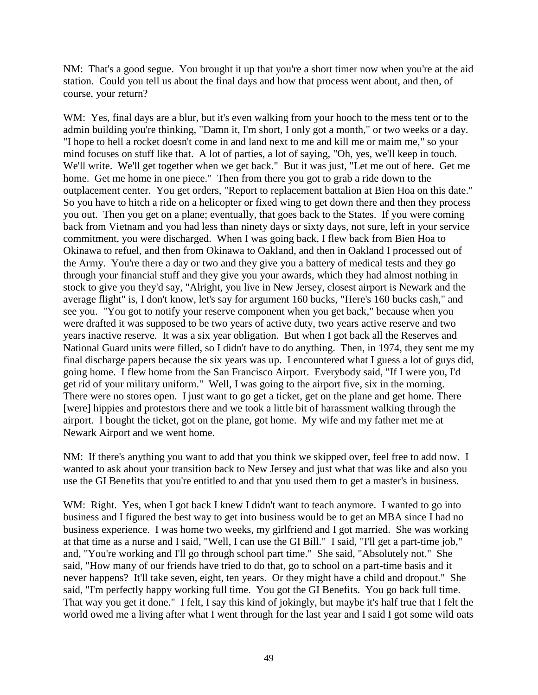NM: That's a good segue. You brought it up that you're a short timer now when you're at the aid station. Could you tell us about the final days and how that process went about, and then, of course, your return?

WM: Yes, final days are a blur, but it's even walking from your hooch to the mess tent or to the admin building you're thinking, "Damn it, I'm short, I only got a month," or two weeks or a day. "I hope to hell a rocket doesn't come in and land next to me and kill me or maim me," so your mind focuses on stuff like that. A lot of parties, a lot of saying, "Oh, yes, we'll keep in touch. We'll write. We'll get together when we get back." But it was just, "Let me out of here. Get me home. Get me home in one piece." Then from there you got to grab a ride down to the outplacement center. You get orders, "Report to replacement battalion at Bien Hoa on this date." So you have to hitch a ride on a helicopter or fixed wing to get down there and then they process you out. Then you get on a plane; eventually, that goes back to the States. If you were coming back from Vietnam and you had less than ninety days or sixty days, not sure, left in your service commitment, you were discharged. When I was going back, I flew back from Bien Hoa to Okinawa to refuel, and then from Okinawa to Oakland, and then in Oakland I processed out of the Army. You're there a day or two and they give you a battery of medical tests and they go through your financial stuff and they give you your awards, which they had almost nothing in stock to give you they'd say, "Alright, you live in New Jersey, closest airport is Newark and the average flight" is, I don't know, let's say for argument 160 bucks, "Here's 160 bucks cash," and see you. "You got to notify your reserve component when you get back," because when you were drafted it was supposed to be two years of active duty, two years active reserve and two years inactive reserve. It was a six year obligation. But when I got back all the Reserves and National Guard units were filled, so I didn't have to do anything. Then, in 1974, they sent me my final discharge papers because the six years was up. I encountered what I guess a lot of guys did, going home. I flew home from the San Francisco Airport. Everybody said, "If I were you, I'd get rid of your military uniform." Well, I was going to the airport five, six in the morning. There were no stores open. I just want to go get a ticket, get on the plane and get home. There [were] hippies and protestors there and we took a little bit of harassment walking through the airport. I bought the ticket, got on the plane, got home. My wife and my father met me at Newark Airport and we went home.

NM: If there's anything you want to add that you think we skipped over, feel free to add now. I wanted to ask about your transition back to New Jersey and just what that was like and also you use the GI Benefits that you're entitled to and that you used them to get a master's in business.

WM: Right. Yes, when I got back I knew I didn't want to teach anymore. I wanted to go into business and I figured the best way to get into business would be to get an MBA since I had no business experience. I was home two weeks, my girlfriend and I got married. She was working at that time as a nurse and I said, "Well, I can use the GI Bill." I said, "I'll get a part-time job," and, "You're working and I'll go through school part time." She said, "Absolutely not." She said, "How many of our friends have tried to do that, go to school on a part-time basis and it never happens? It'll take seven, eight, ten years. Or they might have a child and dropout." She said, "I'm perfectly happy working full time. You got the GI Benefits. You go back full time. That way you get it done." I felt, I say this kind of jokingly, but maybe it's half true that I felt the world owed me a living after what I went through for the last year and I said I got some wild oats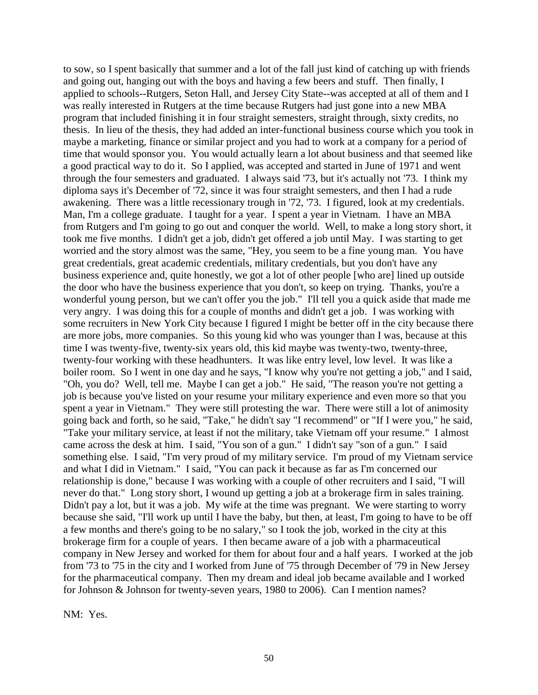to sow, so I spent basically that summer and a lot of the fall just kind of catching up with friends and going out, hanging out with the boys and having a few beers and stuff. Then finally, I applied to schools--Rutgers, Seton Hall, and Jersey City State--was accepted at all of them and I was really interested in Rutgers at the time because Rutgers had just gone into a new MBA program that included finishing it in four straight semesters, straight through, sixty credits, no thesis. In lieu of the thesis, they had added an inter-functional business course which you took in maybe a marketing, finance or similar project and you had to work at a company for a period of time that would sponsor you. You would actually learn a lot about business and that seemed like a good practical way to do it. So I applied, was accepted and started in June of 1971 and went through the four semesters and graduated. I always said '73, but it's actually not '73. I think my diploma says it's December of '72, since it was four straight semesters, and then I had a rude awakening. There was a little recessionary trough in '72, '73. I figured, look at my credentials. Man, I'm a college graduate. I taught for a year. I spent a year in Vietnam. I have an MBA from Rutgers and I'm going to go out and conquer the world. Well, to make a long story short, it took me five months. I didn't get a job, didn't get offered a job until May. I was starting to get worried and the story almost was the same, "Hey, you seem to be a fine young man. You have great credentials, great academic credentials, military credentials, but you don't have any business experience and, quite honestly, we got a lot of other people [who are] lined up outside the door who have the business experience that you don't, so keep on trying. Thanks, you're a wonderful young person, but we can't offer you the job." I'll tell you a quick aside that made me very angry. I was doing this for a couple of months and didn't get a job. I was working with some recruiters in New York City because I figured I might be better off in the city because there are more jobs, more companies. So this young kid who was younger than I was, because at this time I was twenty-five, twenty-six years old, this kid maybe was twenty-two, twenty-three, twenty-four working with these headhunters. It was like entry level, low level. It was like a boiler room. So I went in one day and he says, "I know why you're not getting a job," and I said, "Oh, you do? Well, tell me. Maybe I can get a job." He said, "The reason you're not getting a job is because you've listed on your resume your military experience and even more so that you spent a year in Vietnam." They were still protesting the war. There were still a lot of animosity going back and forth, so he said, "Take," he didn't say "I recommend" or "If I were you," he said, "Take your military service, at least if not the military, take Vietnam off your resume." I almost came across the desk at him. I said, "You son of a gun." I didn't say "son of a gun." I said something else. I said, "I'm very proud of my military service. I'm proud of my Vietnam service and what I did in Vietnam." I said, "You can pack it because as far as I'm concerned our relationship is done," because I was working with a couple of other recruiters and I said, "I will never do that." Long story short, I wound up getting a job at a brokerage firm in sales training. Didn't pay a lot, but it was a job. My wife at the time was pregnant. We were starting to worry because she said, "I'll work up until I have the baby, but then, at least, I'm going to have to be off a few months and there's going to be no salary," so I took the job, worked in the city at this brokerage firm for a couple of years. I then became aware of a job with a pharmaceutical company in New Jersey and worked for them for about four and a half years. I worked at the job from '73 to '75 in the city and I worked from June of '75 through December of '79 in New Jersey for the pharmaceutical company. Then my dream and ideal job became available and I worked for Johnson & Johnson for twenty-seven years, 1980 to 2006). Can I mention names?

NM: Yes.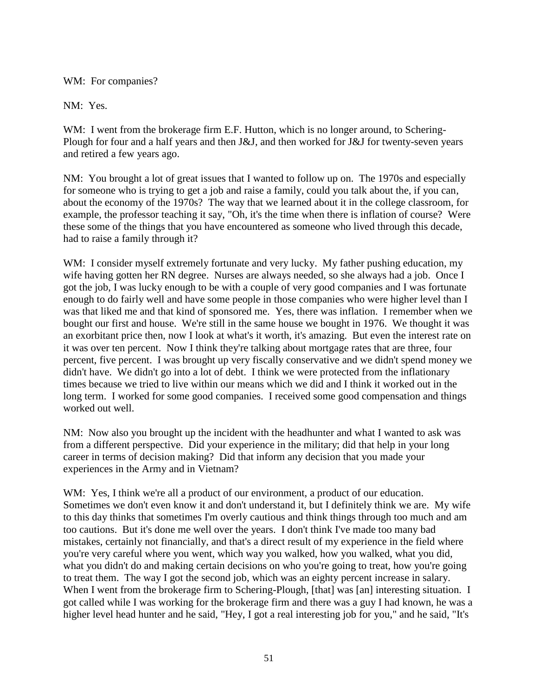### WM: For companies?

NM: Yes.

WM: I went from the brokerage firm E.F. Hutton, which is no longer around, to Schering-Plough for four and a half years and then J&J, and then worked for J&J for twenty-seven years and retired a few years ago.

NM: You brought a lot of great issues that I wanted to follow up on. The 1970s and especially for someone who is trying to get a job and raise a family, could you talk about the, if you can, about the economy of the 1970s? The way that we learned about it in the college classroom, for example, the professor teaching it say, "Oh, it's the time when there is inflation of course? Were these some of the things that you have encountered as someone who lived through this decade, had to raise a family through it?

WM: I consider myself extremely fortunate and very lucky. My father pushing education, my wife having gotten her RN degree. Nurses are always needed, so she always had a job. Once I got the job, I was lucky enough to be with a couple of very good companies and I was fortunate enough to do fairly well and have some people in those companies who were higher level than I was that liked me and that kind of sponsored me. Yes, there was inflation. I remember when we bought our first and house. We're still in the same house we bought in 1976. We thought it was an exorbitant price then, now I look at what's it worth, it's amazing. But even the interest rate on it was over ten percent. Now I think they're talking about mortgage rates that are three, four percent, five percent. I was brought up very fiscally conservative and we didn't spend money we didn't have. We didn't go into a lot of debt. I think we were protected from the inflationary times because we tried to live within our means which we did and I think it worked out in the long term. I worked for some good companies. I received some good compensation and things worked out well.

NM: Now also you brought up the incident with the headhunter and what I wanted to ask was from a different perspective. Did your experience in the military; did that help in your long career in terms of decision making? Did that inform any decision that you made your experiences in the Army and in Vietnam?

WM: Yes, I think we're all a product of our environment, a product of our education. Sometimes we don't even know it and don't understand it, but I definitely think we are. My wife to this day thinks that sometimes I'm overly cautious and think things through too much and am too cautions. But it's done me well over the years. I don't think I've made too many bad mistakes, certainly not financially, and that's a direct result of my experience in the field where you're very careful where you went, which way you walked, how you walked, what you did, what you didn't do and making certain decisions on who you're going to treat, how you're going to treat them. The way I got the second job, which was an eighty percent increase in salary. When I went from the brokerage firm to Schering-Plough, [that] was [an] interesting situation. I got called while I was working for the brokerage firm and there was a guy I had known, he was a higher level head hunter and he said, "Hey, I got a real interesting job for you," and he said, "It's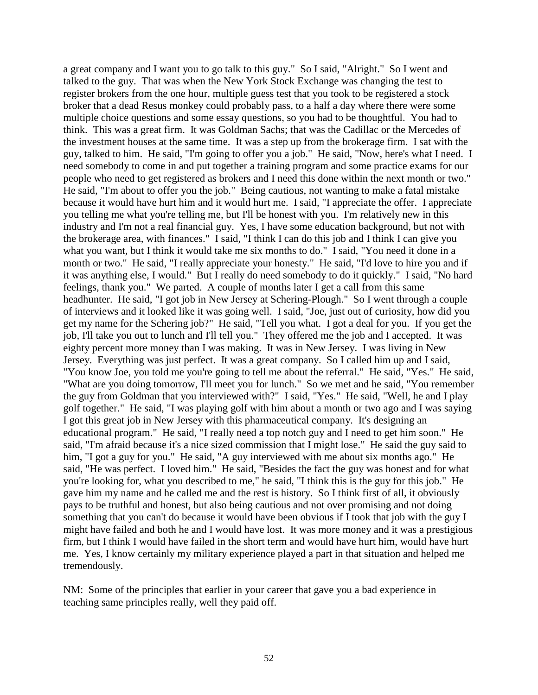a great company and I want you to go talk to this guy." So I said, "Alright." So I went and talked to the guy. That was when the New York Stock Exchange was changing the test to register brokers from the one hour, multiple guess test that you took to be registered a stock broker that a dead Resus monkey could probably pass, to a half a day where there were some multiple choice questions and some essay questions, so you had to be thoughtful. You had to think. This was a great firm. It was Goldman Sachs; that was the Cadillac or the Mercedes of the investment houses at the same time. It was a step up from the brokerage firm. I sat with the guy, talked to him. He said, "I'm going to offer you a job." He said, "Now, here's what I need. I need somebody to come in and put together a training program and some practice exams for our people who need to get registered as brokers and I need this done within the next month or two." He said, "I'm about to offer you the job." Being cautious, not wanting to make a fatal mistake because it would have hurt him and it would hurt me. I said, "I appreciate the offer. I appreciate you telling me what you're telling me, but I'll be honest with you. I'm relatively new in this industry and I'm not a real financial guy. Yes, I have some education background, but not with the brokerage area, with finances." I said, "I think I can do this job and I think I can give you what you want, but I think it would take me six months to do." I said, "You need it done in a month or two." He said, "I really appreciate your honesty." He said, "I'd love to hire you and if it was anything else, I would." But I really do need somebody to do it quickly." I said, "No hard feelings, thank you." We parted. A couple of months later I get a call from this same headhunter. He said, "I got job in New Jersey at Schering-Plough." So I went through a couple of interviews and it looked like it was going well. I said, "Joe, just out of curiosity, how did you get my name for the Schering job?" He said, "Tell you what. I got a deal for you. If you get the job, I'll take you out to lunch and I'll tell you." They offered me the job and I accepted. It was eighty percent more money than I was making. It was in New Jersey. I was living in New Jersey. Everything was just perfect. It was a great company. So I called him up and I said, "You know Joe, you told me you're going to tell me about the referral." He said, "Yes." He said, "What are you doing tomorrow, I'll meet you for lunch." So we met and he said, "You remember the guy from Goldman that you interviewed with?" I said, "Yes." He said, "Well, he and I play golf together." He said, "I was playing golf with him about a month or two ago and I was saying I got this great job in New Jersey with this pharmaceutical company. It's designing an educational program." He said, "I really need a top notch guy and I need to get him soon." He said, "I'm afraid because it's a nice sized commission that I might lose." He said the guy said to him, "I got a guy for you." He said, "A guy interviewed with me about six months ago." He said, "He was perfect. I loved him." He said, "Besides the fact the guy was honest and for what you're looking for, what you described to me," he said, "I think this is the guy for this job." He gave him my name and he called me and the rest is history. So I think first of all, it obviously pays to be truthful and honest, but also being cautious and not over promising and not doing something that you can't do because it would have been obvious if I took that job with the guy I might have failed and both he and I would have lost. It was more money and it was a prestigious firm, but I think I would have failed in the short term and would have hurt him, would have hurt me. Yes, I know certainly my military experience played a part in that situation and helped me tremendously.

NM: Some of the principles that earlier in your career that gave you a bad experience in teaching same principles really, well they paid off.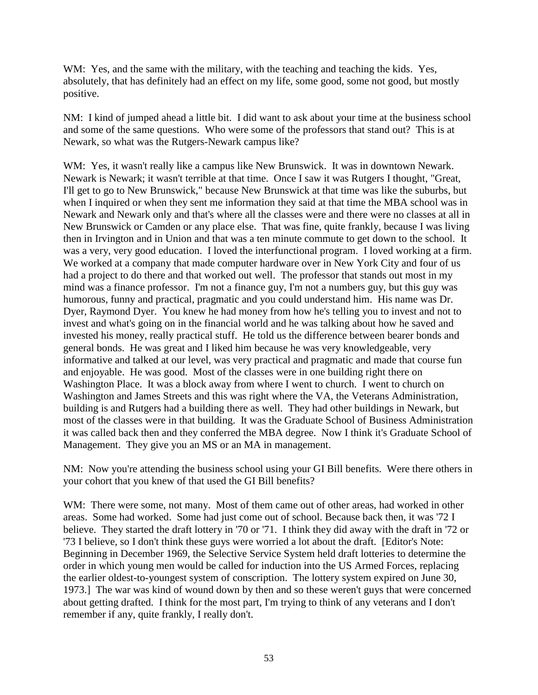WM: Yes, and the same with the military, with the teaching and teaching the kids. Yes, absolutely, that has definitely had an effect on my life, some good, some not good, but mostly positive.

NM: I kind of jumped ahead a little bit. I did want to ask about your time at the business school and some of the same questions. Who were some of the professors that stand out? This is at Newark, so what was the Rutgers-Newark campus like?

WM: Yes, it wasn't really like a campus like New Brunswick. It was in downtown Newark. Newark is Newark; it wasn't terrible at that time. Once I saw it was Rutgers I thought, "Great, I'll get to go to New Brunswick," because New Brunswick at that time was like the suburbs, but when I inquired or when they sent me information they said at that time the MBA school was in Newark and Newark only and that's where all the classes were and there were no classes at all in New Brunswick or Camden or any place else. That was fine, quite frankly, because I was living then in Irvington and in Union and that was a ten minute commute to get down to the school. It was a very, very good education. I loved the interfunctional program. I loved working at a firm. We worked at a company that made computer hardware over in New York City and four of us had a project to do there and that worked out well. The professor that stands out most in my mind was a finance professor. I'm not a finance guy, I'm not a numbers guy, but this guy was humorous, funny and practical, pragmatic and you could understand him. His name was Dr. Dyer, Raymond Dyer. You knew he had money from how he's telling you to invest and not to invest and what's going on in the financial world and he was talking about how he saved and invested his money, really practical stuff. He told us the difference between bearer bonds and general bonds. He was great and I liked him because he was very knowledgeable, very informative and talked at our level, was very practical and pragmatic and made that course fun and enjoyable. He was good. Most of the classes were in one building right there on Washington Place. It was a block away from where I went to church. I went to church on Washington and James Streets and this was right where the VA, the Veterans Administration, building is and Rutgers had a building there as well. They had other buildings in Newark, but most of the classes were in that building. It was the Graduate School of Business Administration it was called back then and they conferred the MBA degree. Now I think it's Graduate School of Management. They give you an MS or an MA in management.

NM: Now you're attending the business school using your GI Bill benefits. Were there others in your cohort that you knew of that used the GI Bill benefits?

WM: There were some, not many. Most of them came out of other areas, had worked in other areas. Some had worked. Some had just come out of school. Because back then, it was '72 I believe. They started the draft lottery in '70 or '71. I think they did away with the draft in '72 or '73 I believe, so I don't think these guys were worried a lot about the draft. [Editor's Note: Beginning in December 1969, the Selective Service System held draft lotteries to determine the order in which young men would be called for induction into the US Armed Forces, replacing the earlier oldest-to-youngest system of conscription. The lottery system expired on June 30, 1973.] The war was kind of wound down by then and so these weren't guys that were concerned about getting drafted. I think for the most part, I'm trying to think of any veterans and I don't remember if any, quite frankly, I really don't.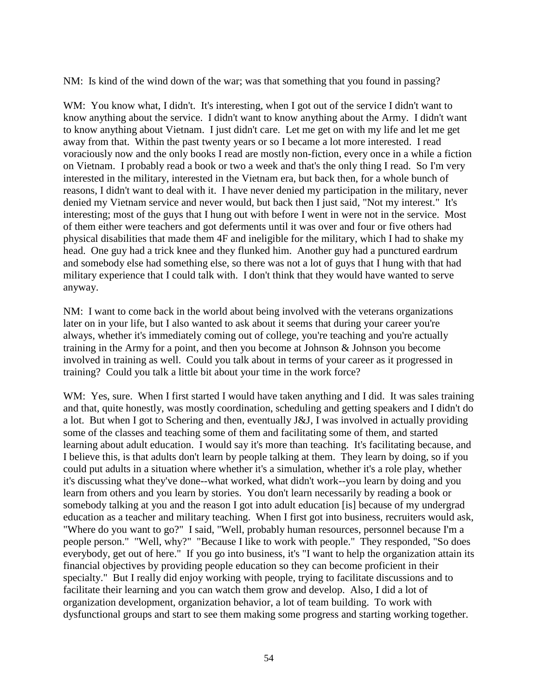NM: Is kind of the wind down of the war; was that something that you found in passing?

WM: You know what, I didn't. It's interesting, when I got out of the service I didn't want to know anything about the service. I didn't want to know anything about the Army. I didn't want to know anything about Vietnam. I just didn't care. Let me get on with my life and let me get away from that. Within the past twenty years or so I became a lot more interested. I read voraciously now and the only books I read are mostly non-fiction, every once in a while a fiction on Vietnam. I probably read a book or two a week and that's the only thing I read. So I'm very interested in the military, interested in the Vietnam era, but back then, for a whole bunch of reasons, I didn't want to deal with it. I have never denied my participation in the military, never denied my Vietnam service and never would, but back then I just said, "Not my interest." It's interesting; most of the guys that I hung out with before I went in were not in the service. Most of them either were teachers and got deferments until it was over and four or five others had physical disabilities that made them 4F and ineligible for the military, which I had to shake my head. One guy had a trick knee and they flunked him. Another guy had a punctured eardrum and somebody else had something else, so there was not a lot of guys that I hung with that had military experience that I could talk with. I don't think that they would have wanted to serve anyway.

NM: I want to come back in the world about being involved with the veterans organizations later on in your life, but I also wanted to ask about it seems that during your career you're always, whether it's immediately coming out of college, you're teaching and you're actually training in the Army for a point, and then you become at Johnson & Johnson you become involved in training as well. Could you talk about in terms of your career as it progressed in training? Could you talk a little bit about your time in the work force?

WM: Yes, sure. When I first started I would have taken anything and I did. It was sales training and that, quite honestly, was mostly coordination, scheduling and getting speakers and I didn't do a lot. But when I got to Schering and then, eventually J&J, I was involved in actually providing some of the classes and teaching some of them and facilitating some of them, and started learning about adult education. I would say it's more than teaching. It's facilitating because, and I believe this, is that adults don't learn by people talking at them. They learn by doing, so if you could put adults in a situation where whether it's a simulation, whether it's a role play, whether it's discussing what they've done--what worked, what didn't work--you learn by doing and you learn from others and you learn by stories. You don't learn necessarily by reading a book or somebody talking at you and the reason I got into adult education [is] because of my undergrad education as a teacher and military teaching. When I first got into business, recruiters would ask, "Where do you want to go?" I said, "Well, probably human resources, personnel because I'm a people person." "Well, why?" "Because I like to work with people." They responded, "So does everybody, get out of here." If you go into business, it's "I want to help the organization attain its financial objectives by providing people education so they can become proficient in their specialty." But I really did enjoy working with people, trying to facilitate discussions and to facilitate their learning and you can watch them grow and develop. Also, I did a lot of organization development, organization behavior, a lot of team building. To work with dysfunctional groups and start to see them making some progress and starting working together.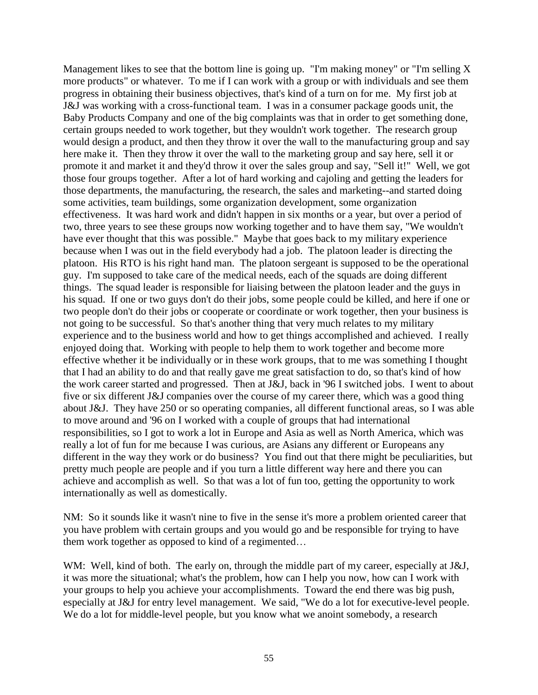Management likes to see that the bottom line is going up. "I'm making money" or "I'm selling X more products" or whatever. To me if I can work with a group or with individuals and see them progress in obtaining their business objectives, that's kind of a turn on for me. My first job at J&J was working with a cross-functional team. I was in a consumer package goods unit, the Baby Products Company and one of the big complaints was that in order to get something done, certain groups needed to work together, but they wouldn't work together. The research group would design a product, and then they throw it over the wall to the manufacturing group and say here make it. Then they throw it over the wall to the marketing group and say here, sell it or promote it and market it and they'd throw it over the sales group and say, "Sell it!" Well, we got those four groups together. After a lot of hard working and cajoling and getting the leaders for those departments, the manufacturing, the research, the sales and marketing--and started doing some activities, team buildings, some organization development, some organization effectiveness. It was hard work and didn't happen in six months or a year, but over a period of two, three years to see these groups now working together and to have them say, "We wouldn't have ever thought that this was possible." Maybe that goes back to my military experience because when I was out in the field everybody had a job. The platoon leader is directing the platoon. His RTO is his right hand man. The platoon sergeant is supposed to be the operational guy. I'm supposed to take care of the medical needs, each of the squads are doing different things. The squad leader is responsible for liaising between the platoon leader and the guys in his squad. If one or two guys don't do their jobs, some people could be killed, and here if one or two people don't do their jobs or cooperate or coordinate or work together, then your business is not going to be successful. So that's another thing that very much relates to my military experience and to the business world and how to get things accomplished and achieved. I really enjoyed doing that. Working with people to help them to work together and become more effective whether it be individually or in these work groups, that to me was something I thought that I had an ability to do and that really gave me great satisfaction to do, so that's kind of how the work career started and progressed. Then at J&J, back in '96 I switched jobs. I went to about five or six different J&J companies over the course of my career there, which was a good thing about J&J. They have 250 or so operating companies, all different functional areas, so I was able to move around and '96 on I worked with a couple of groups that had international responsibilities, so I got to work a lot in Europe and Asia as well as North America, which was really a lot of fun for me because I was curious, are Asians any different or Europeans any different in the way they work or do business? You find out that there might be peculiarities, but pretty much people are people and if you turn a little different way here and there you can achieve and accomplish as well. So that was a lot of fun too, getting the opportunity to work internationally as well as domestically.

NM: So it sounds like it wasn't nine to five in the sense it's more a problem oriented career that you have problem with certain groups and you would go and be responsible for trying to have them work together as opposed to kind of a regimented…

WM: Well, kind of both. The early on, through the middle part of my career, especially at J&J, it was more the situational; what's the problem, how can I help you now, how can I work with your groups to help you achieve your accomplishments. Toward the end there was big push, especially at J&J for entry level management. We said, "We do a lot for executive-level people. We do a lot for middle-level people, but you know what we anoint somebody, a research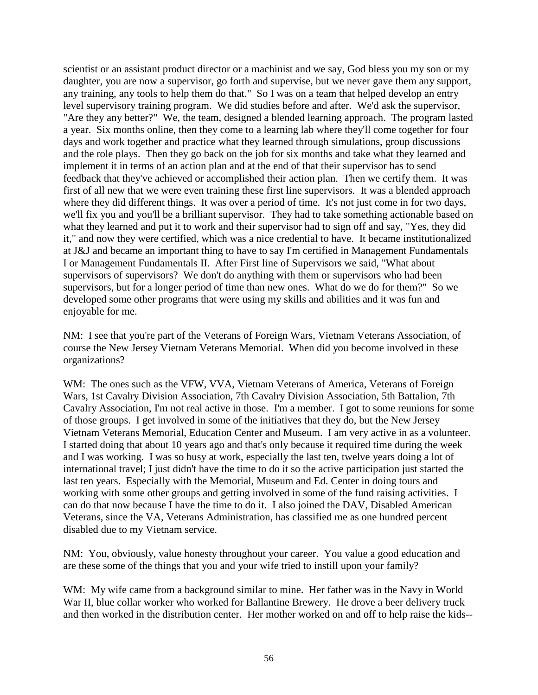scientist or an assistant product director or a machinist and we say, God bless you my son or my daughter, you are now a supervisor, go forth and supervise, but we never gave them any support, any training, any tools to help them do that." So I was on a team that helped develop an entry level supervisory training program. We did studies before and after. We'd ask the supervisor, "Are they any better?" We, the team, designed a blended learning approach. The program lasted a year. Six months online, then they come to a learning lab where they'll come together for four days and work together and practice what they learned through simulations, group discussions and the role plays. Then they go back on the job for six months and take what they learned and implement it in terms of an action plan and at the end of that their supervisor has to send feedback that they've achieved or accomplished their action plan. Then we certify them. It was first of all new that we were even training these first line supervisors. It was a blended approach where they did different things. It was over a period of time. It's not just come in for two days, we'll fix you and you'll be a brilliant supervisor. They had to take something actionable based on what they learned and put it to work and their supervisor had to sign off and say, "Yes, they did it," and now they were certified, which was a nice credential to have. It became institutionalized at J&J and became an important thing to have to say I'm certified in Management Fundamentals I or Management Fundamentals II. After First line of Supervisors we said, "What about supervisors of supervisors? We don't do anything with them or supervisors who had been supervisors, but for a longer period of time than new ones. What do we do for them?" So we developed some other programs that were using my skills and abilities and it was fun and enjoyable for me.

NM: I see that you're part of the Veterans of Foreign Wars, Vietnam Veterans Association, of course the New Jersey Vietnam Veterans Memorial. When did you become involved in these organizations?

WM: The ones such as the VFW, VVA, Vietnam Veterans of America, Veterans of Foreign Wars, 1st Cavalry Division Association, 7th Cavalry Division Association, 5th Battalion, 7th Cavalry Association, I'm not real active in those. I'm a member. I got to some reunions for some of those groups. I get involved in some of the initiatives that they do, but the New Jersey Vietnam Veterans Memorial, Education Center and Museum. I am very active in as a volunteer. I started doing that about 10 years ago and that's only because it required time during the week and I was working. I was so busy at work, especially the last ten, twelve years doing a lot of international travel; I just didn't have the time to do it so the active participation just started the last ten years. Especially with the Memorial, Museum and Ed. Center in doing tours and working with some other groups and getting involved in some of the fund raising activities. I can do that now because I have the time to do it. I also joined the DAV, Disabled American Veterans, since the VA, Veterans Administration, has classified me as one hundred percent disabled due to my Vietnam service.

NM: You, obviously, value honesty throughout your career. You value a good education and are these some of the things that you and your wife tried to instill upon your family?

WM: My wife came from a background similar to mine. Her father was in the Navy in World War II, blue collar worker who worked for Ballantine Brewery. He drove a beer delivery truck and then worked in the distribution center. Her mother worked on and off to help raise the kids--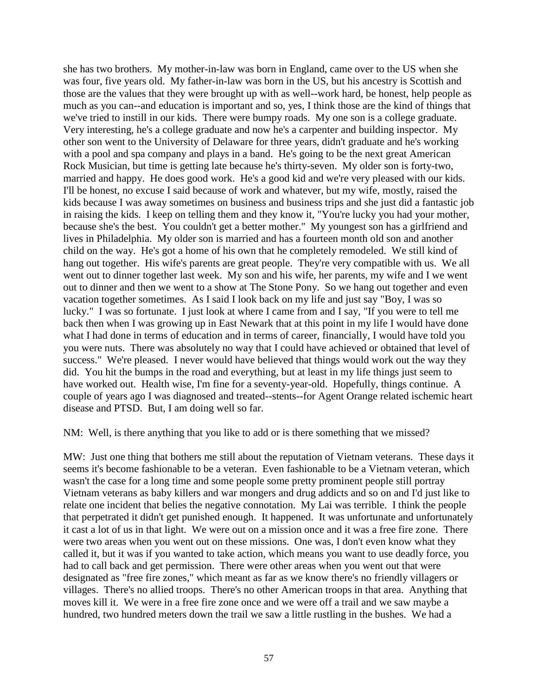she has two brothers. My mother-in-law was born in England, came over to the US when she was four, five years old. My father-in-law was born in the US, but his ancestry is Scottish and those are the values that they were brought up with as well--work hard, be honest, help people as much as you can--and education is important and so, yes, I think those are the kind of things that we've tried to instill in our kids. There were bumpy roads. My one son is a college graduate. Very interesting, he's a college graduate and now he's a carpenter and building inspector. My other son went to the University of Delaware for three years, didn't graduate and he's working with a pool and spa company and plays in a band. He's going to be the next great American Rock Musician, but time is getting late because he's thirty-seven. My older son is forty-two, married and happy. He does good work. He's a good kid and we're very pleased with our kids. I'll be honest, no excuse I said because of work and whatever, but my wife, mostly, raised the kids because I was away sometimes on business and business trips and she just did a fantastic job in raising the kids. I keep on telling them and they know it, "You're lucky you had your mother, because she's the best. You couldn't get a better mother." My youngest son has a girlfriend and lives in Philadelphia. My older son is married and has a fourteen month old son and another child on the way. He's got a home of his own that he completely remodeled. We still kind of hang out together. His wife's parents are great people. They're very compatible with us. We all went out to dinner together last week. My son and his wife, her parents, my wife and I we went out to dinner and then we went to a show at The Stone Pony. So we hang out together and even vacation together sometimes. As I said I look back on my life and just say "Boy, I was so lucky." I was so fortunate. I just look at where I came from and I say, "If you were to tell me back then when I was growing up in East Newark that at this point in my life I would have done what I had done in terms of education and in terms of career, financially, I would have told you you were nuts. There was absolutely no way that I could have achieved or obtained that level of success." We're pleased. I never would have believed that things would work out the way they did. You hit the bumps in the road and everything, but at least in my life things just seem to have worked out. Health wise, I'm fine for a seventy-year-old. Hopefully, things continue. A couple of years ago I was diagnosed and treated--stents--for Agent Orange related ischemic heart disease and PTSD. But, I am doing well so far.

NM: Well, is there anything that you like to add or is there something that we missed?

MW: Just one thing that bothers me still about the reputation of Vietnam veterans. These days it seems it's become fashionable to be a veteran. Even fashionable to be a Vietnam veteran, which wasn't the case for a long time and some people some pretty prominent people still portray Vietnam veterans as baby killers and war mongers and drug addicts and so on and I'd just like to relate one incident that belies the negative connotation. My Lai was terrible. I think the people that perpetrated it didn't get punished enough. It happened. It was unfortunate and unfortunately it cast a lot of us in that light. We were out on a mission once and it was a free fire zone. There were two areas when you went out on these missions. One was, I don't even know what they called it, but it was if you wanted to take action, which means you want to use deadly force, you had to call back and get permission. There were other areas when you went out that were designated as "free fire zones," which meant as far as we know there's no friendly villagers or villages. There's no allied troops. There's no other American troops in that area. Anything that moves kill it. We were in a free fire zone once and we were off a trail and we saw maybe a hundred, two hundred meters down the trail we saw a little rustling in the bushes. We had a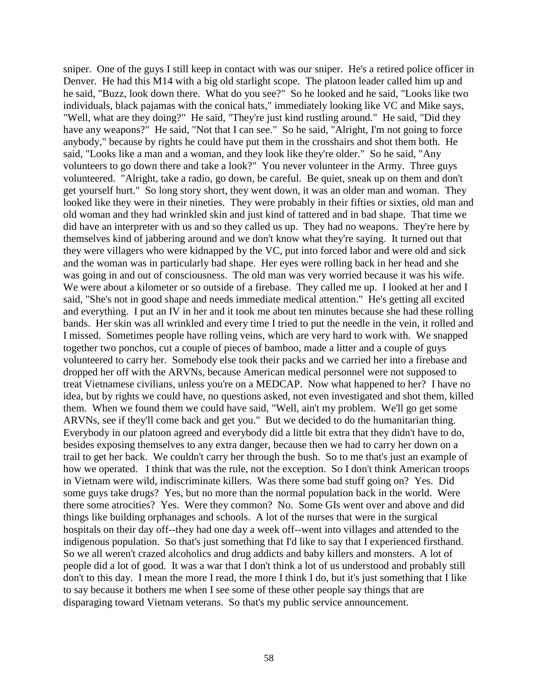sniper. One of the guys I still keep in contact with was our sniper. He's a retired police officer in Denver. He had this M14 with a big old starlight scope. The platoon leader called him up and he said, "Buzz, look down there. What do you see?" So he looked and he said, "Looks like two individuals, black pajamas with the conical hats," immediately looking like VC and Mike says, "Well, what are they doing?" He said, "They're just kind rustling around." He said, "Did they have any weapons?" He said, "Not that I can see." So he said, "Alright, I'm not going to force anybody," because by rights he could have put them in the crosshairs and shot them both. He said, "Looks like a man and a woman, and they look like they're older." So he said, "Any volunteers to go down there and take a look?" You never volunteer in the Army. Three guys volunteered. "Alright, take a radio, go down, be careful. Be quiet, sneak up on them and don't get yourself hurt." So long story short, they went down, it was an older man and woman. They looked like they were in their nineties. They were probably in their fifties or sixties, old man and old woman and they had wrinkled skin and just kind of tattered and in bad shape. That time we did have an interpreter with us and so they called us up. They had no weapons. They're here by themselves kind of jabbering around and we don't know what they're saying. It turned out that they were villagers who were kidnapped by the VC, put into forced labor and were old and sick and the woman was in particularly bad shape. Her eyes were rolling back in her head and she was going in and out of consciousness. The old man was very worried because it was his wife. We were about a kilometer or so outside of a firebase. They called me up. I looked at her and I said, "She's not in good shape and needs immediate medical attention." He's getting all excited and everything. I put an IV in her and it took me about ten minutes because she had these rolling bands. Her skin was all wrinkled and every time I tried to put the needle in the vein, it rolled and I missed. Sometimes people have rolling veins, which are very hard to work with. We snapped together two ponchos, cut a couple of pieces of bamboo, made a litter and a couple of guys volunteered to carry her. Somebody else took their packs and we carried her into a firebase and dropped her off with the ARVNs, because American medical personnel were not supposed to treat Vietnamese civilians, unless you're on a MEDCAP. Now what happened to her? I have no idea, but by rights we could have, no questions asked, not even investigated and shot them, killed them. When we found them we could have said, "Well, ain't my problem. We'll go get some ARVNs, see if they'll come back and get you." But we decided to do the humanitarian thing. Everybody in our platoon agreed and everybody did a little bit extra that they didn't have to do, besides exposing themselves to any extra danger, because then we had to carry her down on a trail to get her back. We couldn't carry her through the bush. So to me that's just an example of how we operated. I think that was the rule, not the exception. So I don't think American troops in Vietnam were wild, indiscriminate killers. Was there some bad stuff going on? Yes. Did some guys take drugs? Yes, but no more than the normal population back in the world. Were there some atrocities? Yes. Were they common? No. Some GIs went over and above and did things like building orphanages and schools. A lot of the nurses that were in the surgical hospitals on their day off--they had one day a week off--went into villages and attended to the indigenous population. So that's just something that I'd like to say that I experienced firsthand. So we all weren't crazed alcoholics and drug addicts and baby killers and monsters. A lot of people did a lot of good. It was a war that I don't think a lot of us understood and probably still don't to this day. I mean the more I read, the more I think I do, but it's just something that I like to say because it bothers me when I see some of these other people say things that are disparaging toward Vietnam veterans. So that's my public service announcement.